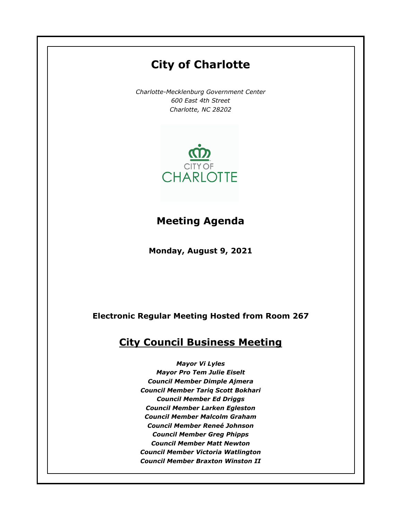# **City of Charlotte** *Charlotte-Mecklenburg Government Center 600 East 4th Street Charlotte, NC 28202* CITY OF **CHARLOTTE Meeting AgendaMonday, August 9, 2021 Electronic Regular Meeting Hosted from Room 267 City Council Business Meeting** *Mayor Vi Lyles Mayor Pro Tem Julie Eiselt Council Member Dimple Ajmera Council Member Tariq Scott Bokhari Council Member Ed Driggs Council Member Larken Egleston Council Member Malcolm Graham Council Member Reneé Johnson Council Member Greg Phipps Council Member Matt Newton Council Member Victoria Watlington Council Member Braxton Winston II*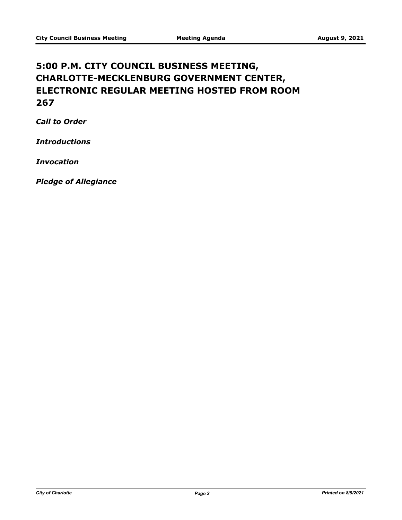# **5:00 P.M. CITY COUNCIL BUSINESS MEETING, CHARLOTTE-MECKLENBURG GOVERNMENT CENTER, ELECTRONIC REGULAR MEETING HOSTED FROM ROOM 267**

*Call to Order*

*Introductions*

*Invocation*

*Pledge of Allegiance*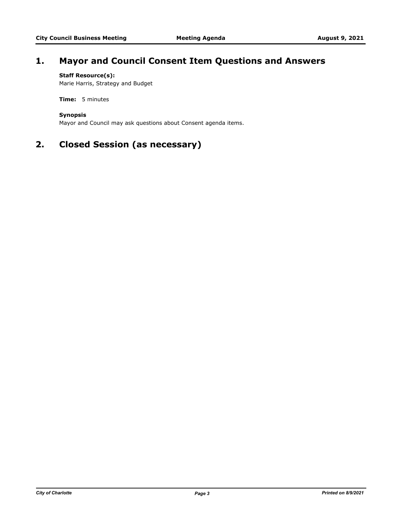# **1. Mayor and Council Consent Item Questions and Answers**

# **Staff Resource(s):**

Marie Harris, Strategy and Budget

**Time:** 5 minutes

# **Synopsis**

Mayor and Council may ask questions about Consent agenda items.

# **2. Closed Session (as necessary)**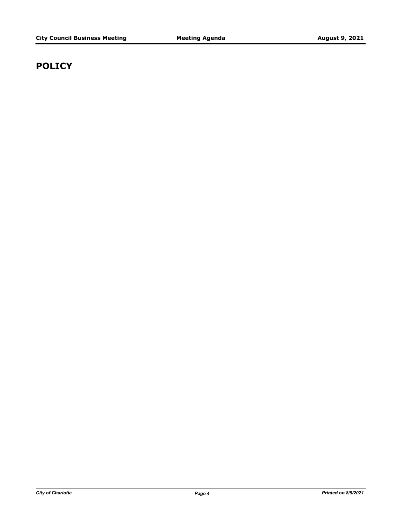# **POLICY**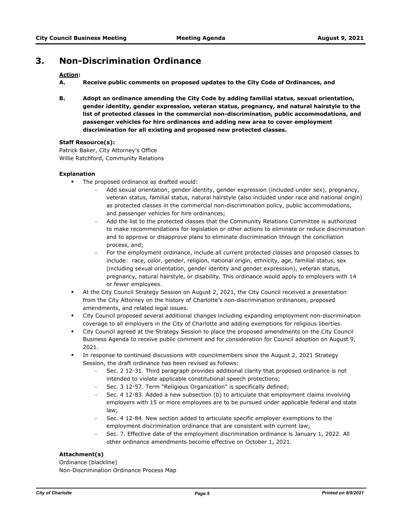# **3. Non-Discrimination Ordinance**

# **Action:**

- **A. Receive public comments on proposed updates to the City Code of Ordinances, and**
- **B. Adopt an ordinance amending the City Code by adding familial status, sexual orientation, gender identity, gender expression, veteran status, pregnancy, and natural hairstyle to the list of protected classes in the commercial non-discrimination, public accommodations, and passenger vehicles for hire ordinances and adding new area to cover employment discrimination for all existing and proposed new protected classes.**

### **Staff Resource(s):**

Patrick Baker, City Attorney's Office Willie Ratchford, Community Relations

#### **Explanation**

- The proposed ordinance as drafted would:
	- Add sexual orientation, gender identity, gender expression (included under sex), pregnancy, veteran status, familial status, natural hairstyle (also included under race and national origin) as protected classes in the commercial non-discrimination policy, public accommodations, and passenger vehicles for hire ordinances;
	- Add the list to the protected classes that the Community Relations Committee is authorized to make recommendations for legislation or other actions to eliminate or reduce discrimination and to approve or disapprove plans to eliminate discrimination through the conciliation process, and;
	- For the employment ordinance, include all current protected classes and proposed classes to include: race, color, gender, religion, national origin, ethnicity, age, familial status, sex (including sexual orientation, gender identity and gender expression), veteran status, pregnancy, natural hairstyle, or disability. This ordinance would apply to employers with 14 or fewer employees.
	- <sup>■</sup> At the City Council Strategy Session on August 2, 2021, the City Council received a presentation from the City Attorney on the history of Charlotte's non-discrimination ordinances, proposed amendments, and related legal issues.
- § City Council proposed several additional changes including expanding employment non-discrimination coverage to all employers in the City of Charlotte and adding exemptions for religious liberties.
- § City Council agreed at the Strategy Session to place the proposed amendments on the City Council Business Agenda to receive public comment and for consideration for Council adoption on August 9, 2021.
- In response to continued discussions with councilmembers since the August 2, 2021 Strategy Session, the draft ordinance has been revised as follows:
	- Sec. 2 12-31. Third paragraph provides additional clarity that proposed ordinance is not intended to violate applicable constitutional speech protections;
	- Sec. 3 12-57. Term "Religious Organization" is specifically defined;
	- Sec. 4 12-83. Added a new subsection (b) to articulate that employment claims involving employers with 15 or more employees are to be pursued under applicable federal and state law;
	- Sec. 4 12-84. New section added to articulate specific employer exemptions to the employment discrimination ordinance that are consistent with current law;
	- Sec. 7. Effective date of the employment discrimination ordinance is January 1, 2022. All other ordinance amendments become effective on October 1, 2021.

# **Attachment(s)**

Ordinance (blackline) Non-Discrimination Ordinance Process Map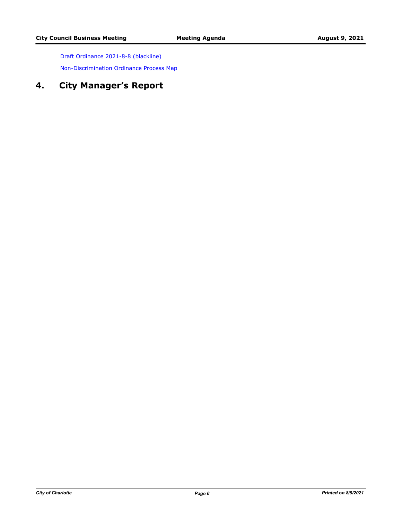[Draft Ordinance 2021-8-8 \(blackline\)](http://charlottenc.legistar.com/gateway.aspx?M=F&ID=3fa54e86-00a7-43ad-b245-f69a4f8d3051.pdf) [Non-Discrimination Ordinance Process Map](http://charlottenc.legistar.com/gateway.aspx?M=F&ID=24221dce-9fa1-4b82-89c7-b986db96d673.pdf)

# **4. City Manager's Report**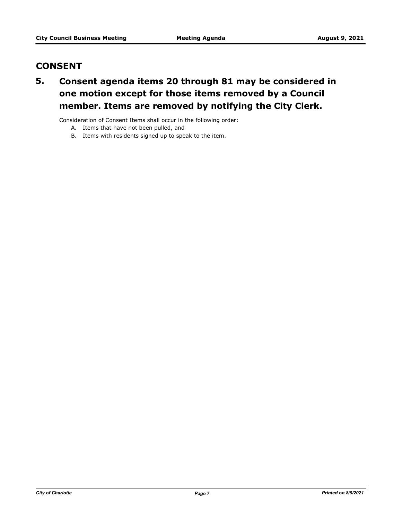# **CONSENT**

# **Consent agenda items 20 through 81 may be considered in one motion except for those items removed by a Council member. Items are removed by notifying the City Clerk. 5.**

Consideration of Consent Items shall occur in the following order:

- A. Items that have not been pulled, and
- B. Items with residents signed up to speak to the item.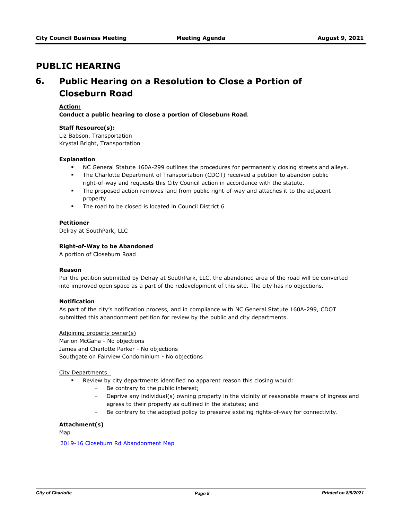# **PUBLIC HEARING**

# **Public Hearing on a Resolution to Close a Portion of Closeburn Road 6.**

# **Action:**

**Conduct a public hearing to close a portion of Closeburn Road.**

### **Staff Resource(s):**

Liz Babson, Transportation Krystal Bright, Transportation

### **Explanation**

- **NC General Statute 160A-299 outlines the procedures for permanently closing streets and alleys.**
- **•** The Charlotte Department of Transportation (CDOT) received a petition to abandon public right-of-way and requests this City Council action in accordance with the statute.
- § The proposed action removes land from public right-of-way and attaches it to the adjacent property.
- § The road to be closed is located in Council District 6.

### **Petitioner**

Delray at SouthPark, LLC

### **Right-of-Way to be Abandoned**

A portion of Closeburn Road

### **Reason**

Per the petition submitted by Delray at SouthPark, LLC, the abandoned area of the road will be converted into improved open space as a part of the redevelopment of this site. The city has no objections.

# **Notification**

As part of the city's notification process, and in compliance with NC General Statute 160A-299, CDOT submitted this abandonment petition for review by the public and city departments.

#### Adjoining property owner(s)

Marion McGaha - No objections James and Charlotte Parker - No objections Southgate on Fairview Condominium - No objections

#### City Departments

- § Review by city departments identified no apparent reason this closing would:
	- Be contrary to the public interest;
	- Deprive any individual(s) owning property in the vicinity of reasonable means of ingress and egress to their property as outlined in the statutes; and
	- Be contrary to the adopted policy to preserve existing rights-of-way for connectivity.

# **Attachment(s)**

Map

[2019-16 Closeburn Rd Abandonment Map](http://charlottenc.legistar.com/gateway.aspx?M=F&ID=6eda6414-fa5c-4552-89f1-afcc0cd77c4f.pdf)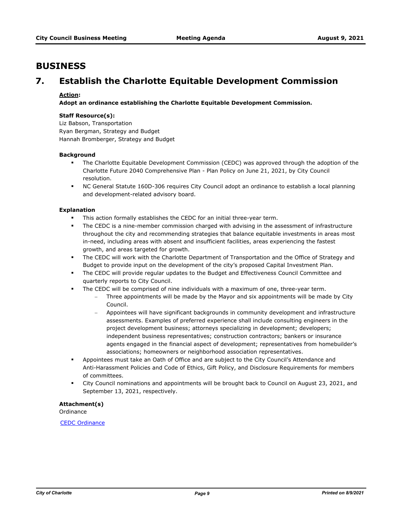# **BUSINESS**

# **7. Establish the Charlotte Equitable Development Commission**

# **Action:**

**Adopt an ordinance establishing the Charlotte Equitable Development Commission.**

# **Staff Resource(s):**

Liz Babson, Transportation Ryan Bergman, Strategy and Budget Hannah Bromberger, Strategy and Budget

### **Background**

- The Charlotte Equitable Development Commission (CEDC) was approved through the adoption of the Charlotte Future 2040 Comprehensive Plan - Plan Policy on June 21, 2021, by City Council resolution.
- § NC General Statute 160D-306 requires City Council adopt an ordinance to establish a local planning and development-related advisory board.

# **Explanation**

- This action formally establishes the CEDC for an initial three-year term.
- The CEDC is a nine-member commission charged with advising in the assessment of infrastructure throughout the city and recommending strategies that balance equitable investments in areas most in-need, including areas with absent and insufficient facilities, areas experiencing the fastest growth, and areas targeted for growth.
- **The CEDC will work with the Charlotte Department of Transportation and the Office of Strategy and** Budget to provide input on the development of the city's proposed Capital Investment Plan.
- **•** The CEDC will provide regular updates to the Budget and Effectiveness Council Committee and quarterly reports to City Council.
- The CEDC will be comprised of nine individuals with a maximum of one, three-year term.
	- Three appointments will be made by the Mayor and six appointments will be made by City Council.
	- Appointees will have significant backgrounds in community development and infrastructure assessments. Examples of preferred experience shall include consulting engineers in the project development business; attorneys specializing in development; developers; independent business representatives; construction contractors; bankers or insurance agents engaged in the financial aspect of development; representatives from homebuilder's associations; homeowners or neighborhood association representatives.
- § Appointees must take an Oath of Office and are subject to the City Council's Attendance and Anti-Harassment Policies and Code of Ethics, Gift Policy, and Disclosure Requirements for members of committees.
- § City Council nominations and appointments will be brought back to Council on August 23, 2021, and September 13, 2021, respectively.

# **Attachment(s)**

**Ordinance** 

[CEDC Ordinance](http://charlottenc.legistar.com/gateway.aspx?M=F&ID=c61f4769-dbbc-4ca1-a2f4-e2fda8794022.docx)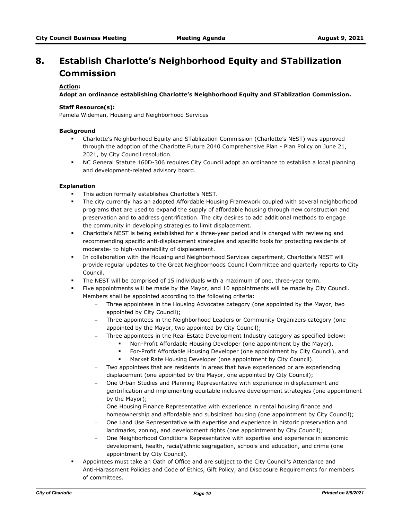# **Establish Charlotte's Neighborhood Equity and STabilization Commission 8.**

# **Action:**

**Adopt an ordinance establishing Charlotte's Neighborhood Equity and STablization Commission.** 

# **Staff Resource(s):**

Pamela Wideman, Housing and Neighborhood Services

# **Background**

- § Charlotte's Neighborhood Equity and STablization Commission (Charlotte's NEST) was approved through the adoption of the Charlotte Future 2040 Comprehensive Plan - Plan Policy on June 21, 2021, by City Council resolution.
- § NC General Statute 160D-306 requires City Council adopt an ordinance to establish a local planning and development-related advisory board.

### **Explanation**

- This action formally establishes Charlotte's NEST.
- § The city currently has an adopted Affordable Housing Framework coupled with several neighborhood programs that are used to expand the supply of affordable housing through new construction and preservation and to address gentrification. The city desires to add additional methods to engage the community in developing strategies to limit displacement.
- § Charlotte's NEST is being established for a three-year period and is charged with reviewing and recommending specific anti-displacement strategies and specific tools for protecting residents of moderate- to high-vulnerability of displacement.
- § In collaboration with the Housing and Neighborhood Services department, Charlotte's NEST will provide regular updates to the Great Neighborhoods Council Committee and quarterly reports to City Council.
- The NEST will be comprised of 15 individuals with a maximum of one, three-year term.
- § Five appointments will be made by the Mayor, and 10 appointments will be made by City Council. Members shall be appointed according to the following criteria:
	- Three appointees in the Housing Advocates category (one appointed by the Mayor, two appointed by City Council);
	- Three appointees in the Neighborhood Leaders or Community Organizers category (one appointed by the Mayor, two appointed by City Council);
		- Three appointees in the Real Estate Development Industry category as specified below:
			- Non-Profit Affordable Housing Developer (one appointment by the Mayor),
			- § For-Profit Affordable Housing Developer (one appointment by City Council), and
			- Market Rate Housing Developer (one appointment by City Council).
	- Two appointees that are residents in areas that have experienced or are experiencing displacement (one appointed by the Mayor, one appointed by City Council);
	- One Urban Studies and Planning Representative with experience in displacement and gentrification and implementing equitable inclusive development strategies (one appointment by the Mayor);
	- One Housing Finance Representative with experience in rental housing finance and homeownership and affordable and subsidized housing (one appointment by City Council);
	- One Land Use Representative with expertise and experience in historic preservation and landmarks, zoning, and development rights (one appointment by City Council);
	- One Neighborhood Conditions Representative with expertise and experience in economic development, health, racial/ethnic segregation, schools and education, and crime (one appointment by City Council).
- § Appointees must take an Oath of Office and are subject to the City Council's Attendance and Anti-Harassment Policies and Code of Ethics, Gift Policy, and Disclosure Requirements for members of committees.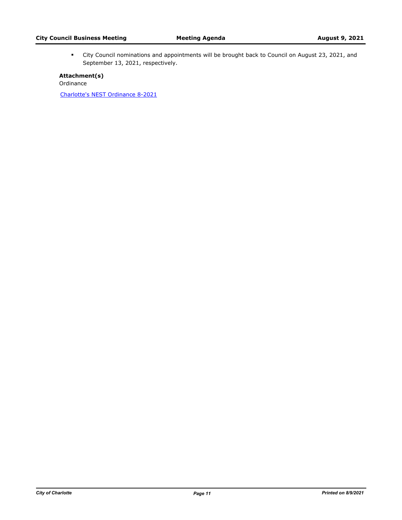§ City Council nominations and appointments will be brought back to Council on August 23, 2021, and September 13, 2021, respectively.

**Attachment(s)** Ordinance [Charlotte's NEST Ordinance 8-2021](http://charlottenc.legistar.com/gateway.aspx?M=F&ID=2ce3ad68-bc34-4b8d-afe9-b36124a644a5.docx)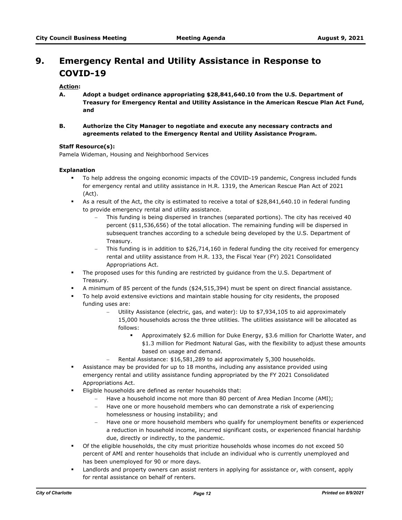# **Emergency Rental and Utility Assistance in Response to COVID-19 9.**

# **Action:**

- **A. Adopt a budget ordinance appropriating \$28,841,640.10 from the U.S. Department of Treasury for Emergency Rental and Utility Assistance in the American Rescue Plan Act Fund, and**
- **B. Authorize the City Manager to negotiate and execute any necessary contracts and agreements related to the Emergency Rental and Utility Assistance Program.**

### **Staff Resource(s):**

Pamela Wideman, Housing and Neighborhood Services

### **Explanation**

- § To help address the ongoing economic impacts of the COVID-19 pandemic, Congress included funds for emergency rental and utility assistance in H.R. 1319, the American Rescue Plan Act of 2021 (Act).
- **•** As a result of the Act, the city is estimated to receive a total of \$28,841,640.10 in federal funding to provide emergency rental and utility assistance.
	- This funding is being dispersed in tranches (separated portions). The city has received 40 percent (\$11,536,656) of the total allocation. The remaining funding will be dispersed in subsequent tranches according to a schedule being developed by the U.S. Department of Treasury.
	- This funding is in addition to \$26,714,160 in federal funding the city received for emergency rental and utility assistance from H.R. 133, the Fiscal Year (FY) 2021 Consolidated Appropriations Act.
- § The proposed uses for this funding are restricted by guidance from the U.S. Department of Treasury.
- § A minimum of 85 percent of the funds (\$24,515,394) must be spent on direct financial assistance.
- § To help avoid extensive evictions and maintain stable housing for city residents, the proposed funding uses are:
	- Utility Assistance (electric, gas, and water): Up to \$7,934,105 to aid approximately 15,000 households across the three utilities. The utilities assistance will be allocated as follows:
		- § Approximately \$2.6 million for Duke Energy, \$3.6 million for Charlotte Water, and \$1.3 million for Piedmont Natural Gas, with the flexibility to adjust these amounts based on usage and demand.
	- Rental Assistance: \$16,581,289 to aid approximately 5,300 households.
- **•** Assistance may be provided for up to 18 months, including any assistance provided using emergency rental and utility assistance funding appropriated by the FY 2021 Consolidated Appropriations Act.
- Eligible households are defined as renter households that:
	- Have a household income not more than 80 percent of Area Median Income (AMI);
	- Have one or more household members who can demonstrate a risk of experiencing homelessness or housing instability; and
	- Have one or more household members who qualify for unemployment benefits or experienced a reduction in household income, incurred significant costs, or experienced financial hardship due, directly or indirectly, to the pandemic.
- **•** Of the eligible households, the city must prioritize households whose incomes do not exceed 50 percent of AMI and renter households that include an individual who is currently unemployed and has been unemployed for 90 or more days.
- Landlords and property owners can assist renters in applying for assistance or, with consent, apply for rental assistance on behalf of renters.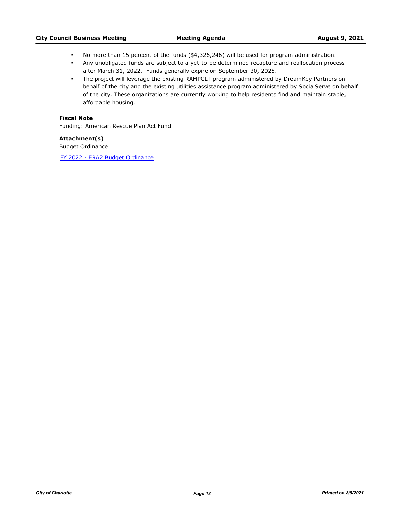- § No more than 15 percent of the funds (\$4,326,246) will be used for program administration.
- § Any unobligated funds are subject to a yet-to-be determined recapture and reallocation process after March 31, 2022. Funds generally expire on September 30, 2025.
- **•** The project will leverage the existing RAMPCLT program administered by DreamKey Partners on behalf of the city and the existing utilities assistance program administered by SocialServe on behalf of the city. These organizations are currently working to help residents find and maintain stable, affordable housing.

# **Fiscal Note**

Funding: American Rescue Plan Act Fund

# **Attachment(s)**

Budget Ordinance

[FY 2022 - ERA2 Budget Ordinance](http://charlottenc.legistar.com/gateway.aspx?M=F&ID=11ecc8f2-8225-47f4-a5e6-4724e35cc4ad.pdf)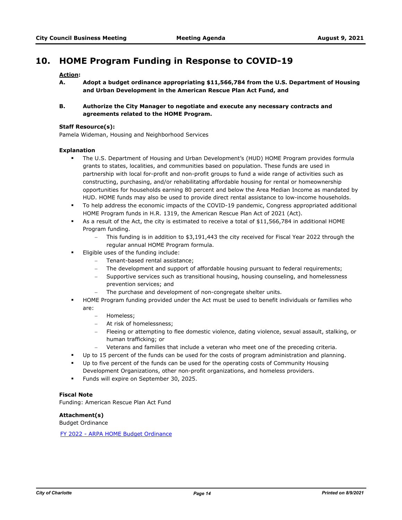# **10. HOME Program Funding in Response to COVID-19**

# **Action:**

- **A. Adopt a budget ordinance appropriating \$11,566,784 from the U.S. Department of Housing and Urban Development in the American Rescue Plan Act Fund, and**
- **B. Authorize the City Manager to negotiate and execute any necessary contracts and agreements related to the HOME Program.**

#### **Staff Resource(s):**

Pamela Wideman, Housing and Neighborhood Services

### **Explanation**

- § The U.S. Department of Housing and Urban Development's (HUD) HOME Program provides formula grants to states, localities, and communities based on population. These funds are used in partnership with local for-profit and non-profit groups to fund a wide range of activities such as constructing, purchasing, and/or rehabilitating affordable housing for rental or homeownership opportunities for households earning 80 percent and below the Area Median Income as mandated by HUD. HOME funds may also be used to provide direct rental assistance to low-income households.
- § To help address the economic impacts of the COVID-19 pandemic, Congress appropriated additional HOME Program funds in H.R. 1319, the American Rescue Plan Act of 2021 (Act).
- § As a result of the Act, the city is estimated to receive a total of \$11,566,784 in additional HOME Program funding.
	- This funding is in addition to \$3,191,443 the city received for Fiscal Year 2022 through the regular annual HOME Program formula.
- Eligible uses of the funding include:
	- Tenant-based rental assistance;
	- The development and support of affordable housing pursuant to federal requirements;
	- Supportive services such as transitional housing, housing counseling, and homelessness prevention services; and
	- The purchase and development of non-congregate shelter units.
- HOME Program funding provided under the Act must be used to benefit individuals or families who are:
	- Homeless:
	- At risk of homelessness;
	- Fleeing or attempting to flee domestic violence, dating violence, sexual assault, stalking, or human trafficking; or
	- Veterans and families that include a veteran who meet one of the preceding criteria.
- § Up to 15 percent of the funds can be used for the costs of program administration and planning.
- Up to five percent of the funds can be used for the operating costs of Community Housing Development Organizations, other non-profit organizations, and homeless providers.
- **•** Funds will expire on September 30, 2025.

# **Fiscal Note**

Funding: American Rescue Plan Act Fund

**Attachment(s)** 

Budget Ordinance

[FY 2022 - ARPA HOME Budget Ordinance](http://charlottenc.legistar.com/gateway.aspx?M=F&ID=192c9506-a0be-4c54-a75b-288c5e5fbf99.pdf)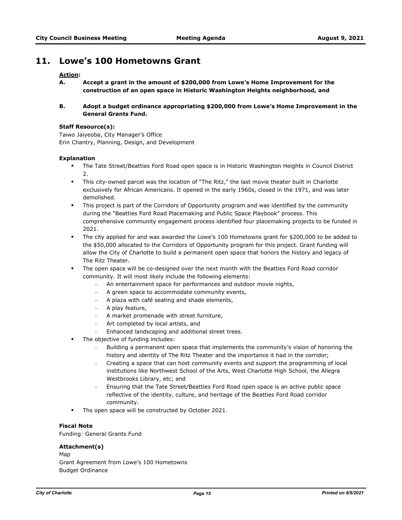# **11. Lowe's 100 Hometowns Grant**

# **Action:**

- **A. Accept a grant in the amount of \$200,000 from Lowe's Home Improvement for the construction of an open space in Historic Washington Heights neighborhood, and**
- **B. Adopt a budget ordinance appropriating \$200,000 from Lowe's Home Improvement in the General Grants Fund.**

### **Staff Resource(s):**

Taiwo Jaiyeoba, City Manager's Office Erin Chantry, Planning, Design, and Development

### **Explanation**

- § The Tate Street/Beatties Ford Road open space is in Historic Washington Heights in Council District 2.
- § This city-owned parcel was the location of "The Ritz," the last movie theater built in Charlotte exclusively for African Americans. It opened in the early 1960s, closed in the 1971, and was later demolished.
- This project is part of the Corridors of Opportunity program and was identified by the community during the "Beatties Ford Road Placemaking and Public Space Playbook" process. This comprehensive community engagement process identified four placemaking projects to be funded in 2021.
- § The city applied for and was awarded the Lowe's 100 Hometowns grant for \$200,000 to be added to the \$50,000 allocated to the Corridors of Opportunity program for this project. Grant funding will allow the City of Charlotte to build a permanent open space that honors the history and legacy of The Ritz Theater.
- § The open space will be co-designed over the next month with the Beatties Ford Road corridor community. It will most likely include the following elements:
	- An entertainment space for performances and outdoor movie nights,
	- A green space to accommodate community events,
	- A plaza with café seating and shade elements,
	- A play feature,
	- A market promenade with street furniture,
	- Art completed by local artists, and
	- Enhanced landscaping and additional street trees.
- The objective of funding includes:
	- Building a permanent open space that implements the community's vision of honoring the history and identity of The Ritz Theater and the importance it had in the corridor;
	- Creating a space that can host community events and support the programming of local institutions like Northwest School of the Arts, West Charlotte High School, the Allegra Westbrooks Library, etc; and
	- Ensuring that the Tate Street/Beatties Ford Road open space is an active public space reflective of the identity, culture, and heritage of the Beatties Ford Road corridor community.
- **Ths open space will be constructed by October 2021.**

#### **Fiscal Note**

Funding: General Grants Fund

# **Attachment(s)**

Map Grant Agreement from Lowe's 100 Hometowns Budget Ordinance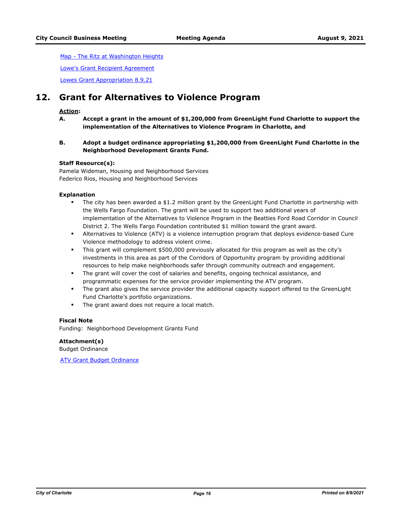[Map - The Ritz at Washington Heights](http://charlottenc.legistar.com/gateway.aspx?M=F&ID=d2178dc4-0892-4597-889a-599e2bdb1432.pdf)

[Lowe's Grant Recipient Agreement](http://charlottenc.legistar.com/gateway.aspx?M=F&ID=8300781d-87b3-4ad8-b8ad-6468c95e19a3.pdf)

[Lowes Grant Appropriation 8.9.21](http://charlottenc.legistar.com/gateway.aspx?M=F&ID=b8ed7a37-6d18-431d-9d65-73397992aa74.pdf)

# **12. Grant for Alternatives to Violence Program**

# **Action:**

**A. Accept a grant in the amount of \$1,200,000 from GreenLight Fund Charlotte to support the implementation of the Alternatives to Violence Program in Charlotte, and** 

# **B. Adopt a budget ordinance appropriating \$1,200,000 from GreenLight Fund Charlotte in the Neighborhood Development Grants Fund.**

### **Staff Resource(s):**

Pamela Wideman, Housing and Neighborhood Services Federico Rios, Housing and Neighborhood Services

### **Explanation**

- The city has been awarded a \$1.2 million grant by the GreenLight Fund Charlotte in partnership with the Wells Fargo Foundation. The grant will be used to support two additional years of implementation of the Alternatives to Violence Program in the Beatties Ford Road Corridor in Council District 2. The Wells Fargo Foundation contributed \$1 million toward the grant award.
- § Alternatives to Violence (ATV) is a violence interruption program that deploys evidence-based Cure Violence methodology to address violent crime.
- This grant will complement \$500,000 previously allocated for this program as well as the city's investments in this area as part of the Corridors of Opportunity program by providing additional resources to help make neighborhoods safer through community outreach and engagement.
- **•** The grant will cover the cost of salaries and benefits, ongoing technical assistance, and programmatic expenses for the service provider implementing the ATV program.
- § The grant also gives the service provider the additional capacity support offered to the GreenLight Fund Charlotte's portfolio organizations.
- **•** The grant award does not require a local match.

#### **Fiscal Note**

Funding: Neighborhood Development Grants Fund

**Attachment(s)** Budget Ordinance

**[ATV Grant Budget Ordinance](http://charlottenc.legistar.com/gateway.aspx?M=F&ID=7b884f37-4db2-4d43-8ab8-7a6ada40d595.pdf)**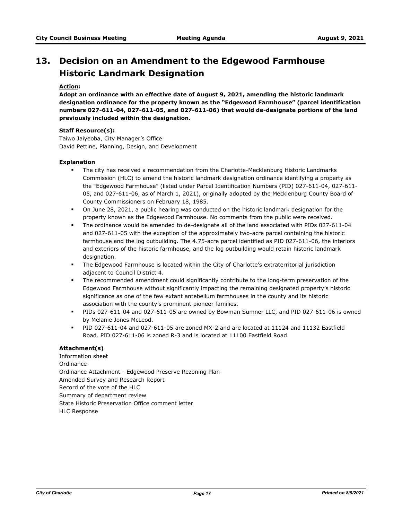# **Decision on an Amendment to the Edgewood Farmhouse 13. Historic Landmark Designation**

# **Action:**

**Adopt an ordinance with an effective date of August 9, 2021, amending the historic landmark designation ordinance for the property known as the "Edgewood Farmhouse" (parcel identification numbers 027-611-04, 027-611-05, and 027-611-06) that would de-designate portions of the land previously included within the designation.**

# **Staff Resource(s):**

Taiwo Jaiyeoba, City Manager's Office David Pettine, Planning, Design, and Development

### **Explanation**

- § The city has received a recommendation from the Charlotte-Mecklenburg Historic Landmarks Commission (HLC) to amend the historic landmark designation ordinance identifying a property as the "Edgewood Farmhouse" (listed under Parcel Identification Numbers (PID) 027-611-04, 027-611- 05, and 027-611-06, as of March 1, 2021), originally adopted by the Mecklenburg County Board of County Commissioners on February 18, 1985.
- § On June 28, 2021, a public hearing was conducted on the historic landmark designation for the property known as the Edgewood Farmhouse. No comments from the public were received.
- **•** The ordinance would be amended to de-designate all of the land associated with PIDs 027-611-04 and 027-611-05 with the exception of the approximately two-acre parcel containing the historic farmhouse and the log outbuilding. The 4.75-acre parcel identified as PID 027-611-06, the interiors and exteriors of the historic farmhouse, and the log outbuilding would retain historic landmark designation.
- **•** The Edgewood Farmhouse is located within the City of Charlotte's extraterritorial jurisdiction adjacent to Council District 4.
- **•** The recommended amendment could significantly contribute to the long-term preservation of the Edgewood Farmhouse without significantly impacting the remaining designated property's historic significance as one of the few extant antebellum farmhouses in the county and its historic association with the county's prominent pioneer families.
- § PIDs 027-611-04 and 027-611-05 are owned by Bowman Sumner LLC, and PID 027-611-06 is owned by Melanie Jones McLeod.
- § PID 027-611-04 and 027-611-05 are zoned MX-2 and are located at 11124 and 11132 Eastfield Road. PID 027-611-06 is zoned R-3 and is located at 11100 Eastfield Road.

# **Attachment(s)**

Information sheet Ordinance Ordinance Attachment - Edgewood Preserve Rezoning Plan Amended Survey and Research Report Record of the vote of the HLC Summary of department review State Historic Preservation Office comment letter HLC Response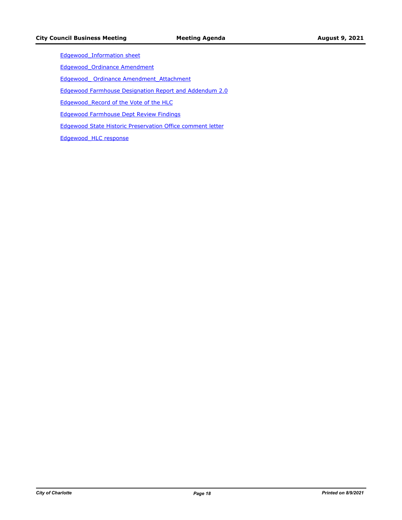[Edgewood\\_Information sheet](http://charlottenc.legistar.com/gateway.aspx?M=F&ID=6f978e13-6b33-4e49-9bf9-e763616b1eaa.docx)

[Edgewood\\_Ordinance Amendment](http://charlottenc.legistar.com/gateway.aspx?M=F&ID=446adb73-937d-4d4f-a31e-b5f103f31193.docx)

Edgewood Ordinance Amendment Attachment

[Edgewood Farmhouse Designation Report and Addendum 2.0](http://charlottenc.legistar.com/gateway.aspx?M=F&ID=cf70dadd-972b-4cd5-b6e5-2dab80d1627a.pdf)

[Edgewood\\_Record of the Vote of the HLC](http://charlottenc.legistar.com/gateway.aspx?M=F&ID=58d6da0d-c4a6-4121-a790-4709ab55f207.docx)

[Edgewood Farmhouse Dept Review Findings](http://charlottenc.legistar.com/gateway.aspx?M=F&ID=a6bef463-0778-4637-86a8-c0bf2138e05d.docx)

[Edgewood State Historic Preservation Office comment letter](http://charlottenc.legistar.com/gateway.aspx?M=F&ID=b93bed2d-774b-476d-a6f5-a3a80e1be3e6.pdf)

[Edgewood\\_HLC response](http://charlottenc.legistar.com/gateway.aspx?M=F&ID=d2b8f820-8541-4fe9-a7f1-d6daa160bf5d.docx)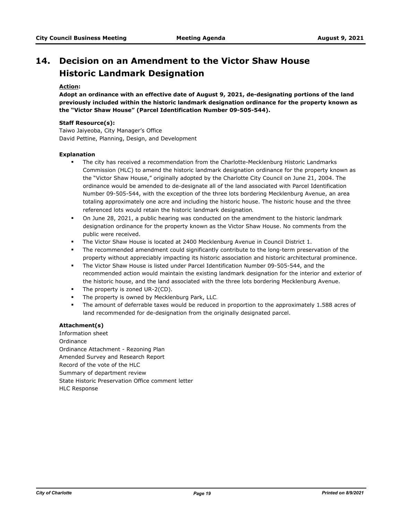# **Decision on an Amendment to the Victor Shaw House Historic Landmark Designation 14.**

# **Action:**

**Adopt an ordinance with an effective date of August 9, 2021, de-designating portions of the land previously included within the historic landmark designation ordinance for the property known as the "Victor Shaw House" (Parcel Identification Number 09-505-544).**

### **Staff Resource(s):**

Taiwo Jaiyeoba, City Manager's Office David Pettine, Planning, Design, and Development

### **Explanation**

- The city has received a recommendation from the Charlotte-Mecklenburg Historic Landmarks Commission (HLC) to amend the historic landmark designation ordinance for the property known as the "Victor Shaw House," originally adopted by the Charlotte City Council on June 21, 2004. The ordinance would be amended to de-designate all of the land associated with Parcel Identification Number 09-505-544, with the exception of the three lots bordering Mecklenburg Avenue, an area totaling approximately one acre and including the historic house. The historic house and the three referenced lots would retain the historic landmark designation.
- § On June 28, 2021, a public hearing was conducted on the amendment to the historic landmark designation ordinance for the property known as the Victor Shaw House. No comments from the public were received.
- § The Victor Shaw House is located at 2400 Mecklenburg Avenue in Council District 1.
- **•** The recommended amendment could significantly contribute to the long-term preservation of the property without appreciably impacting its historic association and historic architectural prominence.
- **■** The Victor Shaw House is listed under Parcel Identification Number 09-505-544, and the recommended action would maintain the existing landmark designation for the interior and exterior of the historic house, and the land associated with the three lots bordering Mecklenburg Avenue.
- The property is zoned UR-2(CD).
- The property is owned by Mecklenburg Park, LLC.
- The amount of deferrable taxes would be reduced in proportion to the approximately 1.588 acres of land recommended for de-designation from the originally designated parcel.

# **Attachment(s)**

Information sheet Ordinance Ordinance Attachment - Rezoning Plan Amended Survey and Research Report Record of the vote of the HLC Summary of department review State Historic Preservation Office comment letter HLC Response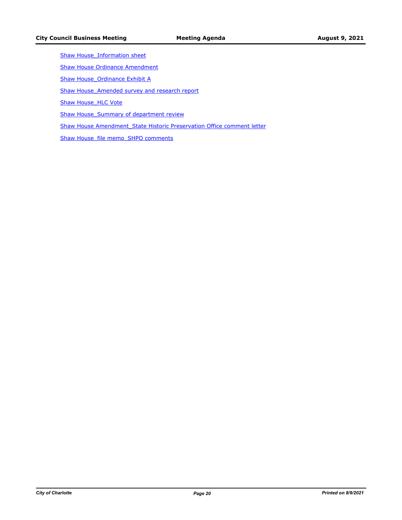- Shaw House Information sheet
- **[Shaw House Ordinance Amendment](http://charlottenc.legistar.com/gateway.aspx?M=F&ID=b3c8fcc3-b713-4b47-a44e-2164e0a0da77.docx)**
- Shaw House Ordinance Exhibit A
- Shaw House Amended survey and research report
- Shaw House HLC Vote
- Shaw House Summary of department review
- Shaw House Amendment State Historic Preservation Office comment letter
- Shaw House file memo SHPO comments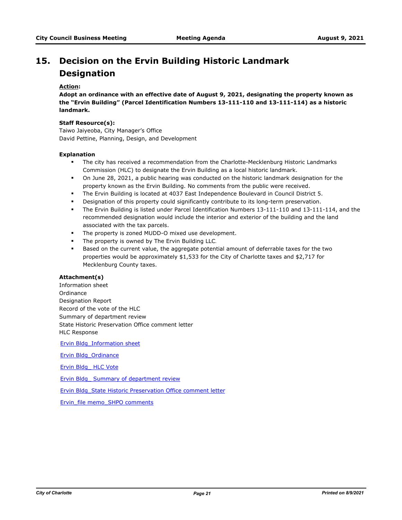# **Decision on the Ervin Building Historic Landmark 15. Designation**

# **Action:**

**Adopt an ordinance with an effective date of August 9, 2021, designating the property known as the "Ervin Building" (Parcel Identification Numbers 13-111-110 and 13-111-114) as a historic landmark.**

#### **Staff Resource(s):**

Taiwo Jaiyeoba, City Manager's Office David Pettine, Planning, Design, and Development

### **Explanation**

- **■** The city has received a recommendation from the Charlotte-Mecklenburg Historic Landmarks Commission (HLC) to designate the Ervin Building as a local historic landmark.
- § On June 28, 2021, a public hearing was conducted on the historic landmark designation for the property known as the Ervin Building. No comments from the public were received.
- **The Ervin Building is located at 4037 East Independence Boulevard in Council District 5.**
- **•** Designation of this property could significantly contribute to its long-term preservation.
- § The Ervin Building is listed under Parcel Identification Numbers 13-111-110 and 13-111-114, and the recommended designation would include the interior and exterior of the building and the land associated with the tax parcels.
- § The property is zoned MUDD-O mixed use development.
- The property is owned by The Ervin Building LLC.
- **■** Based on the current value, the aggregate potential amount of deferrable taxes for the two properties would be approximately \$1,533 for the City of Charlotte taxes and \$2,717 for Mecklenburg County taxes.

# **Attachment(s)**

Information sheet Ordinance Designation Report Record of the vote of the HLC Summary of department review State Historic Preservation Office comment letter HLC Response

[Ervin Bldg\\_Information sheet](http://charlottenc.legistar.com/gateway.aspx?M=F&ID=e5230487-65f5-4ae2-beaf-4ce76d7a9766.docx)

[Ervin Bldg\\_Ordinance](http://charlottenc.legistar.com/gateway.aspx?M=F&ID=296a051c-109a-49d2-ad93-ff881633031c.docx)

[Ervin Bldg\\_ HLC Vote](http://charlottenc.legistar.com/gateway.aspx?M=F&ID=a120c62f-a06c-43e8-973f-97996be8ee79.docx)

[Ervin Bldg\\_ Summary of department review](http://charlottenc.legistar.com/gateway.aspx?M=F&ID=b307c8a7-d038-49df-b404-ae0b518eda28.doc)

[Ervin Bldg\\_State Historic Preservation Office comment letter](http://charlottenc.legistar.com/gateway.aspx?M=F&ID=0b7a3244-dabb-4e6f-b5d6-09a2e2e99504.pdf)

[Ervin\\_file memo\\_SHPO comments](http://charlottenc.legistar.com/gateway.aspx?M=F&ID=42412eea-665c-4fdc-9333-bfcd42ac9e05.docx)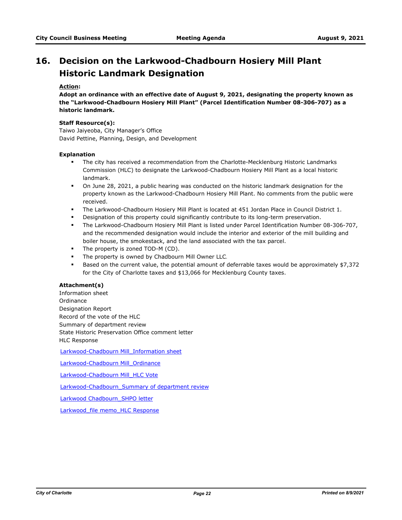# **Decision on the Larkwood-Chadbourn Hosiery Mill Plant Historic Landmark Designation 16.**

# **Action:**

**Adopt an ordinance with an effective date of August 9, 2021, designating the property known as the "Larkwood-Chadbourn Hosiery Mill Plant" (Parcel Identification Number 08-306-707) as a historic landmark.**

#### **Staff Resource(s):**

Taiwo Jaiyeoba, City Manager's Office David Pettine, Planning, Design, and Development

### **Explanation**

- **■** The city has received a recommendation from the Charlotte-Mecklenburg Historic Landmarks Commission (HLC) to designate the Larkwood-Chadbourn Hosiery Mill Plant as a local historic landmark.
- § On June 28, 2021, a public hearing was conducted on the historic landmark designation for the property known as the Larkwood-Chadbourn Hosiery Mill Plant. No comments from the public were received.
- **•** The Larkwood-Chadbourn Hosiery Mill Plant is located at 451 Jordan Place in Council District 1.
- Designation of this property could significantly contribute to its long-term preservation.
- § The Larkwood-Chadbourn Hosiery Mill Plant is listed under Parcel Identification Number 08-306-707, and the recommended designation would include the interior and exterior of the mill building and boiler house, the smokestack, and the land associated with the tax parcel.
- The property is zoned TOD-M (CD).
- The property is owned by Chadbourn Mill Owner LLC.
- **■** Based on the current value, the potential amount of deferrable taxes would be approximately \$7,372 for the City of Charlotte taxes and \$13,066 for Mecklenburg County taxes.

# **Attachment(s)**

Information sheet Ordinance Designation Report Record of the vote of the HLC Summary of department review State Historic Preservation Office comment letter HLC Response

[Larkwood-Chadbourn Mill\\_Information sheet](http://charlottenc.legistar.com/gateway.aspx?M=F&ID=bc4a2f8c-d4be-4747-bb2e-93527f1fbab4.docx)

[Larkwood-Chadbourn Mill\\_Ordinance](http://charlottenc.legistar.com/gateway.aspx?M=F&ID=c4f8cfc2-03c3-4497-afda-a949862b85d3.docx)

[Larkwood-Chadbourn Mill\\_HLC Vote](http://charlottenc.legistar.com/gateway.aspx?M=F&ID=f8d2cb29-8e6b-4199-9038-a91ec68f088a.docx)

[Larkwood-Chadbourn\\_Summary of department review](http://charlottenc.legistar.com/gateway.aspx?M=F&ID=6eccc527-7702-421d-b61b-7e4f5e0962d1.docx)

[Larkwood Chadbourn\\_SHPO letter](http://charlottenc.legistar.com/gateway.aspx?M=F&ID=903ec99a-9dd6-4bb8-97e5-27045347b9eb.pdf)

Larkwood file memo HLC Response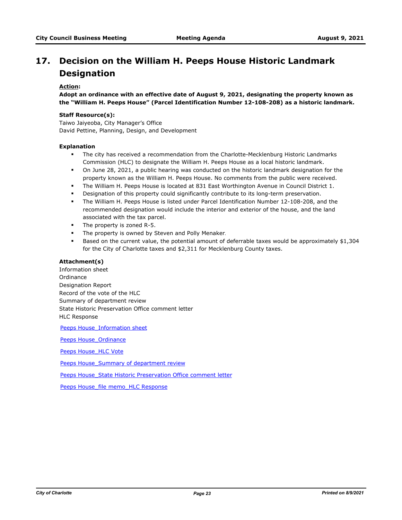# **Decision on the William H. Peeps House Historic Landmark 17. Designation**

# **Action:**

**Adopt an ordinance with an effective date of August 9, 2021, designating the property known as the "William H. Peeps House" (Parcel Identification Number 12-108-208) as a historic landmark.**

# **Staff Resource(s):**

Taiwo Jaiyeoba, City Manager's Office David Pettine, Planning, Design, and Development

### **Explanation**

- **•** The city has received a recommendation from the Charlotte-Mecklenburg Historic Landmarks Commission (HLC) to designate the William H. Peeps House as a local historic landmark.
- § On June 28, 2021, a public hearing was conducted on the historic landmark designation for the property known as the William H. Peeps House. No comments from the public were received.
- **The William H. Peeps House is located at 831 East Worthington Avenue in Council District 1.**
- Designation of this property could significantly contribute to its long-term preservation.
- § The William H. Peeps House is listed under Parcel Identification Number 12-108-208, and the recommended designation would include the interior and exterior of the house, and the land associated with the tax parcel.
- § The property is zoned R-5.
- **The property is owned by Steven and Polly Menaker.**
- Based on the current value, the potential amount of deferrable taxes would be approximately \$1,304 for the City of Charlotte taxes and \$2,311 for Mecklenburg County taxes.

#### **Attachment(s)**

Information sheet Ordinance Designation Report Record of the vote of the HLC Summary of department review State Historic Preservation Office comment letter HLC Response

Peeps House Information sheet

Peeps House Ordinance

[Peeps House\\_HLC Vote](http://charlottenc.legistar.com/gateway.aspx?M=F&ID=043a6b43-69e8-432b-aaeb-e283ba6ed849.docx)

Peeps House Summary of department review

[Peeps House\\_State Historic Preservation Office comment letter](http://charlottenc.legistar.com/gateway.aspx?M=F&ID=2d52abce-2e75-4788-a94a-3b31e08c854b.pdf)

[Peeps House\\_file memo\\_HLC Response](http://charlottenc.legistar.com/gateway.aspx?M=F&ID=1bfa50da-cefc-4f8e-8b07-ba4e5299a124.docx)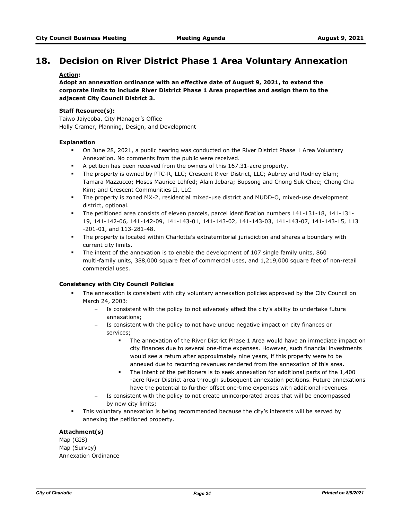# **18. Decision on River District Phase 1 Area Voluntary Annexation**

# **Action:**

**Adopt an annexation ordinance with an effective date of August 9, 2021, to extend the corporate limits to include River District Phase 1 Area properties and assign them to the adjacent City Council District 3.** 

# **Staff Resource(s):**

Taiwo Jaiyeoba, City Manager's Office Holly Cramer, Planning, Design, and Development

### **Explanation**

- § On June 28, 2021, a public hearing was conducted on the River District Phase 1 Area Voluntary Annexation. No comments from the public were received.
- § A petition has been received from the owners of this 167.31-acre property.
- § The property is owned by PTC-R, LLC; Crescent River District, LLC; Aubrey and Rodney Elam; Tamara Mazzucco; Moses Maurice Lehfed; Alain Jebara; Bupsong and Chong Suk Choe; Chong Cha Kim; and Crescent Communities II, LLC.
- § The property is zoned MX-2, residential mixed-use district and MUDD-O, mixed-use development district, optional.
- § The petitioned area consists of eleven parcels, parcel identification numbers 141-131-18, 141-131- 19, 141-142-06, 141-142-09, 141-143-01, 141-143-02, 141-143-03, 141-143-07, 141-143-15, 113 -201-01, and 113-281-48.
- § The property is located within Charlotte's extraterritorial jurisdiction and shares a boundary with current city limits.
- § The intent of the annexation is to enable the development of 107 single family units, 860 multi-family units, 388,000 square feet of commercial uses, and 1,219,000 square feet of non-retail commercial uses.

# **Consistency with City Council Policies**

- The annexation is consistent with city voluntary annexation policies approved by the City Council on March 24, 2003:
	- Is consistent with the policy to not adversely affect the city's ability to undertake future annexations;
	- Is consistent with the policy to not have undue negative impact on city finances or services;
		- § The annexation of the River District Phase 1 Area would have an immediate impact on city finances due to several one-time expenses. However, such financial investments would see a return after approximately nine years, if this property were to be annexed due to recurring revenues rendered from the annexation of this area.
		- The intent of the petitioners is to seek annexation for additional parts of the 1,400 -acre River District area through subsequent annexation petitions. Future annexations have the potential to further offset one-time expenses with additional revenues.
	- Is consistent with the policy to not create unincorporated areas that will be encompassed by new city limits;
- **•** This voluntary annexation is being recommended because the city's interests will be served by annexing the petitioned property.

# **Attachment(s)**

Map (GIS) Map (Survey) Annexation Ordinance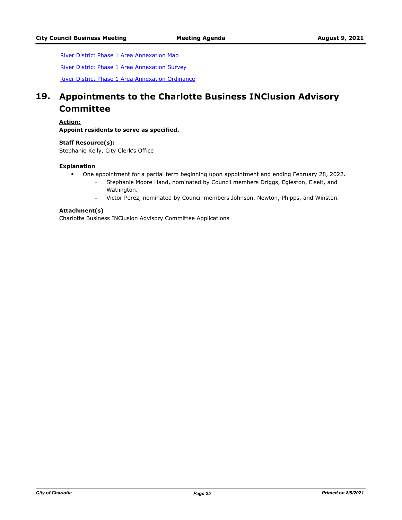[River District Phase 1 Area Annexation Map](http://charlottenc.legistar.com/gateway.aspx?M=F&ID=e6e9245a-562f-4cdc-bf73-dd4f2c20005f.pdf)

[River District Phase 1 Area Annexation Survey](http://charlottenc.legistar.com/gateway.aspx?M=F&ID=64ee784f-de32-4d32-9f9e-39bb3c74627d.pdf)

[River District Phase 1 Area Annexation Ordinance](http://charlottenc.legistar.com/gateway.aspx?M=F&ID=a1c05f27-417c-4ea6-95f7-5426b14d763e.docx)

# **Appointments to the Charlotte Business INClusion Advisory Committee 19.**

**Action:**

**Appoint residents to serve as specified.**

**Staff Resource(s):** Stephanie Kelly, City Clerk's Office

#### **Explanation**

- § One appointment for a partial term beginning upon appointment and ending February 28, 2022.
	- Stephanie Moore Hand, nominated by Council members Driggs, Egleston, Eiselt, and Watlington.
	- Victor Perez, nominated by Council members Johnson, Newton, Phipps, and Winston.

### **Attachment(s)**

Charlotte Business INClusion Advisory Committee Applications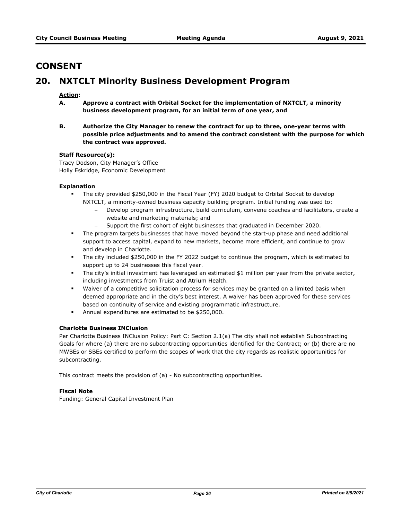# **CONSENT**

# **20. NXTCLT Minority Business Development Program**

# **Action:**

- **A. Approve a contract with Orbital Socket for the implementation of NXTCLT, a minority business development program, for an initial term of one year, and**
- **B. Authorize the City Manager to renew the contract for up to three, one-year terms with possible price adjustments and to amend the contract consistent with the purpose for which the contract was approved.**

### **Staff Resource(s):**

Tracy Dodson, City Manager's Office Holly Eskridge, Economic Development

### **Explanation**

- The city provided \$250,000 in the Fiscal Year (FY) 2020 budget to Orbital Socket to develop NXTCLT, a minority-owned business capacity building program. Initial funding was used to:
	- Develop program infrastructure, build curriculum, convene coaches and facilitators, create a website and marketing materials; and
	- Support the first cohort of eight businesses that graduated in December 2020.
- **•** The program targets businesses that have moved beyond the start-up phase and need additional support to access capital, expand to new markets, become more efficient, and continue to grow and develop in Charlotte.
- § The city included \$250,000 in the FY 2022 budget to continue the program, which is estimated to support up to 24 businesses this fiscal year.
- **•** The city's initial investment has leveraged an estimated \$1 million per year from the private sector, including investments from Truist and Atrium Health.
- **•** Waiver of a competitive solicitation process for services may be granted on a limited basis when deemed appropriate and in the city's best interest. A waiver has been approved for these services based on continuity of service and existing programmatic infrastructure.
- § Annual expenditures are estimated to be \$250,000.

# **Charlotte Business INClusion**

Per Charlotte Business INClusion Policy: Part C: Section 2.1(a) The city shall not establish Subcontracting Goals for where (a) there are no subcontracting opportunities identified for the Contract; or (b) there are no MWBEs or SBEs certified to perform the scopes of work that the city regards as realistic opportunities for subcontracting.

This contract meets the provision of (a) - No subcontracting opportunities.

# **Fiscal Note**

Funding: General Capital Investment Plan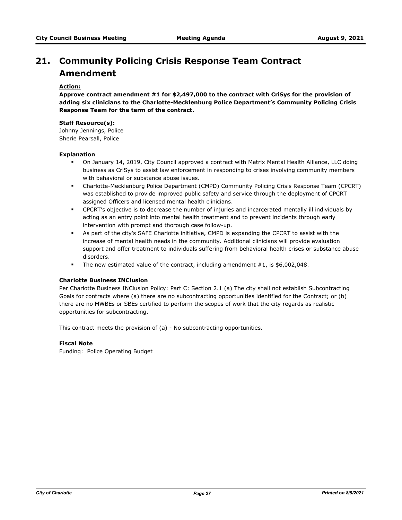# **Community Policing Crisis Response Team Contract 21. Amendment**

# **Action:**

**Approve contract amendment #1 for \$2,497,000 to the contract with CriSys for the provision of adding six clinicians to the Charlotte-Mecklenburg Police Department's Community Policing Crisis Response Team for the term of the contract.** 

#### **Staff Resource(s):**

Johnny Jennings, Police Sherie Pearsall, Police

### **Explanation**

- § On January 14, 2019, City Council approved a contract with Matrix Mental Health Alliance, LLC doing business as CriSys to assist law enforcement in responding to crises involving community members with behavioral or substance abuse issues.
- § Charlotte-Mecklenburg Police Department (CMPD) Community Policing Crisis Response Team (CPCRT) was established to provide improved public safety and service through the deployment of CPCRT assigned Officers and licensed mental health clinicians.
- § CPCRT's objective is to decrease the number of injuries and incarcerated mentally ill individuals by acting as an entry point into mental health treatment and to prevent incidents through early intervention with prompt and thorough case follow-up.
- § As part of the city's SAFE Charlotte initiative, CMPD is expanding the CPCRT to assist with the increase of mental health needs in the community. Additional clinicians will provide evaluation support and offer treatment to individuals suffering from behavioral health crises or substance abuse disorders.
- § The new estimated value of the contract, including amendment #1, is \$6,002,048.

#### **Charlotte Business INClusion**

Per Charlotte Business INClusion Policy: Part C: Section 2.1 (a) The city shall not establish Subcontracting Goals for contracts where (a) there are no subcontracting opportunities identified for the Contract; or (b) there are no MWBEs or SBEs certified to perform the scopes of work that the city regards as realistic opportunities for subcontracting.

This contract meets the provision of (a) - No subcontracting opportunities.

### **Fiscal Note**

Funding: Police Operating Budget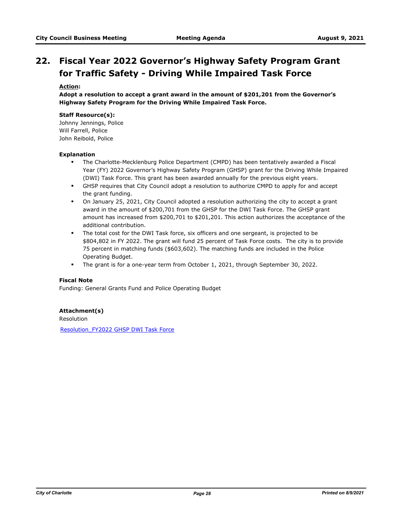# **Fiscal Year 2022 Governor's Highway Safety Program Grant 22. for Traffic Safety - Driving While Impaired Task Force**

# **Action:**

**Adopt a resolution to accept a grant award in the amount of \$201,201 from the Governor's Highway Safety Program for the Driving While Impaired Task Force.**

# **Staff Resource(s):**

Johnny Jennings, Police Will Farrell, Police John Reibold, Police

#### **Explanation**

- § The Charlotte-Mecklenburg Police Department (CMPD) has been tentatively awarded a Fiscal Year (FY) 2022 Governor's Highway Safety Program (GHSP) grant for the Driving While Impaired (DWI) Task Force. This grant has been awarded annually for the previous eight years.
- § GHSP requires that City Council adopt a resolution to authorize CMPD to apply for and accept the grant funding.
- § On January 25, 2021, City Council adopted a resolution authorizing the city to accept a grant award in the amount of \$200,701 from the GHSP for the DWI Task Force. The GHSP grant amount has increased from \$200,701 to \$201,201. This action authorizes the acceptance of the additional contribution.
- § The total cost for the DWI Task force, six officers and one sergeant, is projected to be \$804,802 in FY 2022. The grant will fund 25 percent of Task Force costs. The city is to provide 75 percent in matching funds (\$603,602). The matching funds are included in the Police Operating Budget.
- § The grant is for a one-year term from October 1, 2021, through September 30, 2022.

### **Fiscal Note**

Funding: General Grants Fund and Police Operating Budget

# **Attachment(s)**

Resolution

[Resolution\\_FY2022 GHSP DWI Task Force](http://charlottenc.legistar.com/gateway.aspx?M=F&ID=7e178f61-8e8d-4bca-a909-bf6869a2bff2.pdf)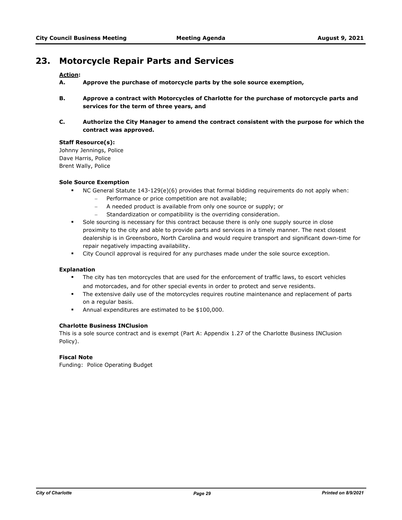# **23. Motorcycle Repair Parts and Services**

# **Action:**

- **A. Approve the purchase of motorcycle parts by the sole source exemption,**
- **B. Approve a contract with Motorcycles of Charlotte for the purchase of motorcycle parts and services for the term of three years, and**
- **C. Authorize the City Manager to amend the contract consistent with the purpose for which the contract was approved.**

### **Staff Resource(s):**

Johnny Jennings, Police Dave Harris, Police Brent Wally, Police

### **Sole Source Exemption**

- § NC General Statute 143-129(e)(6) provides that formal bidding requirements do not apply when:
	- Performance or price competition are not available;
	- A needed product is available from only one source or supply; or
	- Standardization or compatibility is the overriding consideration.
- § Sole sourcing is necessary for this contract because there is only one supply source in close proximity to the city and able to provide parts and services in a timely manner. The next closest dealership is in Greensboro, North Carolina and would require transport and significant down-time for repair negatively impacting availability.
- **•** City Council approval is required for any purchases made under the sole source exception.

#### **Explanation**

- The city has ten motorcycles that are used for the enforcement of traffic laws, to escort vehicles and motorcades, and for other special events in order to protect and serve residents.
- **•** The extensive daily use of the motorcycles requires routine maintenance and replacement of parts on a regular basis.
- § Annual expenditures are estimated to be \$100,000.

#### **Charlotte Business INClusion**

This is a sole source contract and is exempt (Part A: Appendix 1.27 of the Charlotte Business INClusion Policy).

# **Fiscal Note**

Funding: Police Operating Budget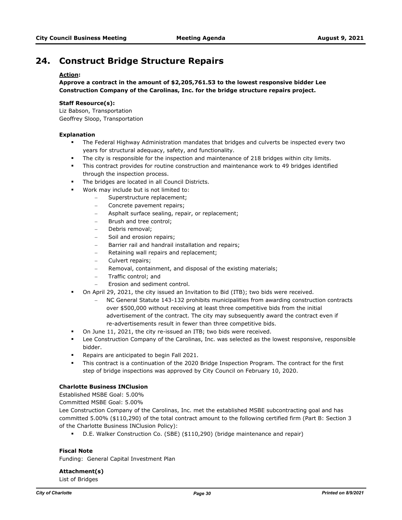# **24. Construct Bridge Structure Repairs**

# **Action:**

**Approve a contract in the amount of \$2,205,761.53 to the lowest responsive bidder Lee Construction Company of the Carolinas, Inc. for the bridge structure repairs project.**

# **Staff Resource(s):**

Liz Babson, Transportation Geoffrey Sloop, Transportation

### **Explanation**

- § The Federal Highway Administration mandates that bridges and culverts be inspected every two years for structural adequacy, safety, and functionality.
- **•** The city is responsible for the inspection and maintenance of 218 bridges within city limits.
- **•** This contract provides for routine construction and maintenance work to 49 bridges identified through the inspection process.
- **The bridges are located in all Council Districts.**
- § Work may include but is not limited to:
	- Superstructure replacement;
	- Concrete pavement repairs;
	- Asphalt surface sealing, repair, or replacement;
	- Brush and tree control;
	- Debris removal;
	- Soil and erosion repairs;
	- Barrier rail and handrail installation and repairs;
	- Retaining wall repairs and replacement;
	- Culvert repairs;
	- Removal, containment, and disposal of the existing materials;
	- Traffic control; and
	- Erosion and sediment control.
- § On April 29, 2021, the city issued an Invitation to Bid (ITB); two bids were received.
	- NC General Statute 143-132 prohibits municipalities from awarding construction contracts over \$500,000 without receiving at least three competitive bids from the initial advertisement of the contract. The city may subsequently award the contract even if re-advertisements result in fewer than three competitive bids.
- § On June 11, 2021, the city re-issued an ITB; two bids were received.
- § Lee Construction Company of the Carolinas, Inc. was selected as the lowest responsive, responsible bidder.
- Repairs are anticipated to begin Fall 2021.
- § This contract is a continuation of the 2020 Bridge Inspection Program. The contract for the first step of bridge inspections was approved by City Council on February 10, 2020.

# **Charlotte Business INClusion**

Established MSBE Goal: 5.00%

Committed MSBE Goal: 5.00%

Lee Construction Company of the Carolinas, Inc. met the established MSBE subcontracting goal and has committed 5.00% (\$110,290) of the total contract amount to the following certified firm (Part B: Section 3 of the Charlotte Business INClusion Policy):

§ D.E. Walker Construction Co. (SBE) (\$110,290) (bridge maintenance and repair)

# **Fiscal Note**

Funding: General Capital Investment Plan

**Attachment(s)** List of Bridges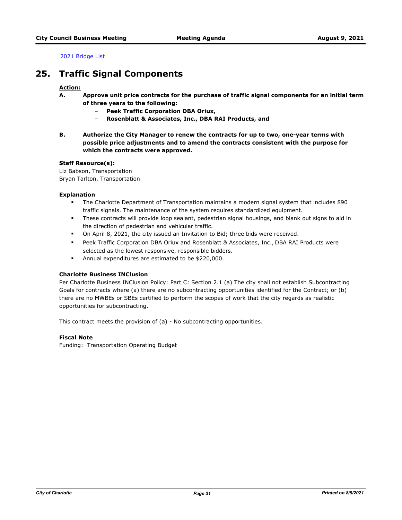[2021 Bridge List](http://charlottenc.legistar.com/gateway.aspx?M=F&ID=286018ef-1fe2-46c4-a5ba-a7bf79c21218.pdf)

# **25. Traffic Signal Components**

# **Action:**

- **A. Approve unit price contracts for the purchase of traffic signal components for an initial term of three years to the following:**
	- ‒ **Peek Traffic Corporation DBA Oriux,**
	- ‒ **Rosenblatt & Associates, Inc., DBA RAI Products, and**
- **B. Authorize the City Manager to renew the contracts for up to two, one-year terms with possible price adjustments and to amend the contracts consistent with the purpose for which the contracts were approved.**

# **Staff Resource(s):**

Liz Babson, Transportation Bryan Tarlton, Transportation

### **Explanation**

- § The Charlotte Department of Transportation maintains a modern signal system that includes 890 traffic signals. The maintenance of the system requires standardized equipment.
- § These contracts will provide loop sealant, pedestrian signal housings, and blank out signs to aid in the direction of pedestrian and vehicular traffic.
- § On April 8, 2021, the city issued an Invitation to Bid; three bids were received.
- § Peek Traffic Corporation DBA Oriux and Rosenblatt & Associates, Inc., DBA RAI Products were selected as the lowest responsive, responsible bidders.
- § Annual expenditures are estimated to be \$220,000.

# **Charlotte Business INClusion**

Per Charlotte Business INClusion Policy: Part C: Section 2.1 (a) The city shall not establish Subcontracting Goals for contracts where (a) there are no subcontracting opportunities identified for the Contract; or (b) there are no MWBEs or SBEs certified to perform the scopes of work that the city regards as realistic opportunities for subcontracting.

This contract meets the provision of (a) - No subcontracting opportunities.

### **Fiscal Note**

Funding: Transportation Operating Budget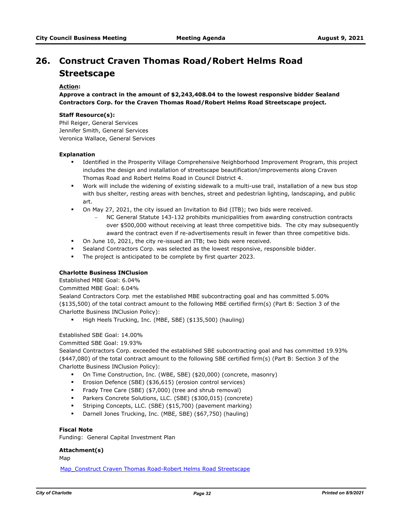# **Construct Craven Thomas Road/Robert Helms Road 26. Streetscape**

# **Action:**

**Approve a contract in the amount of \$2,243,408.04 to the lowest responsive bidder Sealand Contractors Corp. for the Craven Thomas Road/Robert Helms Road Streetscape project.**

#### **Staff Resource(s):**

Phil Reiger, General Services Jennifer Smith, General Services Veronica Wallace, General Services

#### **Explanation**

- § Identified in the Prosperity Village Comprehensive Neighborhood Improvement Program, this project includes the design and installation of streetscape beautification/improvements along Craven Thomas Road and Robert Helms Road in Council District 4.
- § Work will include the widening of existing sidewalk to a multi-use trail, installation of a new bus stop with bus shelter, resting areas with benches, street and pedestrian lighting, landscaping, and public art.
- § On May 27, 2021, the city issued an Invitation to Bid (ITB); two bids were received.
	- NC General Statute 143-132 prohibits municipalities from awarding construction contracts over \$500,000 without receiving at least three competitive bids. The city may subsequently award the contract even if re-advertisements result in fewer than three competitive bids.
- § On June 10, 2021, the city re-issued an ITB; two bids were received.
- Sealand Contractors Corp. was selected as the lowest responsive, responsible bidder.
- § The project is anticipated to be complete by first quarter 2023.

# **Charlotte Business INClusion**

Established MBE Goal: 6.04%

Committed MBE Goal: 6.04%

Sealand Contractors Corp. met the established MBE subcontracting goal and has committed 5.00% (\$135,500) of the total contract amount to the following MBE certified firm(s) (Part B: Section 3 of the Charlotte Business INClusion Policy):

§ High Heels Trucking, Inc. (MBE, SBE) (\$135,500) (hauling)

# Established SBE Goal: 14.00%

Committed SBE Goal: 19.93%

Sealand Contractors Corp. exceeded the established SBE subcontracting goal and has committed 19.93% (\$447,080) of the total contract amount to the following SBE certified firm(s) (Part B: Section 3 of the Charlotte Business INClusion Policy):

- § On Time Construction, Inc. (WBE, SBE) (\$20,000) (concrete, masonry)
- Erosion Defence (SBE) (\$36,615) (erosion control services)
- § Frady Tree Care (SBE) (\$7,000) (tree and shrub removal)
- Parkers Concrete Solutions, LLC. (SBE) (\$300,015) (concrete)
- § Striping Concepts, LLC. (SBE) (\$15,700) (pavement marking)
- § Darnell Jones Trucking, Inc. (MBE, SBE) (\$67,750) (hauling)

# **Fiscal Note**

Funding: General Capital Investment Plan

# **Attachment(s)**

Map

[Map\\_Construct Craven Thomas Road-Robert Helms Road Streetscape](http://charlottenc.legistar.com/gateway.aspx?M=F&ID=13ae7de4-6764-4f5d-ba98-30ab424eedd7.pdf)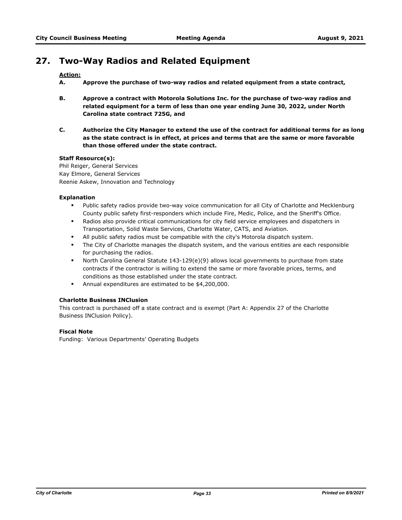# **27. Two-Way Radios and Related Equipment**

# **Action:**

- **A. Approve the purchase of two-way radios and related equipment from a state contract,**
- **B. Approve a contract with Motorola Solutions Inc. for the purchase of two-way radios and related equipment for a term of less than one year ending June 30, 2022, under North Carolina state contract 725G, and**
- **C. Authorize the City Manager to extend the use of the contract for additional terms for as long as the state contract is in effect, at prices and terms that are the same or more favorable than those offered under the state contract.**

# **Staff Resource(s):**

Phil Reiger, General Services Kay Elmore, General Services Reenie Askew, Innovation and Technology

### **Explanation**

- § Public safety radios provide two-way voice communication for all City of Charlotte and Mecklenburg County public safety first-responders which include Fire, Medic, Police, and the Sheriff's Office.
- § Radios also provide critical communications for city field service employees and dispatchers in Transportation, Solid Waste Services, Charlotte Water, CATS, and Aviation.
- **•** All public safety radios must be compatible with the city's Motorola dispatch system.
- The City of Charlotte manages the dispatch system, and the various entities are each responsible for purchasing the radios.
- § North Carolina General Statute 143-129(e)(9) allows local governments to purchase from state contracts if the contractor is willing to extend the same or more favorable prices, terms, and conditions as those established under the state contract.
- § Annual expenditures are estimated to be \$4,200,000.

# **Charlotte Business INClusion**

This contract is purchased off a state contract and is exempt (Part A: Appendix 27 of the Charlotte Business INClusion Policy).

# **Fiscal Note**

Funding: Various Departments' Operating Budgets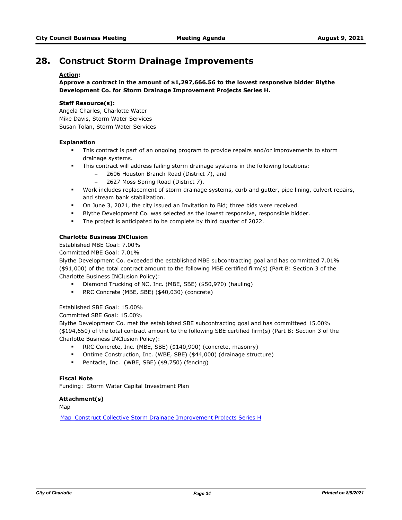# **28. Construct Storm Drainage Improvements**

# **Action:**

**Approve a contract in the amount of \$1,297,666.56 to the lowest responsive bidder Blythe Development Co. for Storm Drainage Improvement Projects Series H.**

# **Staff Resource(s):**

Angela Charles, Charlotte Water Mike Davis, Storm Water Services Susan Tolan, Storm Water Services

### **Explanation**

- **•** This contract is part of an ongoing program to provide repairs and/or improvements to storm drainage systems.
- **•** This contract will address failing storm drainage systems in the following locations:
	- 2606 Houston Branch Road (District 7), and
	- 2627 Moss Spring Road (District 7).
- § Work includes replacement of storm drainage systems, curb and gutter, pipe lining, culvert repairs, and stream bank stabilization.
- § On June 3, 2021, the city issued an Invitation to Bid; three bids were received.
- **Blythe Development Co. was selected as the lowest responsive, responsible bidder.**
- The project is anticipated to be complete by third quarter of 2022.

# **Charlotte Business INClusion**

Established MBE Goal: 7.00%

Committed MBE Goal: 7.01%

Blythe Development Co. exceeded the established MBE subcontracting goal and has committed 7.01% (\$91,000) of the total contract amount to the following MBE certified firm(s) (Part B: Section 3 of the Charlotte Business INClusion Policy):

- § Diamond Trucking of NC, Inc. (MBE, SBE) (\$50,970) (hauling)
- § RRC Concrete (MBE, SBE) (\$40,030) (concrete)

Established SBE Goal: 15.00%

Committed SBE Goal: 15.00%

Blythe Development Co. met the established SBE subcontracting goal and has committeed 15.00% (\$194,650) of the total contract amount to the following SBE certified firm(s) (Part B: Section 3 of the Charlotte Business INClusion Policy):

- § RRC Concrete, Inc. (MBE, SBE) (\$140,900) (concrete, masonry)
- § Ontime Construction, Inc. (WBE, SBE) (\$44,000) (drainage structure)
- § Pentacle, Inc. (WBE, SBE) (\$9,750) (fencing)

# **Fiscal Note**

Funding: Storm Water Capital Investment Plan

#### **Attachment(s)**

Map

[Map\\_Construct Collective Storm Drainage Improvement Projects Series H](http://charlottenc.legistar.com/gateway.aspx?M=F&ID=36619299-a063-45d3-be7b-8b90278cfa9a.pdf)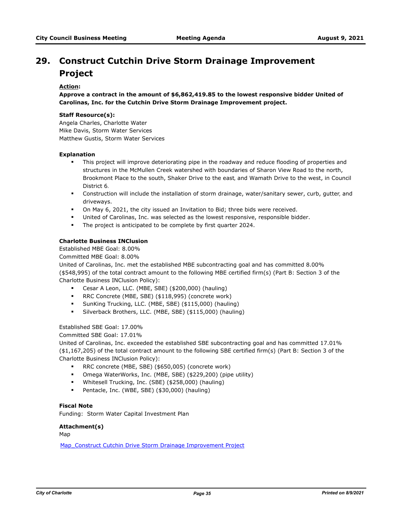# **Construct Cutchin Drive Storm Drainage Improvement 29. Project**

# **Action:**

**Approve a contract in the amount of \$6,862,419.85 to the lowest responsive bidder United of Carolinas, Inc. for the Cutchin Drive Storm Drainage Improvement project.**

#### **Staff Resource(s):**

Angela Charles, Charlotte Water Mike Davis, Storm Water Services Matthew Gustis, Storm Water Services

#### **Explanation**

- **•** This project will improve deteriorating pipe in the roadway and reduce flooding of properties and structures in the McMullen Creek watershed with boundaries of Sharon View Road to the north, Brookmont Place to the south, Shaker Drive to the east, and Wamath Drive to the west, in Council District 6.
- § Construction will include the installation of storm drainage, water/sanitary sewer, curb, gutter, and driveways.
- § On May 6, 2021, the city issued an Invitation to Bid; three bids were received.
- United of Carolinas, Inc. was selected as the lowest responsive, responsible bidder.
- § The project is anticipated to be complete by first quarter 2024.

# **Charlotte Business INClusion**

Established MBE Goal: 8.00%

Committed MBE Goal: 8.00%

United of Carolinas, Inc. met the established MBE subcontracting goal and has committed 8.00% (\$548,995) of the total contract amount to the following MBE certified firm(s) (Part B: Section 3 of the Charlotte Business INClusion Policy):

- § Cesar A Leon, LLC. (MBE, SBE) (\$200,000) (hauling)
- § RRC Concrete (MBE, SBE) (\$118,995) (concrete work)
- § SunKing Trucking, LLC. (MBE, SBE) (\$115,000) (hauling)
- § Silverback Brothers, LLC. (MBE, SBE) (\$115,000) (hauling)

Established SBE Goal: 17.00%

Committed SBE Goal: 17.01%

United of Carolinas, Inc. exceeded the established SBE subcontracting goal and has committed 17.01% (\$1,167,205) of the total contract amount to the following SBE certified firm(s) (Part B: Section 3 of the Charlotte Business INClusion Policy):

- RRC concrete (MBE, SBE) (\$650,005) (concrete work)
- § Omega WaterWorks, Inc. (MBE, SBE) (\$229,200) (pipe utility)
- § Whitesell Trucking, Inc. (SBE) (\$258,000) (hauling)
- § Pentacle, Inc. (WBE, SBE) (\$30,000) (hauling)

# **Fiscal Note**

Funding: Storm Water Capital Investment Plan

#### **Attachment(s)**

Map

Map Construct Cutchin Drive Storm Drainage Improvement Project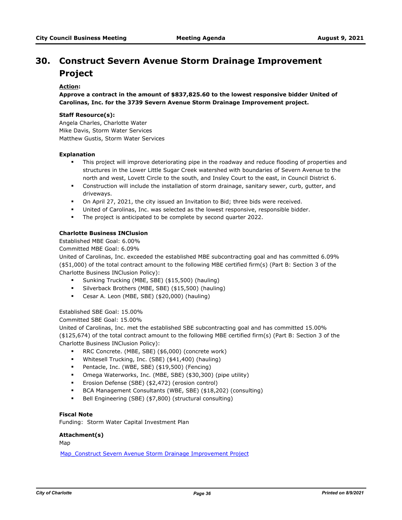# **Construct Severn Avenue Storm Drainage Improvement 30. Project**

# **Action:**

**Approve a contract in the amount of \$837,825.60 to the lowest responsive bidder United of Carolinas, Inc. for the 3739 Severn Avenue Storm Drainage Improvement project.**

### **Staff Resource(s):**

Angela Charles, Charlotte Water Mike Davis, Storm Water Services Matthew Gustis, Storm Water Services

#### **Explanation**

- **•** This project will improve deteriorating pipe in the roadway and reduce flooding of properties and structures in the Lower Little Sugar Creek watershed with boundaries of Severn Avenue to the north and west, Lovett Circle to the south, and Insley Court to the east, in Council District 6.
- § Construction will include the installation of storm drainage, sanitary sewer, curb, gutter, and driveways.
- § On April 27, 2021, the city issued an Invitation to Bid; three bids were received.
- United of Carolinas, Inc. was selected as the lowest responsive, responsible bidder.
- § The project is anticipated to be complete by second quarter 2022.

### **Charlotte Business INClusion**

Established MBE Goal: 6.00%

Committed MBE Goal: 6.09%

United of Carolinas, Inc. exceeded the established MBE subcontracting goal and has committed 6.09% (\$51,000) of the total contract amount to the following MBE certified firm(s) (Part B: Section 3 of the Charlotte Business INClusion Policy):

- § Sunking Trucking (MBE, SBE) (\$15,500) (hauling)
- § Silverback Brothers (MBE, SBE) (\$15,500) (hauling)
- § Cesar A. Leon (MBE, SBE) (\$20,000) (hauling)

# Established SBE Goal: 15.00%

Committed SBE Goal: 15.00%

United of Carolinas, Inc. met the established SBE subcontracting goal and has committed 15.00% (\$125,674) of the total contract amount to the following MBE certified firm(s) (Part B: Section 3 of the Charlotte Business INClusion Policy):

- RRC Concrete. (MBE, SBE) (\$6,000) (concrete work)
- § Whitesell Trucking, Inc. (SBE) (\$41,400) (hauling)
- § Pentacle, Inc. (WBE, SBE) (\$19,500) (Fencing)
- § Omega Waterworks, Inc. (MBE, SBE) (\$30,300) (pipe utility)
- § Erosion Defense (SBE) (\$2,472) (erosion control)
- § BCA Management Consultants (WBE, SBE) (\$18,202) (consulting)
- § Bell Engineering (SBE) (\$7,800) (structural consulting)

# **Fiscal Note**

Funding: Storm Water Capital Investment Plan

# **Attachment(s)**

Map

[Map\\_Construct Severn Avenue Storm Drainage Improvement Project](http://charlottenc.legistar.com/gateway.aspx?M=F&ID=e65df26d-18ea-4aa2-9e0c-cf5187062a4e.pdf)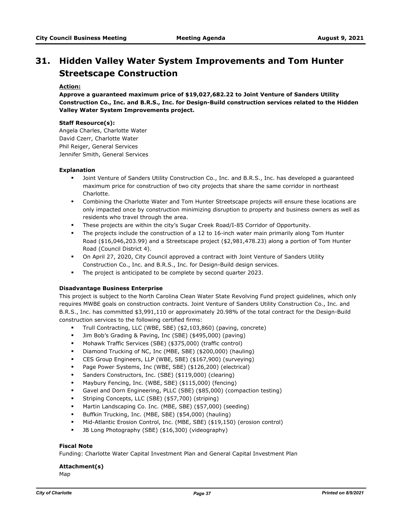# **Hidden Valley Water System Improvements and Tom Hunter 31. Streetscape Construction**

# **Action:**

**Approve a guaranteed maximum price of \$19,027,682.22 to Joint Venture of Sanders Utility Construction Co., Inc. and B.R.S., Inc. for Design-Build construction services related to the Hidden Valley Water System Improvements project.**

#### **Staff Resource(s):**

Angela Charles, Charlotte Water David Czerr, Charlotte Water Phil Reiger, General Services Jennifer Smith, General Services

#### **Explanation**

- § Joint Venture of Sanders Utility Construction Co., Inc. and B.R.S., Inc. has developed a guaranteed maximum price for construction of two city projects that share the same corridor in northeast Charlotte.
- § Combining the Charlotte Water and Tom Hunter Streetscape projects will ensure these locations are only impacted once by construction minimizing disruption to property and business owners as well as residents who travel through the area.
- **•** These projects are within the city's Sugar Creek Road/I-85 Corridor of Opportunity.
- **•** The projects include the construction of a 12 to 16-inch water main primarily along Tom Hunter Road (\$16,046,203.99) and a Streetscape project (\$2,981,478.23) along a portion of Tom Hunter Road (Council District 4).
- § On April 27, 2020, City Council approved a contract with Joint Venture of Sanders Utility Construction Co., Inc. and B.R.S., Inc. for Design-Build design services.
- § The project is anticipated to be complete by second quarter 2023.

## **Disadvantage Business Enterprise**

This project is subject to the North Carolina Clean Water State Revolving Fund project guidelines, which only requires MWBE goals on construction contracts. Joint Venture of Sanders Utility Construction Co., Inc. and B.R.S., Inc. has committed \$3,991,110 or approximately 20.98% of the total contract for the Design-Build construction services to the following certified firms:

- § Trull Contracting, LLC (WBE, SBE) (\$2,103,860) (paving, concrete)
- § Jim Bob's Grading & Paving, Inc (SBE) (\$495,000) (paving)
- § Mohawk Traffic Services (SBE) (\$375,000) (traffic control)
- § Diamond Trucking of NC, Inc (MBE, SBE) (\$200,000) (hauling)
- § CES Group Engineers, LLP (WBE, SBE) (\$167,900) (surveying)
- Page Power Systems, Inc (WBE, SBE) (\$126,200) (electrical)
- § Sanders Constructors, Inc. (SBE) (\$119,000) (clearing)
- § Maybury Fencing, Inc. (WBE, SBE) (\$115,000) (fencing)
- § Gavel and Dorn Engineering, PLLC (SBE) (\$85,000) (compaction testing)
- § Striping Concepts, LLC (SBE) (\$57,700) (striping)
- § Martin Landscaping Co. Inc. (MBE, SBE) (\$57,000) (seeding)
- § Buffkin Trucking, Inc. (MBE, SBE) (\$54,000) (hauling)
- § Mid-Atlantic Erosion Control, Inc. (MBE, SBE) (\$19,150) (erosion control)
- § JB Long Photography (SBE) (\$16,300) (videography)

## **Fiscal Note**

Funding: Charlotte Water Capital Investment Plan and General Capital Investment Plan

# **Attachment(s)**

Map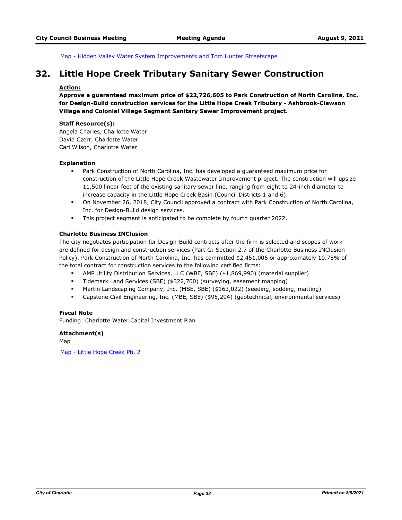[Map - Hidden Valley Water System Improvements and Tom Hunter Streetscape](http://charlottenc.legistar.com/gateway.aspx?M=F&ID=d8de4a80-5d72-41ca-b92c-b2e2d1b4f7cb.docx)

# **32. Little Hope Creek Tributary Sanitary Sewer Construction**

#### **Action:**

**Approve a guaranteed maximum price of \$22,726,605 to Park Construction of North Carolina, Inc. for Design-Build construction services for the Little Hope Creek Tributary - Ashbrook-Clawson Village and Colonial Village Segment Sanitary Sewer Improvement project.** 

#### **Staff Resource(s):**

Angela Charles, Charlotte Water David Czerr, Charlotte Water Carl Wilson, Charlotte Water

#### **Explanation**

- § Park Construction of North Carolina, Inc. has developed a guaranteed maximum price for construction of the Little Hope Creek Wastewater Improvement project. The construction will upsize 11,500 linear feet of the existing sanitary sewer line, ranging from eight to 24-inch diameter to increase capacity in the Little Hope Creek Basin (Council Districts 1 and 6).
- <sup>■</sup> On November 26, 2018, City Council approved a contract with Park Construction of North Carolina, Inc. for Design-Build design services.
- § This project segment is anticipated to be complete by fourth quarter 2022.

#### **Charlotte Business INClusion**

The city negotiates participation for Design-Build contracts after the firm is selected and scopes of work are defined for design and construction services (Part G: Section 2.7 of the Charlotte Business INClusion Policy). Park Construction of North Carolina, Inc. has committed \$2,451,006 or approximately 10.78% of the total contract for construction services to the following certified firms:

- § AMP Utility Distribution Services, LLC (WBE, SBE) (\$1,869,990) (material supplier)
- § Tidemark Land Services (SBE) (\$322,700) (surveying, easement mapping)
- § Martin Landscaping Company, Inc. (MBE, SBE) (\$163,022) (seeding, sodding, matting)
- § Capstone Civil Engineering, Inc. (MBE, SBE) (\$95,294) (geotechnical, environmental services)

## **Fiscal Note**

Funding: Charlotte Water Capital Investment Plan

#### **Attachment(s)**

Map

[Map - Little Hope Creek Ph. 2](http://charlottenc.legistar.com/gateway.aspx?M=F&ID=ed155daa-b469-4f85-9aad-b9afe8eebc79.docx)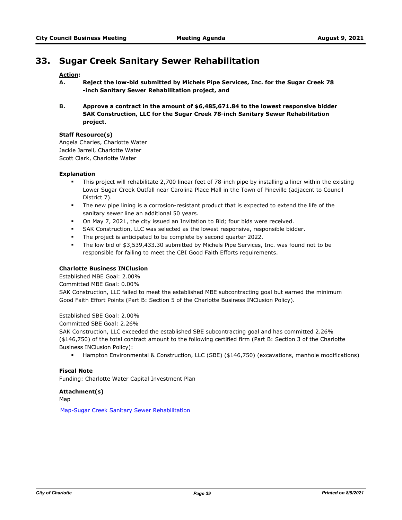# **33. Sugar Creek Sanitary Sewer Rehabilitation**

## **Action:**

- **A. Reject the low-bid submitted by Michels Pipe Services, Inc. for the Sugar Creek 78 -inch Sanitary Sewer Rehabilitation project, and**
- **B. Approve a contract in the amount of \$6,485,671.84 to the lowest responsive bidder SAK Construction, LLC for the Sugar Creek 78-inch Sanitary Sewer Rehabilitation project.**

#### **Staff Resource(s)**

Angela Charles, Charlotte Water Jackie Jarrell, Charlotte Water Scott Clark, Charlotte Water

#### **Explanation**

- § This project will rehabilitate 2,700 linear feet of 78-inch pipe by installing a liner within the existing Lower Sugar Creek Outfall near Carolina Place Mall in the Town of Pineville (adjacent to Council District 7).
- § The new pipe lining is a corrosion-resistant product that is expected to extend the life of the sanitary sewer line an additional 50 years.
- § On May 7, 2021, the city issued an Invitation to Bid; four bids were received.
- SAK Construction, LLC was selected as the lowest responsive, responsible bidder.
- § The project is anticipated to be complete by second quarter 2022.
- The low bid of \$3,539,433.30 submitted by Michels Pipe Services, Inc. was found not to be responsible for failing to meet the CBI Good Faith Efforts requirements.

#### **Charlotte Business INClusion**

Established MBE Goal: 2.00%

Committed MBE Goal: 0.00%

SAK Construction, LLC failed to meet the established MBE subcontracting goal but earned the minimum Good Faith Effort Points (Part B: Section 5 of the Charlotte Business INClusion Policy).

Established SBE Goal: 2.00%

Committed SBE Goal: 2.26%

SAK Construction, LLC exceeded the established SBE subcontracting goal and has committed 2.26% (\$146,750) of the total contract amount to the following certified firm (Part B: Section 3 of the Charlotte Business INClusion Policy):

§ Hampton Environmental & Construction, LLC (SBE) (\$146,750) (excavations, manhole modifications)

#### **Fiscal Note**

Funding: Charlotte Water Capital Investment Plan

#### **Attachment(s)**

Map

[Map-Sugar Creek Sanitary Sewer Rehabilitation](http://charlottenc.legistar.com/gateway.aspx?M=F&ID=c667465d-f455-41f8-94ff-f604fc57cbd4.pdf)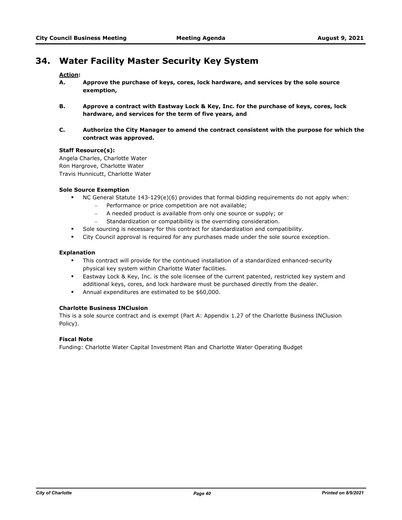# **34. Water Facility Master Security Key System**

# **Action:**

- **A. Approve the purchase of keys, cores, lock hardware, and services by the sole source exemption,**
- **B. Approve a contract with Eastway Lock & Key, Inc. for the purchase of keys, cores, lock hardware, and services for the term of five years, and**
- **C. Authorize the City Manager to amend the contract consistent with the purpose for which the contract was approved.**

#### **Staff Resource(s):**

Angela Charles, Charlotte Water Ron Hargrove, Charlotte Water Travis Hunnicutt, Charlotte Water

## **Sole Source Exemption**

- § NC General Statute 143-129(e)(6) provides that formal bidding requirements do not apply when:
	- Performance or price competition are not available;
	- A needed product is available from only one source or supply; or
	- Standardization or compatibility is the overriding consideration.
- Sole sourcing is necessary for this contract for standardization and compatibility.
- **•** City Council approval is required for any purchases made under the sole source exception.

#### **Explanation**

- § This contract will provide for the continued installation of a standardized enhanced-security physical key system within Charlotte Water facilities.
- **■** Eastway Lock & Key, Inc. is the sole licensee of the current patented, restricted key system and additional keys, cores, and lock hardware must be purchased directly from the dealer.
- § Annual expenditures are estimated to be \$60,000.

## **Charlotte Business INClusion**

This is a sole source contract and is exempt (Part A: Appendix 1.27 of the Charlotte Business INClusion Policy).

# **Fiscal Note**

Funding: Charlotte Water Capital Investment Plan and Charlotte Water Operating Budget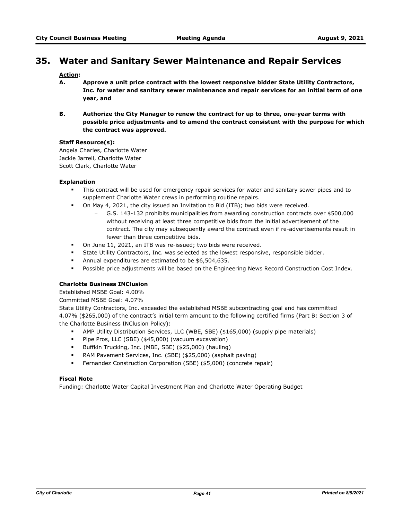# **35. Water and Sanitary Sewer Maintenance and Repair Services**

# **Action:**

- **A. Approve a unit price contract with the lowest responsive bidder State Utility Contractors, Inc. for water and sanitary sewer maintenance and repair services for an initial term of one year, and**
- **B. Authorize the City Manager to renew the contract for up to three, one-year terms with possible price adjustments and to amend the contract consistent with the purpose for which the contract was approved.**

#### **Staff Resource(s):**

Angela Charles, Charlotte Water Jackie Jarrell, Charlotte Water Scott Clark, Charlotte Water

#### **Explanation**

- **•** This contract will be used for emergency repair services for water and sanitary sewer pipes and to supplement Charlotte Water crews in performing routine repairs.
- § On May 4, 2021, the city issued an Invitation to Bid (ITB); two bids were received.
	- G.S. 143-132 prohibits municipalities from awarding construction contracts over \$500,000 without receiving at least three competitive bids from the initial advertisement of the contract. The city may subsequently award the contract even if re-advertisements result in fewer than three competitive bids.
- § On June 11, 2021, an ITB was re-issued; two bids were received.
- State Utility Contractors, Inc. was selected as the lowest responsive, responsible bidder.
- § Annual expenditures are estimated to be \$6,504,635.
- § Possible price adjustments will be based on the Engineering News Record Construction Cost Index.

## **Charlotte Business INClusion**

Established MSBE Goal: 4.00%

Committed MSBE Goal: 4.07%

State Utility Contractors, Inc. exceeded the established MSBE subcontracting goal and has committed 4.07% (\$265,000) of the contract's initial term amount to the following certified firms (Part B: Section 3 of the Charlotte Business INClusion Policy):

- § AMP Utility Distribution Services, LLC (WBE, SBE) (\$165,000) (supply pipe materials)
- § Pipe Pros, LLC (SBE) (\$45,000) (vacuum excavation)
- § Buffkin Trucking, Inc. (MBE, SBE) (\$25,000) (hauling)
- § RAM Pavement Services, Inc. (SBE) (\$25,000) (asphalt paving)
- § Fernandez Construction Corporation (SBE) (\$5,000) (concrete repair)

# **Fiscal Note**

Funding: Charlotte Water Capital Investment Plan and Charlotte Water Operating Budget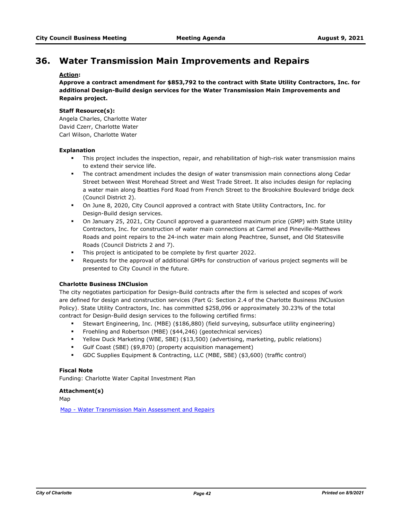# **36. Water Transmission Main Improvements and Repairs**

# **Action:**

**Approve a contract amendment for \$853,792 to the contract with State Utility Contractors, Inc. for additional Design-Build design services for the Water Transmission Main Improvements and Repairs project.**

#### **Staff Resource(s):**

Angela Charles, Charlotte Water David Czerr, Charlotte Water Carl Wilson, Charlotte Water

#### **Explanation**

- This project includes the inspection, repair, and rehabilitation of high-risk water transmission mains to extend their service life.
- § The contract amendment includes the design of water transmission main connections along Cedar Street between West Morehead Street and West Trade Street. It also includes design for replacing a water main along Beatties Ford Road from French Street to the Brookshire Boulevard bridge deck (Council District 2).
- § On June 8, 2020, City Council approved a contract with State Utility Contractors, Inc. for Design-Build design services.
- § On January 25, 2021, City Council approved a guaranteed maximum price (GMP) with State Utility Contractors, Inc. for construction of water main connections at Carmel and Pineville-Matthews Roads and point repairs to the 24-inch water main along Peachtree, Sunset, and Old Statesville Roads (Council Districts 2 and 7).
- § This project is anticipated to be complete by first quarter 2022.
- Requests for the approval of additional GMPs for construction of various project segments will be presented to City Council in the future.

## **Charlotte Business INClusion**

The city negotiates participation for Design-Build contracts after the firm is selected and scopes of work are defined for design and construction services (Part G: Section 2.4 of the Charlotte Business INClusion Policy). State Utility Contractors, Inc. has committed \$258,096 or approximately 30.23% of the total contract for Design-Build design services to the following certified firms:

- § Stewart Engineering, Inc. (MBE) (\$186,880) (field surveying, subsurface utility engineering)
- § Froehling and Robertson (MBE) (\$44,246) (geotechnical services)
- § Yellow Duck Marketing (WBE, SBE) (\$13,500) (advertising, marketing, public relations)
- Gulf Coast (SBE) (\$9,870) (property acquisition management)
- § GDC Supplies Equipment & Contracting, LLC (MBE, SBE) (\$3,600) (traffic control)

## **Fiscal Note**

Funding: Charlotte Water Capital Investment Plan

## **Attachment(s)**

Map

[Map - Water Transmission Main Assessment and Repairs](http://charlottenc.legistar.com/gateway.aspx?M=F&ID=b64a83b1-5457-4ff2-be8d-5f347db438a7.docx)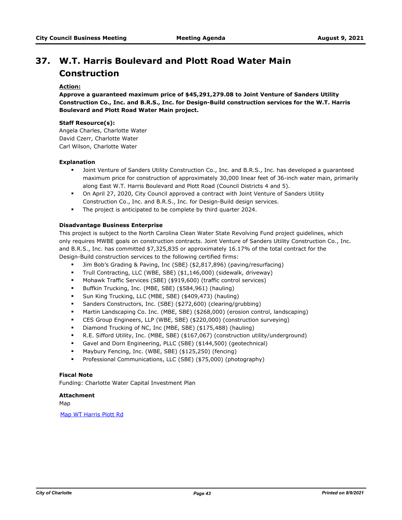# **W.T. Harris Boulevard and Plott Road Water Main 37. Construction**

# **Action:**

**Approve a guaranteed maximum price of \$45,291,279.08 to Joint Venture of Sanders Utility Construction Co., Inc. and B.R.S., Inc. for Design-Build construction services for the W.T. Harris Boulevard and Plott Road Water Main project.**

#### **Staff Resource(s):**

Angela Charles, Charlotte Water David Czerr, Charlotte Water Carl Wilson, Charlotte Water

#### **Explanation**

- § Joint Venture of Sanders Utility Construction Co., Inc. and B.R.S., Inc. has developed a guaranteed maximum price for construction of approximately 30,000 linear feet of 36-inch water main, primarily along East W.T. Harris Boulevard and Plott Road (Council Districts 4 and 5).
- § On April 27, 2020, City Council approved a contract with Joint Venture of Sanders Utility Construction Co., Inc. and B.R.S., Inc. for Design-Build design services.
- § The project is anticipated to be complete by third quarter 2024.

#### **Disadvantage Business Enterprise**

This project is subject to the North Carolina Clean Water State Revolving Fund project guidelines, which only requires MWBE goals on construction contracts. Joint Venture of Sanders Utility Construction Co., Inc. and B.R.S., Inc. has committed \$7,325,835 or approximately 16.17% of the total contract for the Design-Build construction services to the following certified firms:

- § Jim Bob's Grading & Paving, Inc (SBE) (\$2,817,896) (paving/resurfacing)
- § Trull Contracting, LLC (WBE, SBE) (\$1,146,000) (sidewalk, driveway)
- § Mohawk Traffic Services (SBE) (\$919,600) (traffic control services)
- § Buffkin Trucking, Inc. (MBE, SBE) (\$584,961) (hauling)
- § Sun King Trucking, LLC (MBE, SBE) (\$409,473) (hauling)
- § Sanders Constructors, Inc. (SBE) (\$272,600) (clearing/grubbing)
- § Martin Landscaping Co. Inc. (MBE, SBE) (\$268,000) (erosion control, landscaping)
- § CES Group Engineers, LLP (WBE, SBE) (\$220,000) (construction surveying)
- § Diamond Trucking of NC, Inc (MBE, SBE) (\$175,488) (hauling)
- § R.E. Sifford Utility, Inc. (MBE, SBE) (\$167,067) (construction utility/underground)
- § Gavel and Dorn Engineering, PLLC (SBE) (\$144,500) (geotechnical)
- § Maybury Fencing, Inc. (WBE, SBE) (\$125,250) (fencing)
- § Professional Communications, LLC (SBE) (\$75,000) (photography)

# **Fiscal Note**

Funding: Charlotte Water Capital Investment Plan

#### **Attachment**

Map

[Map WT Harris Plott Rd](http://charlottenc.legistar.com/gateway.aspx?M=F&ID=e582b238-eb5a-479d-b656-02a27ff8a86d.docx)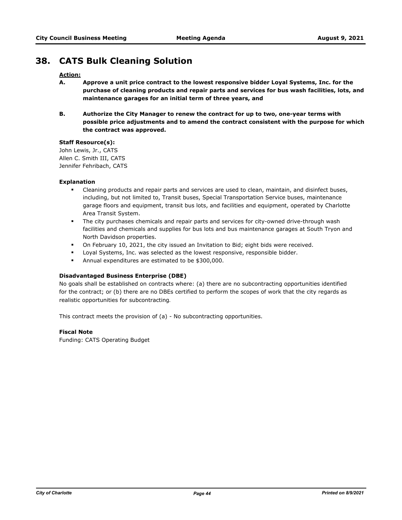# **38. CATS Bulk Cleaning Solution**

# **Action:**

- **A. Approve a unit price contract to the lowest responsive bidder Loyal Systems, Inc. for the purchase of cleaning products and repair parts and services for bus wash facilities, lots, and maintenance garages for an initial term of three years, and**
- **B. Authorize the City Manager to renew the contract for up to two, one-year terms with possible price adjustments and to amend the contract consistent with the purpose for which the contract was approved.**

#### **Staff Resource(s):**

John Lewis, Jr., CATS Allen C. Smith III, CATS Jennifer Fehribach, CATS

#### **Explanation**

- § Cleaning products and repair parts and services are used to clean, maintain, and disinfect buses, including, but not limited to, Transit buses, Special Transportation Service buses, maintenance garage floors and equipment, transit bus lots, and facilities and equipment, operated by Charlotte Area Transit System.
- **•** The city purchases chemicals and repair parts and services for city-owned drive-through wash facilities and chemicals and supplies for bus lots and bus maintenance garages at South Tryon and North Davidson properties.
- § On February 10, 2021, the city issued an Invitation to Bid; eight bids were received.
- Loyal Systems, Inc. was selected as the lowest responsive, responsible bidder.
- § Annual expenditures are estimated to be \$300,000.

## **Disadvantaged Business Enterprise (DBE)**

No goals shall be established on contracts where: (a) there are no subcontracting opportunities identified for the contract; or (b) there are no DBEs certified to perform the scopes of work that the city regards as realistic opportunities for subcontracting.

This contract meets the provision of (a) - No subcontracting opportunities.

#### **Fiscal Note**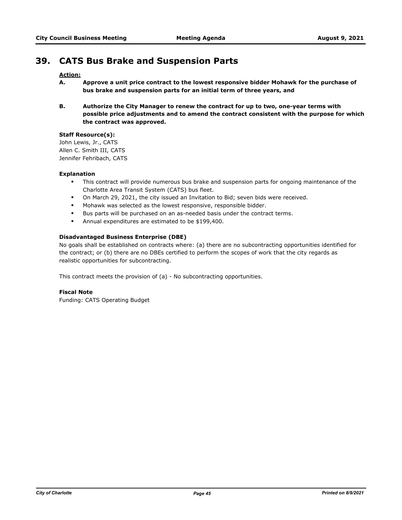# **39. CATS Bus Brake and Suspension Parts**

# **Action:**

- **A. Approve a unit price contract to the lowest responsive bidder Mohawk for the purchase of bus brake and suspension parts for an initial term of three years, and**
- **B. Authorize the City Manager to renew the contract for up to two, one-year terms with possible price adjustments and to amend the contract consistent with the purpose for which the contract was approved.**

# **Staff Resource(s):**

John Lewis, Jr., CATS Allen C. Smith III, CATS Jennifer Fehribach, CATS

## **Explanation**

- **•** This contract will provide numerous bus brake and suspension parts for ongoing maintenance of the Charlotte Area Transit System (CATS) bus fleet.
- § On March 29, 2021, the city issued an Invitation to Bid; seven bids were received.
- **Mohawk was selected as the lowest responsive, responsible bidder.**
- § Bus parts will be purchased on an as-needed basis under the contract terms.
- § Annual expenditures are estimated to be \$199,400.

#### **Disadvantaged Business Enterprise (DBE)**

No goals shall be established on contracts where: (a) there are no subcontracting opportunities identified for the contract; or (b) there are no DBEs certified to perform the scopes of work that the city regards as realistic opportunities for subcontracting.

This contract meets the provision of (a) - No subcontracting opportunities.

# **Fiscal Note**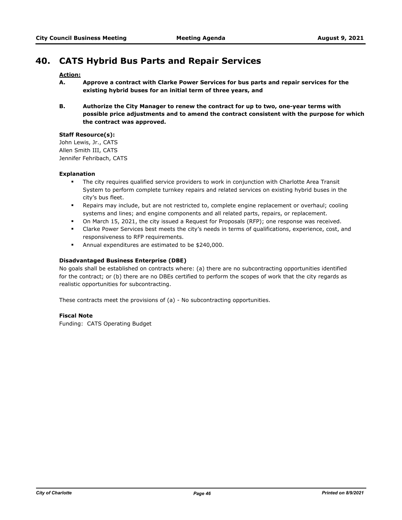# **40. CATS Hybrid Bus Parts and Repair Services**

# **Action:**

- **A. Approve a contract with Clarke Power Services for bus parts and repair services for the existing hybrid buses for an initial term of three years, and**
- **B. Authorize the City Manager to renew the contract for up to two, one-year terms with possible price adjustments and to amend the contract consistent with the purpose for which the contract was approved.**

## **Staff Resource(s):**

John Lewis, Jr., CATS Allen Smith III, CATS Jennifer Fehribach, CATS

# **Explanation**

- § The city requires qualified service providers to work in conjunction with Charlotte Area Transit System to perform complete turnkey repairs and related services on existing hybrid buses in the city's bus fleet.
- § Repairs may include, but are not restricted to, complete engine replacement or overhaul; cooling systems and lines; and engine components and all related parts, repairs, or replacement.
- § On March 15, 2021, the city issued a Request for Proposals (RFP); one response was received.
- § Clarke Power Services best meets the city's needs in terms of qualifications, experience, cost, and responsiveness to RFP requirements.
- § Annual expenditures are estimated to be \$240,000.

#### **Disadvantaged Business Enterprise (DBE)**

No goals shall be established on contracts where: (a) there are no subcontracting opportunities identified for the contract; or (b) there are no DBEs certified to perform the scopes of work that the city regards as realistic opportunities for subcontracting.

These contracts meet the provisions of (a) - No subcontracting opportunities.

#### **Fiscal Note**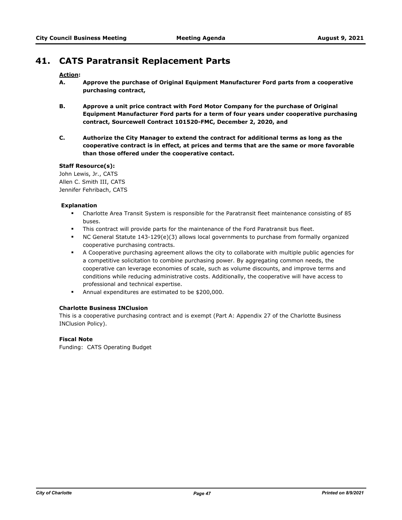# **41. CATS Paratransit Replacement Parts**

## **Action:**

- **A. Approve the purchase of Original Equipment Manufacturer Ford parts from a cooperative purchasing contract,**
- **B. Approve a unit price contract with Ford Motor Company for the purchase of Original Equipment Manufacturer Ford parts for a term of four years under cooperative purchasing contract, Sourcewell Contract 101520-FMC, December 2, 2020, and**
- **C. Authorize the City Manager to extend the contract for additional terms as long as the cooperative contract is in effect, at prices and terms that are the same or more favorable than those offered under the cooperative contact.**

## **Staff Resource(s):**

John Lewis, Jr., CATS Allen C. Smith III, CATS Jennifer Fehribach, CATS

## **Explanation**

- § Charlotte Area Transit System is responsible for the Paratransit fleet maintenance consisting of 85 buses.
- This contract will provide parts for the maintenance of the Ford Paratransit bus fleet.
- § NC General Statute 143-129(e)(3) allows local governments to purchase from formally organized cooperative purchasing contracts.
- **•** A Cooperative purchasing agreement allows the city to collaborate with multiple public agencies for a competitive solicitation to combine purchasing power. By aggregating common needs, the cooperative can leverage economies of scale, such as volume discounts, and improve terms and conditions while reducing administrative costs. Additionally, the cooperative will have access to professional and technical expertise.
- § Annual expenditures are estimated to be \$200,000.

## **Charlotte Business INClusion**

This is a cooperative purchasing contract and is exempt (Part A: Appendix 27 of the Charlotte Business INClusion Policy).

## **Fiscal Note**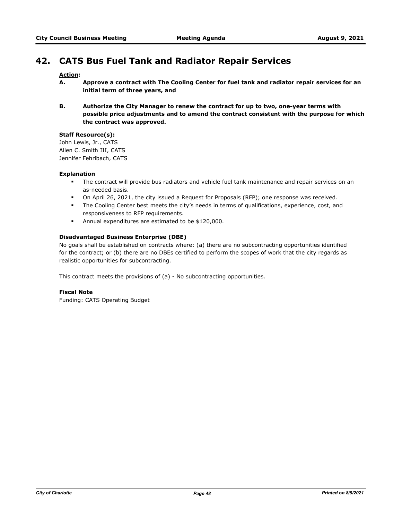# **42. CATS Bus Fuel Tank and Radiator Repair Services**

# **Action:**

- **A. Approve a contract with The Cooling Center for fuel tank and radiator repair services for an initial term of three years, and**
- **B. Authorize the City Manager to renew the contract for up to two, one-year terms with possible price adjustments and to amend the contract consistent with the purpose for which the contract was approved.**

# **Staff Resource(s):**

John Lewis, Jr., CATS Allen C. Smith III, CATS Jennifer Fehribach, CATS

# **Explanation**

- § The contract will provide bus radiators and vehicle fuel tank maintenance and repair services on an as-needed basis.
- § On April 26, 2021, the city issued a Request for Proposals (RFP); one response was received.
- § The Cooling Center best meets the city's needs in terms of qualifications, experience, cost, and responsiveness to RFP requirements.
- § Annual expenditures are estimated to be \$120,000.

#### **Disadvantaged Business Enterprise (DBE)**

No goals shall be established on contracts where: (a) there are no subcontracting opportunities identified for the contract; or (b) there are no DBEs certified to perform the scopes of work that the city regards as realistic opportunities for subcontracting.

This contract meets the provisions of (a) - No subcontracting opportunities.

#### **Fiscal Note**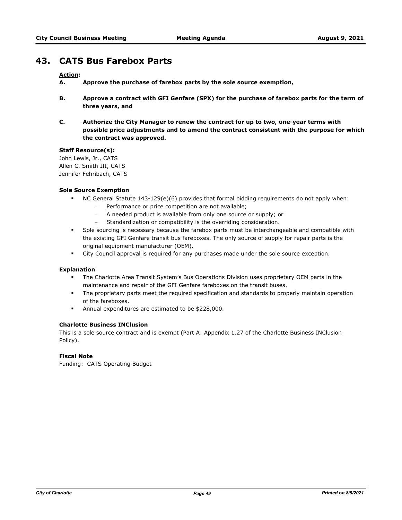# **43. CATS Bus Farebox Parts**

# **Action:**

- **A. Approve the purchase of farebox parts by the sole source exemption,**
- **B. Approve a contract with GFI Genfare (SPX) for the purchase of farebox parts for the term of three years, and**
- **C. Authorize the City Manager to renew the contract for up to two, one-year terms with possible price adjustments and to amend the contract consistent with the purpose for which the contract was approved.**

#### **Staff Resource(s):**

John Lewis, Jr., CATS Allen C. Smith III, CATS Jennifer Fehribach, CATS

## **Sole Source Exemption**

- § NC General Statute 143-129(e)(6) provides that formal bidding requirements do not apply when:
	- Performance or price competition are not available;
	- A needed product is available from only one source or supply; or
	- Standardization or compatibility is the overriding consideration.
- § Sole sourcing is necessary because the farebox parts must be interchangeable and compatible with the existing GFI Genfare transit bus fareboxes. The only source of supply for repair parts is the original equipment manufacturer (OEM).
- § City Council approval is required for any purchases made under the sole source exception.

## **Explanation**

- § The Charlotte Area Transit System's Bus Operations Division uses proprietary OEM parts in the maintenance and repair of the GFI Genfare fareboxes on the transit buses.
- The proprietary parts meet the required specification and standards to properly maintain operation of the fareboxes.
- § Annual expenditures are estimated to be \$228,000.

# **Charlotte Business INClusion**

This is a sole source contract and is exempt (Part A: Appendix 1.27 of the Charlotte Business INClusion Policy).

## **Fiscal Note**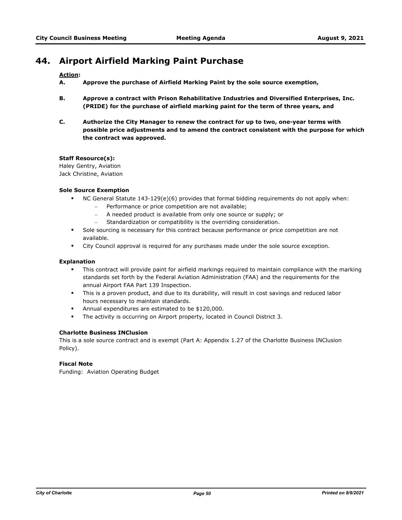# **44. Airport Airfield Marking Paint Purchase**

## **Action:**

- **A. Approve the purchase of Airfield Marking Paint by the sole source exemption,**
- **B. Approve a contract with Prison Rehabilitative Industries and Diversified Enterprises, Inc. (PRIDE) for the purchase of airfield marking paint for the term of three years, and**
- **C. Authorize the City Manager to renew the contract for up to two, one-year terms with possible price adjustments and to amend the contract consistent with the purpose for which the contract was approved.**

# **Staff Resource(s):**

Haley Gentry, Aviation Jack Christine, Aviation

## **Sole Source Exemption**

- § NC General Statute 143-129(e)(6) provides that formal bidding requirements do not apply when:
	- Performance or price competition are not available;
		- A needed product is available from only one source or supply; or
		- Standardization or compatibility is the overriding consideration.
- **•** Sole sourcing is necessary for this contract because performance or price competition are not available.
- **•** City Council approval is required for any purchases made under the sole source exception.

## **Explanation**

- This contract will provide paint for airfield markings required to maintain compliance with the marking standards set forth by the Federal Aviation Administration (FAA) and the requirements for the annual Airport FAA Part 139 Inspection.
- This is a proven product, and due to its durability, will result in cost savings and reduced labor hours necessary to maintain standards.
- § Annual expenditures are estimated to be \$120,000.
- § The activity is occurring on Airport property, located in Council District 3.

## **Charlotte Business INClusion**

This is a sole source contract and is exempt (Part A: Appendix 1.27 of the Charlotte Business INClusion Policy).

## **Fiscal Note**

Funding: Aviation Operating Budget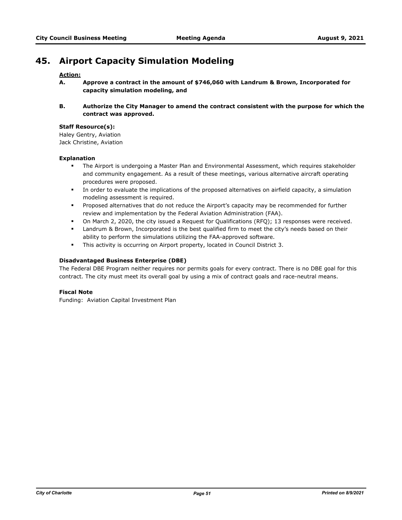# **45. Airport Capacity Simulation Modeling**

## **Action:**

- **A. Approve a contract in the amount of \$746,060 with Landrum & Brown, Incorporated for capacity simulation modeling, and**
- **B. Authorize the City Manager to amend the contract consistent with the purpose for which the contract was approved.**

#### **Staff Resource(s):**

Haley Gentry, Aviation Jack Christine, Aviation

#### **Explanation**

- The Airport is undergoing a Master Plan and Environmental Assessment, which requires stakeholder and community engagement. As a result of these meetings, various alternative aircraft operating procedures were proposed.
- **•** In order to evaluate the implications of the proposed alternatives on airfield capacity, a simulation modeling assessment is required.
- § Proposed alternatives that do not reduce the Airport's capacity may be recommended for further review and implementation by the Federal Aviation Administration (FAA).
- § On March 2, 2020, the city issued a Request for Qualifications (RFQ); 13 responses were received.
- § Landrum & Brown, Incorporated is the best qualified firm to meet the city's needs based on their ability to perform the simulations utilizing the FAA-approved software.
- **•** This activity is occurring on Airport property, located in Council District 3.

#### **Disadvantaged Business Enterprise (DBE)**

The Federal DBE Program neither requires nor permits goals for every contract. There is no DBE goal for this contract. The city must meet its overall goal by using a mix of contract goals and race-neutral means.

## **Fiscal Note**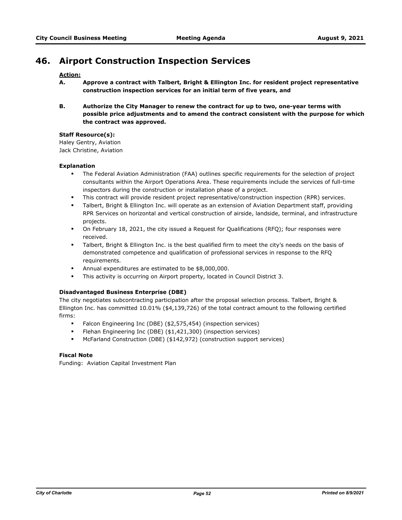# **46. Airport Construction Inspection Services**

## **Action:**

- **A. Approve a contract with Talbert, Bright & Ellington Inc. for resident project representative construction inspection services for an initial term of five years, and**
- **B. Authorize the City Manager to renew the contract for up to two, one-year terms with possible price adjustments and to amend the contract consistent with the purpose for which the contract was approved.**

#### **Staff Resource(s):**

Haley Gentry, Aviation Jack Christine, Aviation

#### **Explanation**

- The Federal Aviation Administration (FAA) outlines specific requirements for the selection of project consultants within the Airport Operations Area. These requirements include the services of full-time inspectors during the construction or installation phase of a project.
- § This contract will provide resident project representative/construction inspection (RPR) services.
- § Talbert, Bright & Ellington Inc. will operate as an extension of Aviation Department staff, providing RPR Services on horizontal and vertical construction of airside, landside, terminal, and infrastructure projects.
- § On February 18, 2021, the city issued a Request for Qualifications (RFQ); four responses were received.
- Talbert, Bright & Ellington Inc. is the best qualified firm to meet the city's needs on the basis of demonstrated competence and qualification of professional services in response to the RFQ requirements.
- § Annual expenditures are estimated to be \$8,000,000.
- This activity is occurring on Airport property, located in Council District 3.

## **Disadvantaged Business Enterprise (DBE)**

The city negotiates subcontracting participation after the proposal selection process. Talbert, Bright & Ellington Inc. has committed 10.01% (\$4,139,726) of the total contract amount to the following certified firms:

- § Falcon Engineering Inc (DBE) (\$2,575,454) (inspection services)
- § Flehan Engineering Inc (DBE) (\$1,421,300) (inspection services)
- § McFarland Construction (DBE) (\$142,972) (construction support services)

## **Fiscal Note**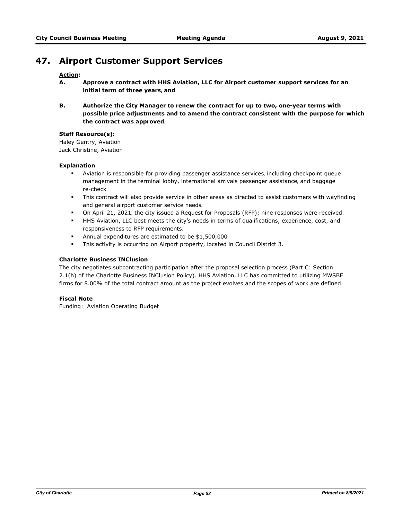# **47. Airport Customer Support Services**

## **Action:**

- **A. Approve a contract with HHS Aviation, LLC for Airport customer support services for an initial term of three years, and**
- **B. Authorize the City Manager to renew the contract for up to two, one-year terms with possible price adjustments and to amend the contract consistent with the purpose for which the contract was approved.**

## **Staff Resource(s):**

Haley Gentry, Aviation Jack Christine, Aviation

## **Explanation**

- § Aviation is responsible for providing passenger assistance services, including checkpoint queue management in the terminal lobby, international arrivals passenger assistance, and baggage re-check.
- This contract will also provide service in other areas as directed to assist customers with wayfinding and general airport customer service needs.
- § On April 21, 2021, the city issued a Request for Proposals (RFP); nine responses were received.
- § HHS Aviation, LLC best meets the city's needs in terms of qualifications, experience, cost, and responsiveness to RFP requirements.
- § Annual expenditures are estimated to be \$1,500,000.
- This activity is occurring on Airport property, located in Council District 3.

#### **Charlotte Business INClusion**

The city negotiates subcontracting participation after the proposal selection process (Part C: Section 2.1(h) of the Charlotte Business INClusion Policy). HHS Aviation, LLC has committed to utilizing MWSBE firms for 8.00% of the total contract amount as the project evolves and the scopes of work are defined.

## **Fiscal Note**

Funding: Aviation Operating Budget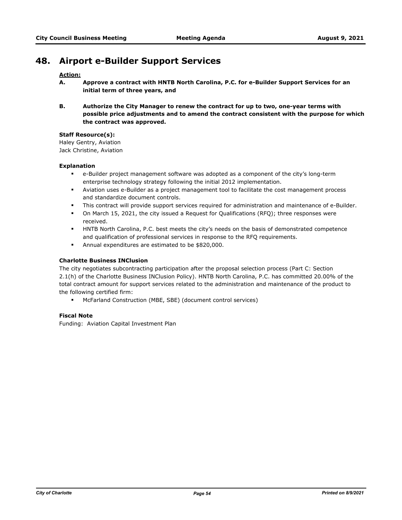# **48. Airport e-Builder Support Services**

#### **Action:**

- **A. Approve a contract with HNTB North Carolina, P.C. for e-Builder Support Services for an initial term of three years, and**
- **B. Authorize the City Manager to renew the contract for up to two, one-year terms with possible price adjustments and to amend the contract consistent with the purpose for which the contract was approved.**

#### **Staff Resource(s):**

Haley Gentry, Aviation Jack Christine, Aviation

#### **Explanation**

- § e-Builder project management software was adopted as a component of the city's long-term enterprise technology strategy following the initial 2012 implementation.
- § Aviation uses e-Builder as a project management tool to facilitate the cost management process and standardize document controls.
- This contract will provide support services required for administration and maintenance of e-Builder.
- On March 15, 2021, the city issued a Request for Qualifications (RFQ); three responses were received.
- § HNTB North Carolina, P.C. best meets the city's needs on the basis of demonstrated competence and qualification of professional services in response to the RFQ requirements.
- § Annual expenditures are estimated to be \$820,000.

#### **Charlotte Business INClusion**

The city negotiates subcontracting participation after the proposal selection process (Part C: Section 2.1(h) of the Charlotte Business INClusion Policy). HNTB North Carolina, P.C. has committed 20.00% of the total contract amount for support services related to the administration and maintenance of the product to the following certified firm:

§ McFarland Construction (MBE, SBE) (document control services)

## **Fiscal Note**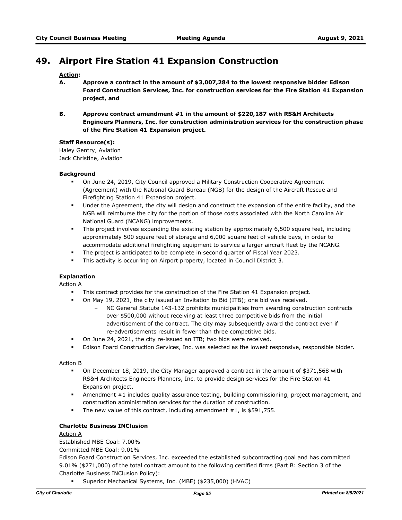# **49. Airport Fire Station 41 Expansion Construction**

# **Action:**

- **A. Approve a contract in the amount of \$3,007,284 to the lowest responsive bidder Edison Foard Construction Services, Inc. for construction services for the Fire Station 41 Expansion project, and**
- **B. Approve contract amendment #1 in the amount of \$220,187 with RS&H Architects Engineers Planners, Inc. for construction administration services for the construction phase of the Fire Station 41 Expansion project.**

#### **Staff Resource(s):**

Haley Gentry, Aviation Jack Christine, Aviation

#### **Background**

- <sup>■</sup> On June 24, 2019, City Council approved a Military Construction Cooperative Agreement (Agreement) with the National Guard Bureau (NGB) for the design of the Aircraft Rescue and Firefighting Station 41 Expansion project.
- § Under the Agreement, the city will design and construct the expansion of the entire facility, and the NGB will reimburse the city for the portion of those costs associated with the North Carolina Air National Guard (NCANG) improvements.
- This project involves expanding the existing station by approximately 6,500 square feet, including approximately 500 square feet of storage and 6,000 square feet of vehicle bays, in order to accommodate additional firefighting equipment to service a larger aircraft fleet by the NCANG.
- § The project is anticipated to be complete in second quarter of Fiscal Year 2023.
- **•** This activity is occurring on Airport property, located in Council District 3.

## **Explanation**

Action A

- **This contract provides for the construction of the Fire Station 41 Expansion project.** 
	- § On May 19, 2021, the city issued an Invitation to Bid (ITB); one bid was received.
		- NC General Statute 143-132 prohibits municipalities from awarding construction contracts over \$500,000 without receiving at least three competitive bids from the initial advertisement of the contract. The city may subsequently award the contract even if re-advertisements result in fewer than three competitive bids.
- § On June 24, 2021, the city re-issued an ITB; two bids were received.
- **■** Edison Foard Construction Services, Inc. was selected as the lowest responsive, responsible bidder.

#### Action B

- § On December 18, 2019, the City Manager approved a contract in the amount of \$371,568 with RS&H Architects Engineers Planners, Inc. to provide design services for the Fire Station 41 Expansion project.
- § Amendment #1 includes quality assurance testing, building commissioning, project management, and construction administration services for the duration of construction.
- The new value of this contract, including amendment #1, is \$591,755.

#### **Charlotte Business INClusion**

## Action A

Established MBE Goal: 7.00%

Committed MBE Goal: 9.01%

Edison Foard Construction Services, Inc. exceeded the established subcontracting goal and has committed 9.01% (\$271,000) of the total contract amount to the following certified firms (Part B: Section 3 of the Charlotte Business INClusion Policy):

§ Superior Mechanical Systems, Inc. (MBE) (\$235,000) (HVAC)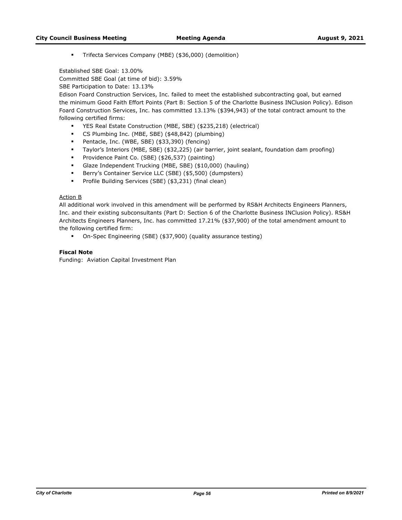§ Trifecta Services Company (MBE) (\$36,000) (demolition)

Established SBE Goal: 13.00% Committed SBE Goal (at time of bid): 3.59%

SBE Participation to Date: 13.13%

Edison Foard Construction Services, Inc. failed to meet the established subcontracting goal, but earned the minimum Good Faith Effort Points (Part B: Section 5 of the Charlotte Business INClusion Policy). Edison Foard Construction Services, Inc. has committed 13.13% (\$394,943) of the total contract amount to the following certified firms:

- § YES Real Estate Construction (MBE, SBE) (\$235,218) (electrical)
- § CS Plumbing Inc. (MBE, SBE) (\$48,842) (plumbing)
- § Pentacle, Inc. (WBE, SBE) (\$33,390) (fencing)
- § Taylor's Interiors (MBE, SBE) (\$32,225) (air barrier, joint sealant, foundation dam proofing)
- § Providence Paint Co. (SBE) (\$26,537) (painting)
- § Glaze Independent Trucking (MBE, SBE) (\$10,000) (hauling)
- § Berry's Container Service LLC (SBE) (\$5,500) (dumpsters)
- § Profile Building Services (SBE) (\$3,231) (final clean)

#### Action B

All additional work involved in this amendment will be performed by RS&H Architects Engineers Planners, Inc. and their existing subconsultants (Part D: Section 6 of the Charlotte Business INClusion Policy). RS&H Architects Engineers Planners, Inc. has committed 17.21% (\$37,900) of the total amendment amount to the following certified firm:

§ On-Spec Engineering (SBE) (\$37,900) (quality assurance testing)

# **Fiscal Note**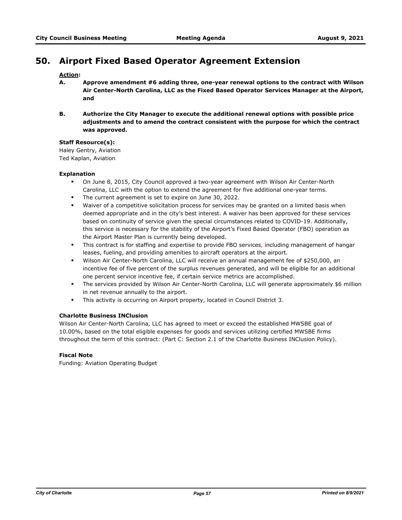# **50. Airport Fixed Based Operator Agreement Extension**

# **Action:**

- **A. Approve amendment #6 adding three, one-year renewal options to the contract with Wilson Air Center-North Carolina, LLC as the Fixed Based Operator Services Manager at the Airport, and**
- **B. Authorize the City Manager to execute the additional renewal options with possible price adjustments and to amend the contract consistent with the purpose for which the contract was approved.**

#### **Staff Resource(s):**

Haley Gentry, Aviation Ted Kaplan, Aviation

#### **Explanation**

- § On June 8, 2015, City Council approved a two-year agreement with Wilson Air Center-North Carolina, LLC with the option to extend the agreement for five additional one-year terms.
- The current agreement is set to expire on June 30, 2022.
- **•** Waiver of a competitive solicitation process for services may be granted on a limited basis when deemed appropriate and in the city's best interest. A waiver has been approved for these services based on continuity of service given the special circumstances related to COVID-19. Additionally, this service is necessary for the stability of the Airport's Fixed Based Operator (FBO) operation as the Airport Master Plan is currently being developed.
- This contract is for staffing and expertise to provide FBO services, including management of hangar leases, fueling, and providing amenities to aircraft operators at the airport.
- § Wilson Air Center-North Carolina, LLC will receive an annual management fee of \$250,000, an incentive fee of five percent of the surplus revenues generated, and will be eligible for an additional one percent service incentive fee, if certain service metrics are accomplished.
- The services provided by Wilson Air Center-North Carolina, LLC will generate approximately \$6 million in net revenue annually to the airport.
- **•** This activity is occurring on Airport property, located in Council District 3.

## **Charlotte Business INClusion**

Wilson Air Center-North Carolina, LLC has agreed to meet or exceed the established MWSBE goal of 10.00%, based on the total eligible expenses for goods and services utilizing certified MWSBE firms throughout the term of this contract: (Part C: Section 2.1 of the Charlotte Business INClusion Policy).

## **Fiscal Note**

Funding: Aviation Operating Budget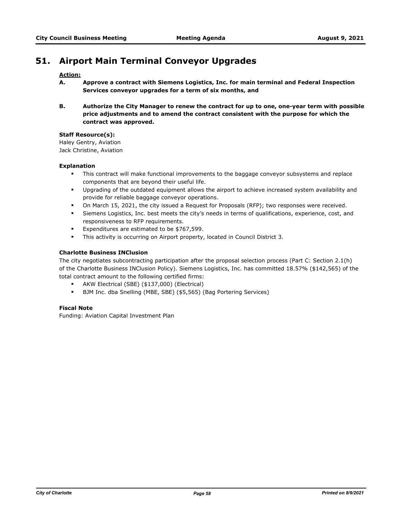# **51. Airport Main Terminal Conveyor Upgrades**

## **Action:**

- **A. Approve a contract with Siemens Logistics, Inc. for main terminal and Federal Inspection Services conveyor upgrades for a term of six months, and**
- **B. Authorize the City Manager to renew the contract for up to one, one-year term with possible price adjustments and to amend the contract consistent with the purpose for which the contract was approved.**

## **Staff Resource(s):**

Haley Gentry, Aviation Jack Christine, Aviation

#### **Explanation**

- This contract will make functional improvements to the baggage conveyor subsystems and replace components that are beyond their useful life.
- § Upgrading of the outdated equipment allows the airport to achieve increased system availability and provide for reliable baggage conveyor operations.
- On March 15, 2021, the city issued a Request for Proposals (RFP); two responses were received.
- Siemens Logistics, Inc. best meets the city's needs in terms of qualifications, experience, cost, and responsiveness to RFP requirements.
- Expenditures are estimated to be \$767,599.
- **•** This activity is occurring on Airport property, located in Council District 3.

## **Charlotte Business INClusion**

The city negotiates subcontracting participation after the proposal selection process (Part C: Section 2.1(h) of the Charlotte Business INClusion Policy). Siemens Logistics, Inc. has committed 18.57% (\$142,565) of the total contract amount to the following certified firms:

- § AKW Electrical (SBE) (\$137,000) (Electrical)
- § BJM Inc. dba Snelling (MBE, SBE) (\$5,565) (Bag Portering Services)

## **Fiscal Note**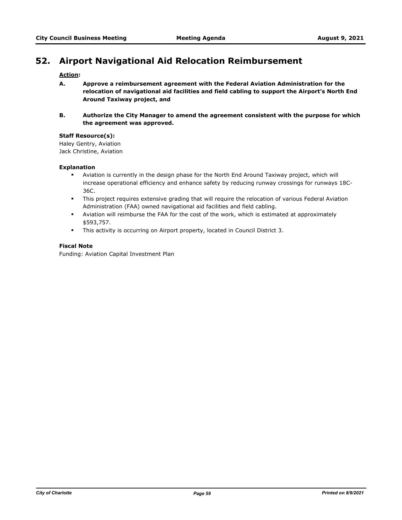# **52. Airport Navigational Aid Relocation Reimbursement**

# **Action:**

- **A. Approve a reimbursement agreement with the Federal Aviation Administration for the relocation of navigational aid facilities and field cabling to support the Airport's North End Around Taxiway project, and**
- **B. Authorize the City Manager to amend the agreement consistent with the purpose for which the agreement was approved.**

## **Staff Resource(s):**

Haley Gentry, Aviation Jack Christine, Aviation

# **Explanation**

- § Aviation is currently in the design phase for the North End Around Taxiway project, which will increase operational efficiency and enhance safety by reducing runway crossings for runways 18C-36C.
- **•** This project requires extensive grading that will require the relocation of various Federal Aviation Administration (FAA) owned navigational aid facilities and field cabling.
- **•** Aviation will reimburse the FAA for the cost of the work, which is estimated at approximately \$593,757.
- § This activity is occurring on Airport property, located in Council District 3.

#### **Fiscal Note**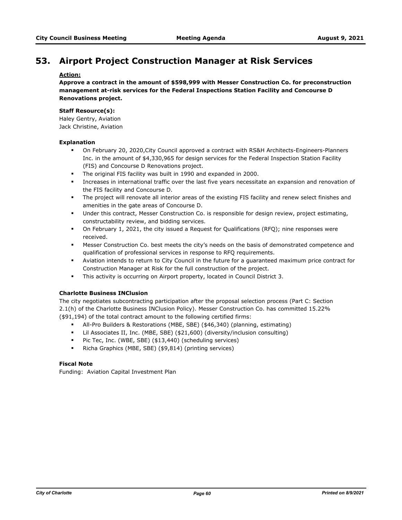# **53. Airport Project Construction Manager at Risk Services**

# **Action:**

**Approve a contract in the amount of \$598,999 with Messer Construction Co. for preconstruction management at-risk services for the Federal Inspections Station Facility and Concourse D Renovations project.**

## **Staff Resource(s):**

Haley Gentry, Aviation Jack Christine, Aviation

#### **Explanation**

- § On February 20, 2020,City Council approved a contract with RS&H Architects-Engineers-Planners Inc. in the amount of \$4,330,965 for design services for the Federal Inspection Station Facility (FIS) and Concourse D Renovations project.
- § The original FIS facility was built in 1990 and expanded in 2000.
- § Increases in international traffic over the last five years necessitate an expansion and renovation of the FIS facility and Concourse D.
- § The project will renovate all interior areas of the existing FIS facility and renew select finishes and amenities in the gate areas of Concourse D.
- Under this contract, Messer Construction Co. is responsible for design review, project estimating, constructability review, and bidding services.
- § On February 1, 2021, the city issued a Request for Qualifications (RFQ); nine responses were received.
- Messer Construction Co. best meets the city's needs on the basis of demonstrated competence and qualification of professional services in response to RFQ requirements.
- § Aviation intends to return to City Council in the future for a guaranteed maximum price contract for Construction Manager at Risk for the full construction of the project.
- **•** This activity is occurring on Airport property, located in Council District 3.

## **Charlotte Business INClusion**

The city negotiates subcontracting participation after the proposal selection process (Part C: Section 2.1(h) of the Charlotte Business INClusion Policy). Messer Construction Co. has committed 15.22% (\$91,194) of the total contract amount to the following certified firms:

- § All-Pro Builders & Restorations (MBE, SBE) (\$46,340) (planning, estimating)
- § Lil Associates II, Inc. (MBE, SBE) (\$21,600) (diversity/inclusion consulting)
- Pic Tec, Inc. (WBE, SBE) (\$13,440) (scheduling services)
- Richa Graphics (MBE, SBE) (\$9,814) (printing services)

# **Fiscal Note**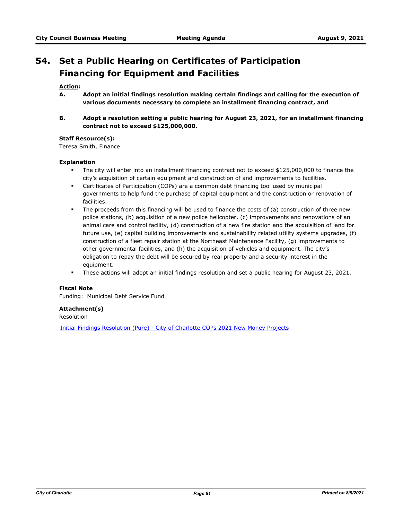# **Set a Public Hearing on Certificates of Participation 54. Financing for Equipment and Facilities**

# **Action:**

- **A. Adopt an initial findings resolution making certain findings and calling for the execution of various documents necessary to complete an installment financing contract, and**
- **B. Adopt a resolution setting a public hearing for August 23, 2021, for an installment financing contract not to exceed \$125,000,000.**

#### **Staff Resource(s):**

Teresa Smith, Finance

#### **Explanation**

- § The city will enter into an installment financing contract not to exceed \$125,000,000 to finance the city's acquisition of certain equipment and construction of and improvements to facilities.
- § Certificates of Participation (COPs) are a common debt financing tool used by municipal governments to help fund the purchase of capital equipment and the construction or renovation of facilities.
- § The proceeds from this financing will be used to finance the costs of (a) construction of three new police stations, (b) acquisition of a new police helicopter, (c) improvements and renovations of an animal care and control facility, (d) construction of a new fire station and the acquisition of land for future use, (e) capital building improvements and sustainability related utility systems upgrades, (f) construction of a fleet repair station at the Northeast Maintenance Facility, (g) improvements to other governmental facilities, and (h) the acquisition of vehicles and equipment. The city's obligation to repay the debt will be secured by real property and a security interest in the equipment.
- § These actions will adopt an initial findings resolution and set a public hearing for August 23, 2021.

# **Fiscal Note**

Funding: Municipal Debt Service Fund

## **Attachment(s)**

Resolution

[Initial Findings Resolution \(Pure\) - City of Charlotte COPs 2021 New Money Projects](http://charlottenc.legistar.com/gateway.aspx?M=F&ID=3d675b08-504a-4e10-b66e-0065ca8dd831.doc)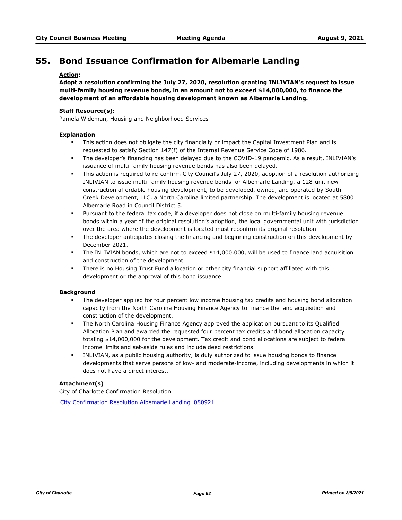# **55. Bond Issuance Confirmation for Albemarle Landing**

# **Action:**

**Adopt a resolution confirming the July 27, 2020, resolution granting INLIVIAN's request to issue multi-family housing revenue bonds, in an amount not to exceed \$14,000,000, to finance the development of an affordable housing development known as Albemarle Landing.**

#### **Staff Resource(s):**

Pamela Wideman, Housing and Neighborhood Services

#### **Explanation**

- This action does not obligate the city financially or impact the Capital Investment Plan and is requested to satisfy Section 147(f) of the Internal Revenue Service Code of 1986.
- § The developer's financing has been delayed due to the COVID-19 pandemic. As a result, INLIVIAN's issuance of multi-family housing revenue bonds has also been delayed.
- <sup>■</sup> This action is required to re-confirm City Council's July 27, 2020, adoption of a resolution authorizing INLIVIAN to issue multi-family housing revenue bonds for Albemarle Landing, a 128-unit new construction affordable housing development, to be developed, owned, and operated by South Creek Development, LLC, a North Carolina limited partnership. The development is located at 5800 Albemarle Road in Council District 5.
- § Pursuant to the federal tax code, if a developer does not close on multi-family housing revenue bonds within a year of the original resolution's adoption, the local governmental unit with jurisdiction over the area where the development is located must reconfirm its original resolution.
- The developer anticipates closing the financing and beginning construction on this development by December 2021.
- § The INLIVIAN bonds, which are not to exceed \$14,000,000, will be used to finance land acquisition and construction of the development.
- **•** There is no Housing Trust Fund allocation or other city financial support affiliated with this development or the approval of this bond issuance.

#### **Background**

- The developer applied for four percent low income housing tax credits and housing bond allocation capacity from the North Carolina Housing Finance Agency to finance the land acquisition and construction of the development.
- **•** The North Carolina Housing Finance Agency approved the application pursuant to its Qualified Allocation Plan and awarded the requested four percent tax credits and bond allocation capacity totaling \$14,000,000 for the development. Tax credit and bond allocations are subject to federal income limits and set-aside rules and include deed restrictions.
- **•** INLIVIAN, as a public housing authority, is duly authorized to issue housing bonds to finance developments that serve persons of low- and moderate-income, including developments in which it does not have a direct interest.

## **Attachment(s)**

City of Charlotte Confirmation Resolution

[City Confirmation Resolution Albemarle Landing\\_080921](http://charlottenc.legistar.com/gateway.aspx?M=F&ID=3ce8cb49-a87a-437d-bef9-b661cc4eaab5.docx)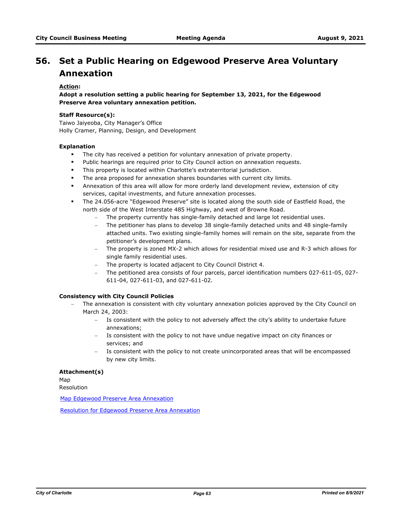# **Set a Public Hearing on Edgewood Preserve Area Voluntary 56. Annexation**

## **Action:**

**Adopt a resolution setting a public hearing for September 13, 2021, for the Edgewood Preserve Area voluntary annexation petition.**

#### **Staff Resource(s):**

Taiwo Jaiyeoba, City Manager's Office Holly Cramer, Planning, Design, and Development

#### **Explanation**

- The city has received a petition for voluntary annexation of private property.
- Public hearings are required prior to City Council action on annexation requests.
- § This property is located within Charlotte's extraterritorial jurisdiction.
- **•** The area proposed for annexation shares boundaries with current city limits.
- **EXT** Annexation of this area will allow for more orderly land development review, extension of city services, capital investments, and future annexation processes.
- § The 24.056-acre "Edgewood Preserve" site is located along the south side of Eastfield Road, the north side of the West Interstate 485 Highway, and west of Browne Road.
	- The property currently has single-family detached and large lot residential uses.
	- The petitioner has plans to develop 38 single-family detached units and 48 single-family attached units. Two existing single-family homes will remain on the site, separate from the petitioner's development plans.
	- The property is zoned MX-2 which allows for residential mixed use and R-3 which allows for single family residential uses.
	- The property is located adjacent to City Council District 4.
	- The petitioned area consists of four parcels, parcel identification numbers 027-611-05, 027- 611-04, 027-611-03, and 027-611-02.

# **Consistency with City Council Policies**

- The annexation is consistent with city voluntary annexation policies approved by the City Council on March 24, 2003:
	- Is consistent with the policy to not adversely affect the city's ability to undertake future annexations;
	- Is consistent with the policy to not have undue negative impact on city finances or services; and
	- Is consistent with the policy to not create unincorporated areas that will be encompassed by new city limits.

## **Attachment(s)**

Map

Resolution

[Map Edgewood Preserve Area Annexation](http://charlottenc.legistar.com/gateway.aspx?M=F&ID=ef5d4ddd-9bd4-413d-86b6-e4ec6de2ba77.pdf)

[Resolution for Edgewood Preserve Area Annexation](http://charlottenc.legistar.com/gateway.aspx?M=F&ID=80addaed-9086-42d1-89dd-6467ca8b1587.docx)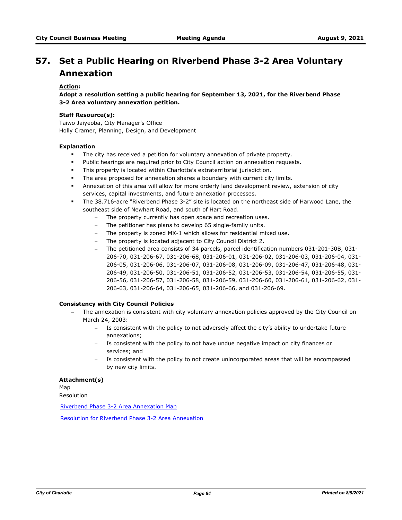# **Set a Public Hearing on Riverbend Phase 3-2 Area Voluntary 57. Annexation**

## **Action:**

**Adopt a resolution setting a public hearing for September 13, 2021, for the Riverbend Phase 3-2 Area voluntary annexation petition.**

#### **Staff Resource(s):**

Taiwo Jaiyeoba, City Manager's Office Holly Cramer, Planning, Design, and Development

#### **Explanation**

- The city has received a petition for voluntary annexation of private property.
- Public hearings are required prior to City Council action on annexation requests.
- § This property is located within Charlotte's extraterritorial jurisdiction.
- **•** The area proposed for annexation shares a boundary with current city limits.
- **•** Annexation of this area will allow for more orderly land development review, extension of city services, capital investments, and future annexation processes.
- § The 38.716-acre "Riverbend Phase 3-2" site is located on the northeast side of Harwood Lane, the southeast side of Newhart Road, and south of Hart Road.
	- The property currently has open space and recreation uses.
	- The petitioner has plans to develop 65 single-family units.
	- The property is zoned MX-1 which allows for residential mixed use.
	- The property is located adjacent to City Council District 2.
	- The petitioned area consists of 34 parcels, parcel identification numbers 031-201-30B, 031- 206-70, 031-206-67, 031-206-68, 031-206-01, 031-206-02, 031-206-03, 031-206-04, 031- 206-05, 031-206-06, 031-206-07, 031-206-08, 031-206-09, 031-206-47, 031-206-48, 031- 206-49, 031-206-50, 031-206-51, 031-206-52, 031-206-53, 031-206-54, 031-206-55, 031- 206-56, 031-206-57, 031-206-58, 031-206-59, 031-206-60, 031-206-61, 031-206-62, 031- 206-63, 031-206-64, 031-206-65, 031-206-66, and 031-206-69.

## **Consistency with City Council Policies**

- The annexation is consistent with city voluntary annexation policies approved by the City Council on March 24, 2003:
	- Is consistent with the policy to not adversely affect the city's ability to undertake future annexations;
	- Is consistent with the policy to not have undue negative impact on city finances or services; and
	- Is consistent with the policy to not create unincorporated areas that will be encompassed by new city limits.

#### **Attachment(s)**

Map Resolution

[Riverbend Phase 3-2 Area Annexation Map](http://charlottenc.legistar.com/gateway.aspx?M=F&ID=fa9e0abd-5968-425f-a658-8597f5b980db.pdf)

[Resolution for Riverbend Phase 3-2 Area Annexation](http://charlottenc.legistar.com/gateway.aspx?M=F&ID=a947c832-f168-4974-a7e8-b3e8eec8d204.docx)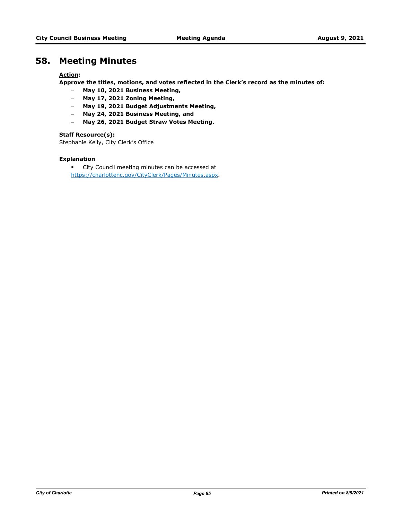# **58. Meeting Minutes**

# **Action:**

**Approve the titles, motions, and votes reflected in the Clerk's record as the minutes of:**

- **May 10, 2021 Business Meeting,**
- **May 17, 2021 Zoning Meeting,**
- **May 19, 2021 Budget Adjustments Meeting,**
- **May 24, 2021 Business Meeting, and**
- **May 26, 2021 Budget Straw Votes Meeting.**

# **Staff Resource(s):**

Stephanie Kelly, City Clerk's Office

# **Explanation**

**•** City Council meeting minutes can be accessed at https://charlottenc.gov/CityClerk/Pages/Minutes.aspx.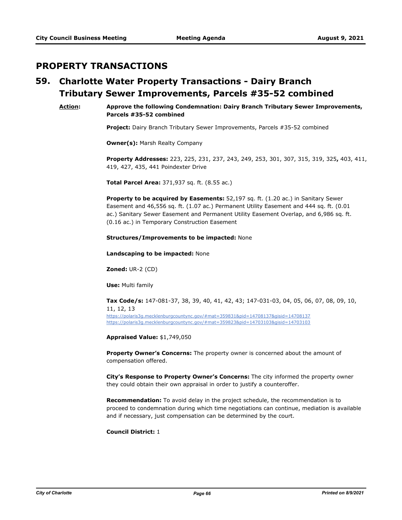# **PROPERTY TRANSACTIONS**

#### **Charlotte Water Property Transactions - Dairy Branch Tributary Sewer Improvements, Parcels #35-52 combined 59.**

**Action: Approve the following Condemnation: Dairy Branch Tributary Sewer Improvements, Parcels #35-52 combined**

**Project:** Dairy Branch Tributary Sewer Improvements, Parcels #35-52 combined

**Owner(s):** Marsh Realty Company

**Property Addresses:** 223, 225, 231, 237, 243, 249, 253, 301, 307, 315, 319, 325**,** 403, 411, 419, 427, 435, 441 Poindexter Drive

**Total Parcel Area:** 371,937 sq. ft. (8.55 ac.)

**Property to be acquired by Easements:** 52,197 sq. ft. (1.20 ac.) in Sanitary Sewer Easement and 46,556 sq. ft. (1.07 ac.) Permanent Utility Easement and 444 sq. ft. (0.01 ac.) Sanitary Sewer Easement and Permanent Utility Easement Overlap, and 6,986 sq. ft. (0.16 ac.) in Temporary Construction Easement

#### **Structures/Improvements to be impacted:** None

**Landscaping to be impacted:** None

**Zoned:** UR-2 (CD)

**Use:** Multi family

**Tax Code/s:** 147-081-37, 38, 39, 40, 41, 42, 43; 147-031-03, 04, 05, 06, 07, 08, 09, 10, 11, 12, 13 https://polaris3g.mecklenburgcountync.gov/#mat=359831&pid=14708137&gisid=14708137 https://polaris3g.mecklenburgcountync.gov/#mat=359823&pid=14703103&gisid=14703103

**Appraised Value:** \$1,749,050

**Property Owner's Concerns:** The property owner is concerned about the amount of compensation offered.

**City's Response to Property Owner's Concerns:** The city informed the property owner they could obtain their own appraisal in order to justify a counteroffer.

**Recommendation:** To avoid delay in the project schedule, the recommendation is to proceed to condemnation during which time negotiations can continue, mediation is available and if necessary, just compensation can be determined by the court.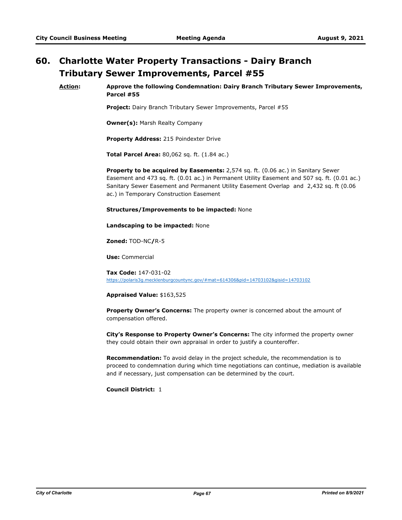# **Charlotte Water Property Transactions - Dairy Branch 60. Tributary Sewer Improvements, Parcel #55**

#### **Action: Approve the following Condemnation: Dairy Branch Tributary Sewer Improvements, Parcel #55**

**Project:** Dairy Branch Tributary Sewer Improvements, Parcel #55

**Owner(s):** Marsh Realty Company

**Property Address:** 215 Poindexter Drive

**Total Parcel Area:** 80,062 sq. ft. (1.84 ac.)

**Property to be acquired by Easements:** 2,574 sq. ft. (0.06 ac.) in Sanitary Sewer Easement and 473 sq. ft. (0.01 ac.) in Permanent Utility Easement and 507 sq. ft. (0.01 ac.) Sanitary Sewer Easement and Permanent Utility Easement Overlap and 2,432 sq. ft (0.06 ac.) in Temporary Construction Easement

#### **Structures/Improvements to be impacted:** None

**Landscaping to be impacted:** None

**Zoned:** TOD-NC**/**R-5

**Use:** Commercial

**Tax Code:** 147-031-02 https://polaris3g.mecklenburgcountync.gov/#mat=614306&pid=14703102&gisid=14703102

#### **Appraised Value:** \$163,525

**Property Owner's Concerns:** The property owner is concerned about the amount of compensation offered.

**City's Response to Property Owner's Concerns:** The city informed the property owner they could obtain their own appraisal in order to justify a counteroffer.

**Recommendation:** To avoid delay in the project schedule, the recommendation is to proceed to condemnation during which time negotiations can continue, mediation is available and if necessary, just compensation can be determined by the court.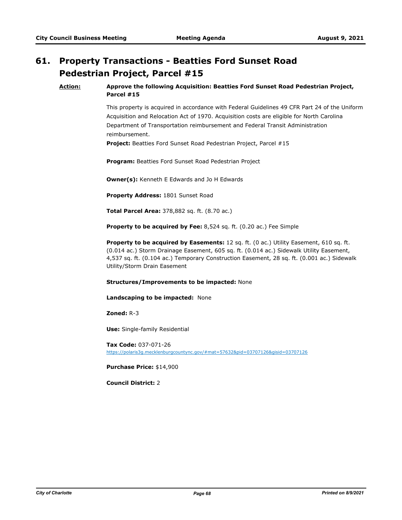# **Property Transactions - Beatties Ford Sunset Road 61. Pedestrian Project, Parcel #15**

## **Action: Approve the following Acquisition: Beatties Ford Sunset Road Pedestrian Project, Parcel #15**

This property is acquired in accordance with Federal Guidelines 49 CFR Part 24 of the Uniform Acquisition and Relocation Act of 1970. Acquisition costs are eligible for North Carolina Department of Transportation reimbursement and Federal Transit Administration reimbursement.

**Project:** Beatties Ford Sunset Road Pedestrian Project, Parcel #15

**Program:** Beatties Ford Sunset Road Pedestrian Project

**Owner(s):** Kenneth E Edwards and Jo H Edwards

**Property Address:** 1801 Sunset Road

**Total Parcel Area:** 378,882 sq. ft. (8.70 ac.)

**Property to be acquired by Fee:** 8,524 sq. ft. (0.20 ac.) Fee Simple

**Property to be acquired by Easements:** 12 sq. ft. (0 ac.) Utility Easement, 610 sq. ft. (0.014 ac.) Storm Drainage Easement, 605 sq. ft. (0.014 ac.) Sidewalk Utility Easement, 4,537 sq. ft. (0.104 ac.) Temporary Construction Easement, 28 sq. ft. (0.001 ac.) Sidewalk Utility/Storm Drain Easement

#### **Structures/Improvements to be impacted:** None

**Landscaping to be impacted:** None

**Zoned:** R-3

**Use:** Single-family Residential

**Tax Code:** 037-071-26 https://polaris3g.mecklenburgcountync.gov/#mat=57632&pid=03707126&gisid=03707126

**Purchase Price:** \$14,900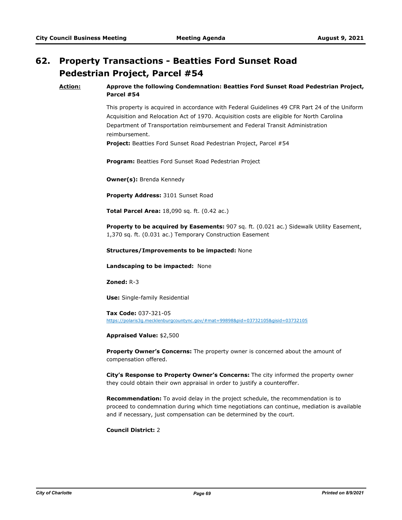# **Property Transactions - Beatties Ford Sunset Road 62. Pedestrian Project, Parcel #54**

## **Action: Approve the following Condemnation: Beatties Ford Sunset Road Pedestrian Project, Parcel #54**

This property is acquired in accordance with Federal Guidelines 49 CFR Part 24 of the Uniform Acquisition and Relocation Act of 1970. Acquisition costs are eligible for North Carolina Department of Transportation reimbursement and Federal Transit Administration reimbursement.

**Project:** Beatties Ford Sunset Road Pedestrian Project, Parcel #54

**Program:** Beatties Ford Sunset Road Pedestrian Project

**Owner(s):** Brenda Kennedy

**Property Address:** 3101 Sunset Road

**Total Parcel Area:** 18,090 sq. ft. (0.42 ac.)

**Property to be acquired by Easements:** 907 sq. ft. (0.021 ac.) Sidewalk Utility Easement, 1,370 sq. ft. (0.031 ac.) Temporary Construction Easement

#### **Structures/Improvements to be impacted:** None

**Landscaping to be impacted:** None

**Zoned:** R-3

**Use:** Single-family Residential

**Tax Code:** 037-321-05 https://polaris3g.mecklenburgcountync.gov/#mat=99898&pid=03732105&gisid=03732105

**Appraised Value:** \$2,500

**Property Owner's Concerns:** The property owner is concerned about the amount of compensation offered.

**City's Response to Property Owner's Concerns:** The city informed the property owner they could obtain their own appraisal in order to justify a counteroffer.

**Recommendation:** To avoid delay in the project schedule, the recommendation is to proceed to condemnation during which time negotiations can continue, mediation is available and if necessary, just compensation can be determined by the court.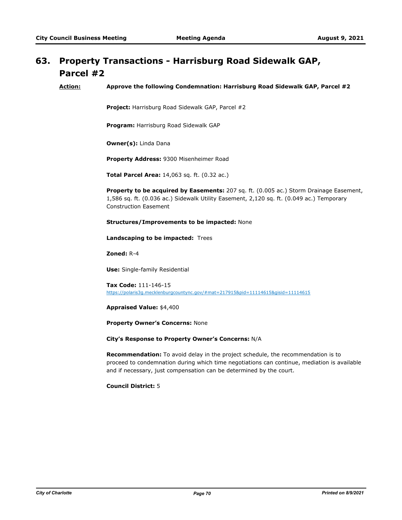# **Property Transactions - Harrisburg Road Sidewalk GAP, 63. Parcel #2**

**Action: Approve the following Condemnation: Harrisburg Road Sidewalk GAP, Parcel #2**

**Project:** Harrisburg Road Sidewalk GAP, Parcel #2

**Program:** Harrisburg Road Sidewalk GAP

**Owner(s):** Linda Dana

**Property Address:** 9300 Misenheimer Road

**Total Parcel Area:** 14,063 sq. ft. (0.32 ac.)

**Property to be acquired by Easements:** 207 sq. ft. (0.005 ac.) Storm Drainage Easement, 1,586 sq. ft. (0.036 ac.) Sidewalk Utility Easement, 2,120 sq. ft. (0.049 ac.) Temporary Construction Easement

**Structures/Improvements to be impacted:** None

**Landscaping to be impacted:** Trees

**Zoned:** R-4

**Use:** Single-family Residential

**Tax Code:** 111-146-15 https://polaris3g.mecklenburgcountync.gov/#mat=217915&pid=11114615&gisid=11114615

**Appraised Value:** \$4,400

**Property Owner's Concerns:** None

**City's Response to Property Owner's Concerns:** N/A

**Recommendation:** To avoid delay in the project schedule, the recommendation is to proceed to condemnation during which time negotiations can continue, mediation is available and if necessary, just compensation can be determined by the court.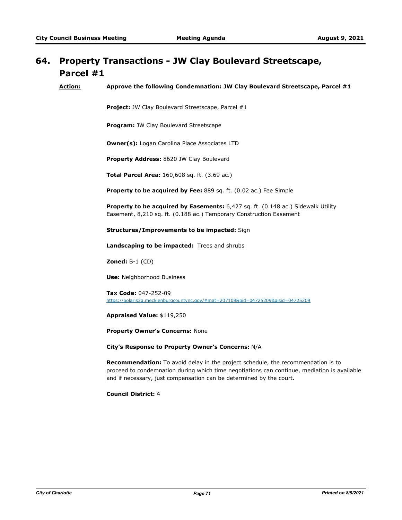# **Property Transactions - JW Clay Boulevard Streetscape, 64. Parcel #1**

**Action: Approve the following Condemnation: JW Clay Boulevard Streetscape, Parcel #1**

**Project:** JW Clay Boulevard Streetscape, Parcel #1

**Program:** JW Clay Boulevard Streetscape

**Owner(s):** Logan Carolina Place Associates LTD

**Property Address:** 8620 JW Clay Boulevard

**Total Parcel Area:** 160,608 sq. ft. (3.69 ac.)

**Property to be acquired by Fee:** 889 sq. ft. (0.02 ac.) Fee Simple

**Property to be acquired by Easements:** 6,427 sq. ft. (0.148 ac.) Sidewalk Utility Easement, 8,210 sq. ft. (0.188 ac.) Temporary Construction Easement

**Structures/Improvements to be impacted:** Sign

**Landscaping to be impacted:** Trees and shrubs

**Zoned:** B-1 (CD)

**Use:** Neighborhood Business

**Tax Code:** 047-252-09 https://polaris3g.mecklenburgcountync.gov/#mat=207108&pid=04725209&gisid=04725209

**Appraised Value:** \$119,250

**Property Owner's Concerns:** None

**City's Response to Property Owner's Concerns:** N/A

**Recommendation:** To avoid delay in the project schedule, the recommendation is to proceed to condemnation during which time negotiations can continue, mediation is available and if necessary, just compensation can be determined by the court.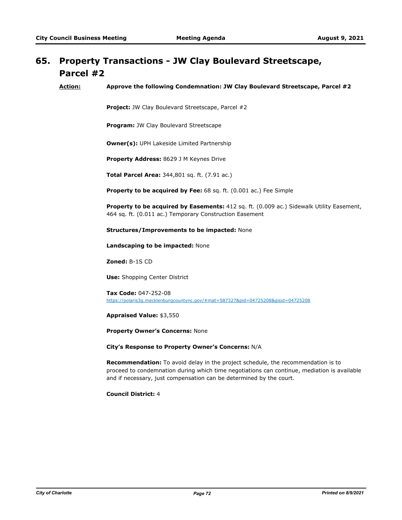# **Property Transactions - JW Clay Boulevard Streetscape, 65. Parcel #2**

**Action: Approve the following Condemnation: JW Clay Boulevard Streetscape, Parcel #2**

**Project:** JW Clay Boulevard Streetscape, Parcel #2

**Program:** JW Clay Boulevard Streetscape

**Owner(s):** UPH Lakeside Limited Partnership

**Property Address:** 8629 J M Keynes Drive

**Total Parcel Area:** 344,801 sq. ft. (7.91 ac.)

**Property to be acquired by Fee:** 68 sq. ft. (0.001 ac.) Fee Simple

**Property to be acquired by Easements:** 412 sq. ft. (0.009 ac.) Sidewalk Utility Easement, 464 sq. ft. (0.011 ac.) Temporary Construction Easement

**Structures/Improvements to be impacted:** None

**Landscaping to be impacted:** None

**Zoned:** B-1S CD

**Use:** Shopping Center District

**Tax Code:** 047-252-08 https://polaris3g.mecklenburgcountync.gov/#mat=587327&pid=04725208&gisid=04725208

**Appraised Value:** \$3,550

**Property Owner's Concerns:** None

**City's Response to Property Owner's Concerns:** N/A

**Recommendation:** To avoid delay in the project schedule, the recommendation is to proceed to condemnation during which time negotiations can continue, mediation is available and if necessary, just compensation can be determined by the court.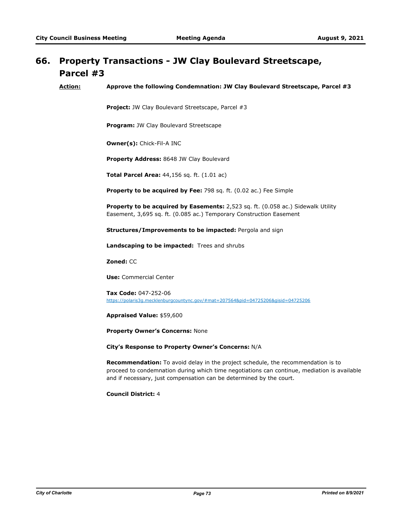## **Property Transactions - JW Clay Boulevard Streetscape, 66. Parcel #3**

**Action: Approve the following Condemnation: JW Clay Boulevard Streetscape, Parcel #3**

**Project:** JW Clay Boulevard Streetscape, Parcel #3

**Program:** JW Clay Boulevard Streetscape

**Owner(s):** Chick-Fil-A INC

**Property Address:** 8648 JW Clay Boulevard

**Total Parcel Area:** 44,156 sq. ft. (1.01 ac)

**Property to be acquired by Fee:** 798 sq. ft. (0.02 ac.) Fee Simple

**Property to be acquired by Easements:** 2,523 sq. ft. (0.058 ac.) Sidewalk Utility Easement, 3,695 sq. ft. (0.085 ac.) Temporary Construction Easement

**Structures/Improvements to be impacted:** Pergola and sign

**Landscaping to be impacted:** Trees and shrubs

**Zoned:** CC

**Use:** Commercial Center

**Tax Code:** 047-252-06 https://polaris3g.mecklenburgcountync.gov/#mat=207564&pid=04725206&gisid=04725206

**Appraised Value:** \$59,600

**Property Owner's Concerns:** None

**City's Response to Property Owner's Concerns:** N/A

**Recommendation:** To avoid delay in the project schedule, the recommendation is to proceed to condemnation during which time negotiations can continue, mediation is available and if necessary, just compensation can be determined by the court.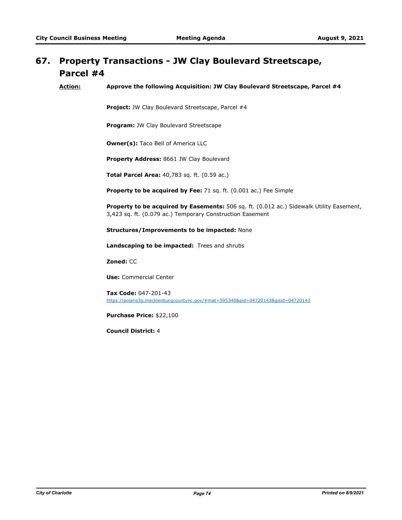## **Property Transactions - JW Clay Boulevard Streetscape, 67. Parcel #4**

**Action: Approve the following Acquisition: JW Clay Boulevard Streetscape, Parcel #4**

**Project:** JW Clay Boulevard Streetscape, Parcel #4

**Program:** JW Clay Boulevard Streetscape

**Owner(s):** Taco Bell of America LLC

**Property Address:** 8661 JW Clay Boulevard

**Total Parcel Area:** 40,783 sq. ft. (0.59 ac.)

**Property to be acquired by Fee:** 71 sq. ft. (0.001 ac.) Fee Simple

**Property to be acquired by Easements:** 506 sq. ft. (0.012 ac.) Sidewalk Utility Easement, 3,423 sq. ft. (0.079 ac.) Temporary Construction Easement

**Structures/Improvements to be impacted:** None

**Landscaping to be impacted:** Trees and shrubs

**Zoned:** CC

**Use:** Commercial Center

**Tax Code:** 047-201-43 https://polaris3g.mecklenburgcountync.gov/#mat=595340&pid=04720143&gisid=04720143

**Purchase Price:** \$22,100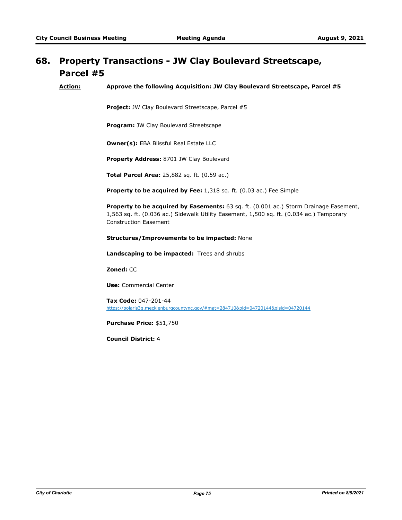### **Property Transactions - JW Clay Boulevard Streetscape, Parcel #5 68.**

**Action: Approve the following Acquisition: JW Clay Boulevard Streetscape, Parcel #5**

**Project:** JW Clay Boulevard Streetscape, Parcel #5

**Program:** JW Clay Boulevard Streetscape

**Owner(s):** EBA Blissful Real Estate LLC

**Property Address:** 8701 JW Clay Boulevard

**Total Parcel Area:** 25,882 sq. ft. (0.59 ac.)

**Property to be acquired by Fee:** 1,318 sq. ft. (0.03 ac.) Fee Simple

**Property to be acquired by Easements:** 63 sq. ft. (0.001 ac.) Storm Drainage Easement, 1,563 sq. ft. (0.036 ac.) Sidewalk Utility Easement, 1,500 sq. ft. (0.034 ac.) Temporary Construction Easement

### **Structures/Improvements to be impacted:** None

**Landscaping to be impacted:** Trees and shrubs

**Zoned:** CC

**Use:** Commercial Center

**Tax Code:** 047-201-44 https://polaris3g.mecklenburgcountync.gov/#mat=284710&pid=04720144&gisid=04720144

**Purchase Price:** \$51,750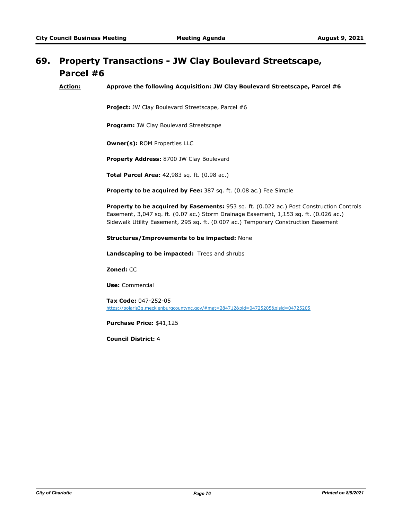## **Property Transactions - JW Clay Boulevard Streetscape, 69. Parcel #6**

**Action: Approve the following Acquisition: JW Clay Boulevard Streetscape, Parcel #6**

**Project:** JW Clay Boulevard Streetscape, Parcel #6

**Program:** JW Clay Boulevard Streetscape

**Owner(s):** ROM Properties LLC

**Property Address:** 8700 JW Clay Boulevard

**Total Parcel Area:** 42,983 sq. ft. (0.98 ac.)

**Property to be acquired by Fee:** 387 sq. ft. (0.08 ac.) Fee Simple

**Property to be acquired by Easements:** 953 sq. ft. (0.022 ac.) Post Construction Controls Easement, 3,047 sq. ft. (0.07 ac.) Storm Drainage Easement, 1,153 sq. ft. (0.026 ac.) Sidewalk Utility Easement, 295 sq. ft. (0.007 ac.) Temporary Construction Easement

#### **Structures/Improvements to be impacted:** None

**Landscaping to be impacted:** Trees and shrubs

**Zoned:** CC

**Use:** Commercial

**Tax Code:** 047-252-05 https://polaris3g.mecklenburgcountync.gov/#mat=284712&pid=04725205&gisid=04725205

**Purchase Price:** \$41,125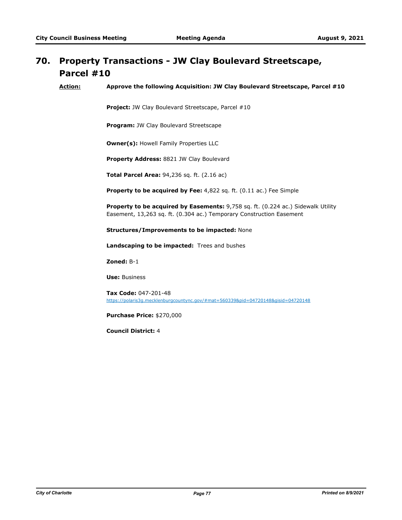# **Property Transactions - JW Clay Boulevard Streetscape, 70. Parcel #10**

**Action: Approve the following Acquisition: JW Clay Boulevard Streetscape, Parcel #10**

**Project:** JW Clay Boulevard Streetscape, Parcel #10

**Program:** JW Clay Boulevard Streetscape

**Owner(s):** Howell Family Properties LLC

**Property Address:** 8821 JW Clay Boulevard

**Total Parcel Area:** 94,236 sq. ft. (2.16 ac)

**Property to be acquired by Fee:** 4,822 sq. ft. (0.11 ac.) Fee Simple

**Property to be acquired by Easements:** 9,758 sq. ft. (0.224 ac.) Sidewalk Utility Easement, 13,263 sq. ft. (0.304 ac.) Temporary Construction Easement

**Structures/Improvements to be impacted:** None

**Landscaping to be impacted:** Trees and bushes

**Zoned:** B-1

**Use:** Business

**Tax Code:** 047-201-48 https://polaris3g.mecklenburgcountync.gov/#mat=560339&pid=04720148&gisid=04720148

**Purchase Price:** \$270,000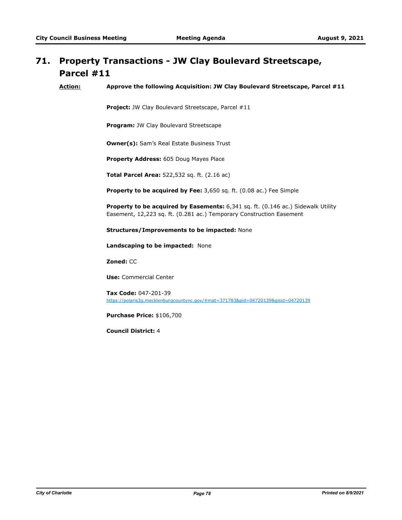# **Property Transactions - JW Clay Boulevard Streetscape, 71. Parcel #11**

**Action: Approve the following Acquisition: JW Clay Boulevard Streetscape, Parcel #11**

**Project:** JW Clay Boulevard Streetscape, Parcel #11

**Program:** JW Clay Boulevard Streetscape

**Owner(s):** Sam's Real Estate Business Trust

**Property Address:** 605 Doug Mayes Place

**Total Parcel Area:** 522,532 sq. ft. (2.16 ac)

**Property to be acquired by Fee:** 3,650 sq. ft. (0.08 ac.) Fee Simple

**Property to be acquired by Easements:** 6,341 sq. ft. (0.146 ac.) Sidewalk Utility Easement, 12,223 sq. ft. (0.281 ac.) Temporary Construction Easement

**Structures/Improvements to be impacted:** None

**Landscaping to be impacted:** None

**Zoned:** CC

**Use:** Commercial Center

**Tax Code:** 047-201-39 https://polaris3g.mecklenburgcountync.gov/#mat=371783&pid=04720139&gisid=04720139

**Purchase Price:** \$106,700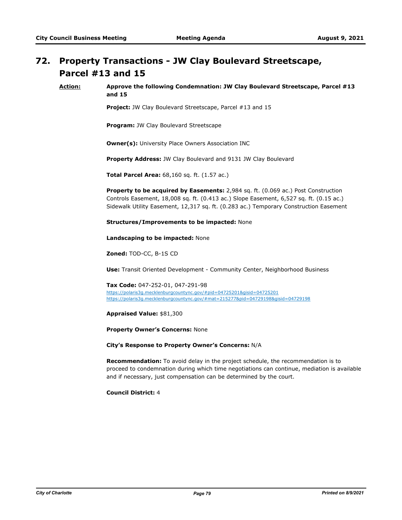# **Property Transactions - JW Clay Boulevard Streetscape, 72. Parcel #13 and 15**

**Action: Approve the following Condemnation: JW Clay Boulevard Streetscape, Parcel #13 and 15**

**Project:** JW Clay Boulevard Streetscape, Parcel #13 and 15

**Program:** JW Clay Boulevard Streetscape

**Owner(s):** University Place Owners Association INC

**Property Address:** JW Clay Boulevard and 9131 JW Clay Boulevard

**Total Parcel Area:** 68,160 sq. ft. (1.57 ac.)

**Property to be acquired by Easements:** 2,984 sq. ft. (0.069 ac.) Post Construction Controls Easement, 18,008 sq. ft. (0.413 ac.) Slope Easement, 6,527 sq. ft. (0.15 ac.) Sidewalk Utility Easement, 12,317 sq. ft. (0.283 ac.) Temporary Construction Easement

**Structures/Improvements to be impacted:** None

**Landscaping to be impacted:** None

**Zoned:** TOD-CC, B-1S CD

**Use:** Transit Oriented Development - Community Center, Neighborhood Business

**Tax Code:** 047-252-01, 047-291-98 https://polaris3g.mecklenburgcountync.gov/#pid=04725201&gisid=04725201 https://polaris3g.mecklenburgcountync.gov/#mat=215277&pid=04729198&gisid=04729198

**Appraised Value:** \$81,300

**Property Owner's Concerns:** None

**City's Response to Property Owner's Concerns:** N/A

**Recommendation:** To avoid delay in the project schedule, the recommendation is to proceed to condemnation during which time negotiations can continue, mediation is available and if necessary, just compensation can be determined by the court.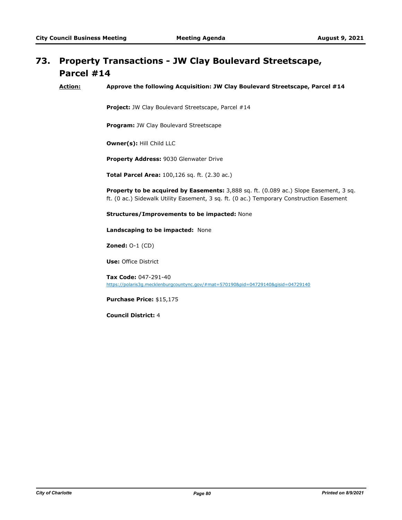### **Property Transactions - JW Clay Boulevard Streetscape, Parcel #14 73.**

**Action: Approve the following Acquisition: JW Clay Boulevard Streetscape, Parcel #14**

**Project:** JW Clay Boulevard Streetscape, Parcel #14

**Program:** JW Clay Boulevard Streetscape

**Owner(s):** Hill Child LLC

**Property Address:** 9030 Glenwater Drive

**Total Parcel Area:** 100,126 sq. ft. (2.30 ac.)

**Property to be acquired by Easements:** 3,888 sq. ft. (0.089 ac.) Slope Easement, 3 sq. ft. (0 ac.) Sidewalk Utility Easement, 3 sq. ft. (0 ac.) Temporary Construction Easement

**Structures/Improvements to be impacted:** None

**Landscaping to be impacted:** None

**Zoned:** O-1 (CD)

**Use:** Office District

**Tax Code:** 047-291-40 https://polaris3g.mecklenburgcountync.gov/#mat=570190&pid=04729140&gisid=04729140

**Purchase Price:** \$15,175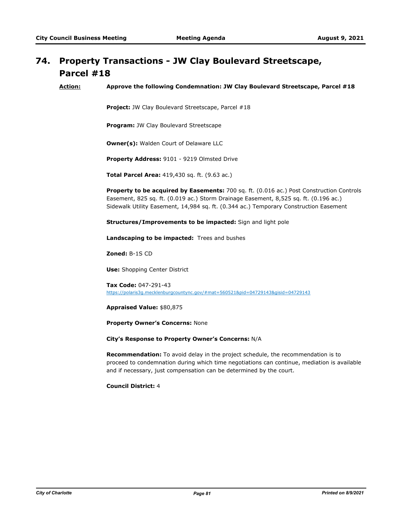## **Property Transactions - JW Clay Boulevard Streetscape, 74. Parcel #18**

**Action: Approve the following Condemnation: JW Clay Boulevard Streetscape, Parcel #18**

Project: JW Clay Boulevard Streetscape, Parcel #18

**Program:** JW Clay Boulevard Streetscape

**Owner(s):** Walden Court of Delaware LLC

**Property Address:** 9101 - 9219 Olmsted Drive

**Total Parcel Area:** 419,430 sq. ft. (9.63 ac.)

**Property to be acquired by Easements:** 700 sq. ft. (0.016 ac.) Post Construction Controls Easement, 825 sq. ft. (0.019 ac.) Storm Drainage Easement, 8,525 sq. ft. (0.196 ac.) Sidewalk Utility Easement, 14,984 sq. ft. (0.344 ac.) Temporary Construction Easement

**Structures/Improvements to be impacted:** Sign and light pole

**Landscaping to be impacted:** Trees and bushes

**Zoned:** B-1S CD

**Use:** Shopping Center District

**Tax Code:** 047-291-43 https://polaris3g.mecklenburgcountync.gov/#mat=560521&pid=04729143&gisid=04729143

**Appraised Value:** \$80,875

**Property Owner's Concerns:** None

**City's Response to Property Owner's Concerns:** N/A

**Recommendation:** To avoid delay in the project schedule, the recommendation is to proceed to condemnation during which time negotiations can continue, mediation is available and if necessary, just compensation can be determined by the court.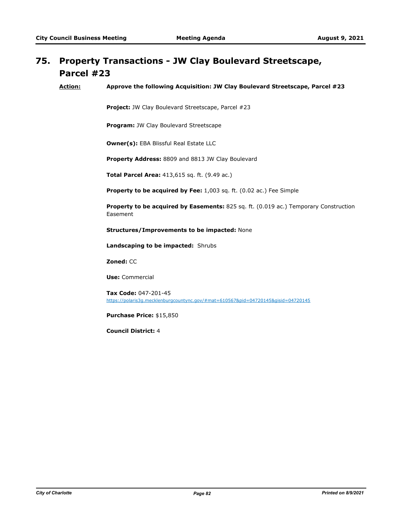### **Property Transactions - JW Clay Boulevard Streetscape, Parcel #23 75.**

**Action: Approve the following Acquisition: JW Clay Boulevard Streetscape, Parcel #23**

**Project:** JW Clay Boulevard Streetscape, Parcel #23

**Program:** JW Clay Boulevard Streetscape

**Owner(s):** EBA Blissful Real Estate LLC

**Property Address:** 8809 and 8813 JW Clay Boulevard

**Total Parcel Area:** 413,615 sq. ft. (9.49 ac.)

**Property to be acquired by Fee:** 1,003 sq. ft. (0.02 ac.) Fee Simple

**Property to be acquired by Easements:** 825 sq. ft. (0.019 ac.) Temporary Construction Easement

**Structures/Improvements to be impacted:** None

**Landscaping to be impacted:** Shrubs

**Zoned:** CC

**Use:** Commercial

**Tax Code:** 047-201-45 https://polaris3g.mecklenburgcountync.gov/#mat=610567&pid=04720145&gisid=04720145

**Purchase Price:** \$15,850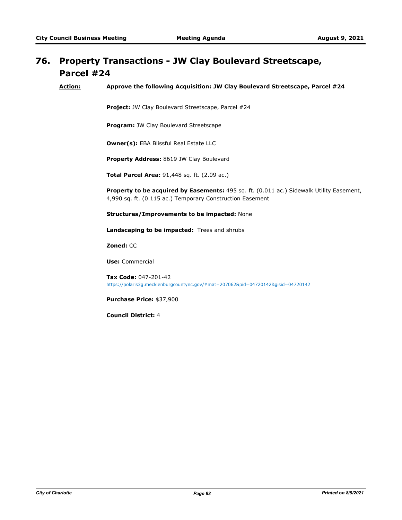### **Property Transactions - JW Clay Boulevard Streetscape, Parcel #24 76.**

**Action: Approve the following Acquisition: JW Clay Boulevard Streetscape, Parcel #24**

**Project:** JW Clay Boulevard Streetscape, Parcel #24

**Program:** JW Clay Boulevard Streetscape

**Owner(s):** EBA Blissful Real Estate LLC

**Property Address:** 8619 JW Clay Boulevard

**Total Parcel Area:** 91,448 sq. ft. (2.09 ac.)

**Property to be acquired by Easements:** 495 sq. ft. (0.011 ac.) Sidewalk Utility Easement, 4,990 sq. ft. (0.115 ac.) Temporary Construction Easement

**Structures/Improvements to be impacted:** None

**Landscaping to be impacted:** Trees and shrubs

**Zoned:** CC

**Use:** Commercial

**Tax Code:** 047-201-42 https://polaris3g.mecklenburgcountync.gov/#mat=207062&pid=04720142&gisid=04720142

**Purchase Price:** \$37,900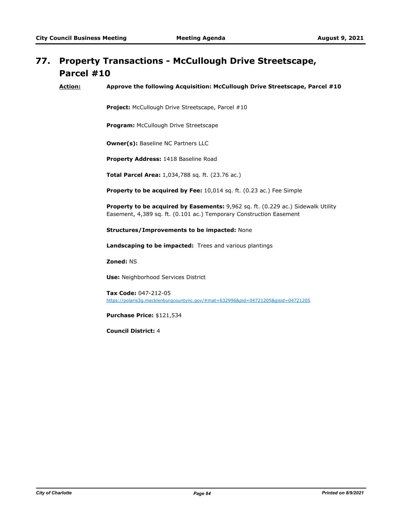# **Property Transactions - McCullough Drive Streetscape, 77. Parcel #10**

**Action: Approve the following Acquisition: McCullough Drive Streetscape, Parcel #10**

**Project:** McCullough Drive Streetscape, Parcel #10

**Program:** McCullough Drive Streetscape

**Owner(s):** Baseline NC Partners LLC

**Property Address:** 1418 Baseline Road

**Total Parcel Area:** 1,034,788 sq. ft. (23.76 ac.)

**Property to be acquired by Fee:** 10,014 sq. ft. (0.23 ac.) Fee Simple

**Property to be acquired by Easements:** 9,962 sq. ft. (0.229 ac.) Sidewalk Utility Easement, 4,389 sq. ft. (0.101 ac.) Temporary Construction Easement

**Structures/Improvements to be impacted:** None

**Landscaping to be impacted:** Trees and various plantings

**Zoned:** NS

**Use:** Neighborhood Services District

**Tax Code:** 047-212-05 https://polaris3g.mecklenburgcountync.gov/#mat=632996&pid=04721205&gisid=04721205

**Purchase Price:** \$121,534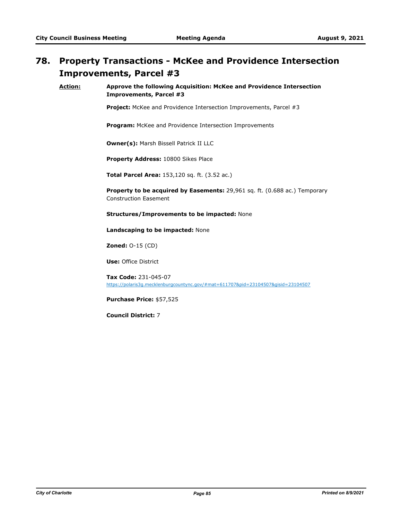# **Property Transactions - McKee and Providence Intersection 78. Improvements, Parcel #3**

**Action: Approve the following Acquisition: McKee and Providence Intersection Improvements, Parcel #3**

**Project:** McKee and Providence Intersection Improvements, Parcel #3

**Program:** McKee and Providence Intersection Improvements

**Owner(s):** Marsh Bissell Patrick II LLC

**Property Address:** 10800 Sikes Place

**Total Parcel Area:** 153,120 sq. ft. (3.52 ac.)

**Property to be acquired by Easements:** 29,961 sq. ft. (0.688 ac.) Temporary Construction Easement

**Structures/Improvements to be impacted:** None

**Landscaping to be impacted:** None

**Zoned:** O-15 (CD)

**Use:** Office District

**Tax Code:** 231-045-07 https://polaris3g.mecklenburgcountync.gov/#mat=611707&pid=23104507&gisid=23104507

**Purchase Price:** \$57,525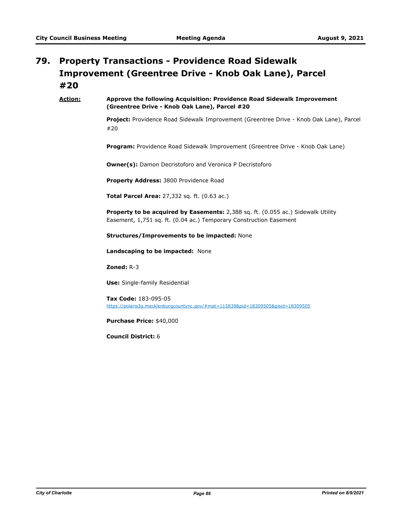### **Property Transactions - Providence Road Sidewalk Improvement (Greentree Drive - Knob Oak Lane), Parcel #20 79.**

### **Action: Approve the following Acquisition: Providence Road Sidewalk Improvement (Greentree Drive - Knob Oak Lane), Parcel #20**

**Project:** Providence Road Sidewalk Improvement (Greentree Drive - Knob Oak Lane), Parcel #20

**Program:** Providence Road Sidewalk Improvement (Greentree Drive - Knob Oak Lane)

**Owner(s):** Damon Decristoforo and Veronica P Decristoforo

**Property Address:** 3800 Providence Road

**Total Parcel Area:** 27,332 sq. ft. (0.63 ac.)

**Property to be acquired by Easements:** 2,388 sq. ft. (0.055 ac.) Sidewalk Utility Easement, 1,751 sq. ft. (0.04 ac.) Temporary Construction Easement

**Structures/Improvements to be impacted:** None

**Landscaping to be impacted:** None

**Zoned:** R-3

**Use:** Single-family Residential

**Tax Code:** 183-095-05 https://polaris3g.mecklenburgcountync.gov/#mat=115839&pid=18309505&gisid=18309505

**Purchase Price:** \$40,000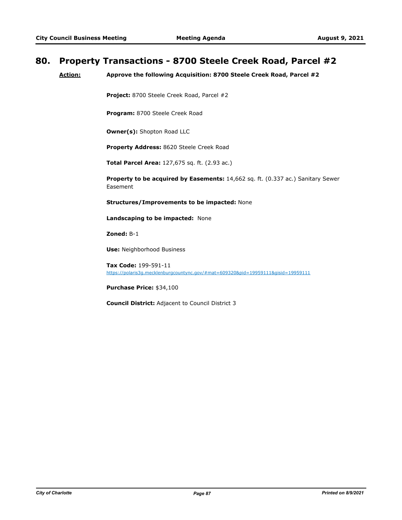### **80. Property Transactions - 8700 Steele Creek Road, Parcel #2**

**Action: Approve the following Acquisition: 8700 Steele Creek Road, Parcel #2**

**Project:** 8700 Steele Creek Road, Parcel #2

**Program:** 8700 Steele Creek Road

**Owner(s):** Shopton Road LLC

**Property Address:** 8620 Steele Creek Road

**Total Parcel Area:** 127,675 sq. ft. (2.93 ac.)

**Property to be acquired by Easements:** 14,662 sq. ft. (0.337 ac.) Sanitary Sewer Easement

**Structures/Improvements to be impacted:** None

**Landscaping to be impacted:** None

**Zoned:** B-1

**Use:** Neighborhood Business

**Tax Code:** 199-591-11 https://polaris3g.mecklenburgcountync.gov/#mat=609320&pid=19959111&gisid=19959111

**Purchase Price:** \$34,100

**Council District:** Adjacent to Council District 3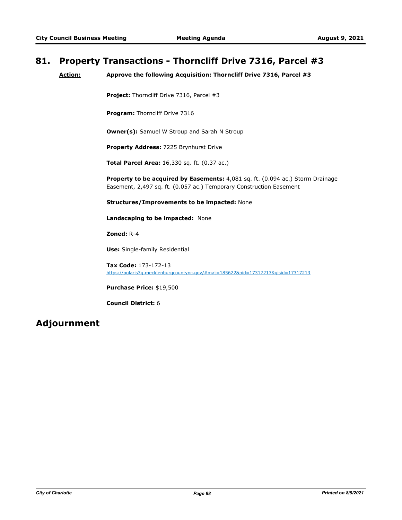### **81. Property Transactions - Thorncliff Drive 7316, Parcel #3**

**Action: Approve the following Acquisition: Thorncliff Drive 7316, Parcel #3**

**Project:** Thorncliff Drive 7316, Parcel #3

**Program: Thorncliff Drive 7316** 

**Owner(s):** Samuel W Stroup and Sarah N Stroup

**Property Address:** 7225 Brynhurst Drive

**Total Parcel Area:** 16,330 sq. ft. (0.37 ac.)

**Property to be acquired by Easements:** 4,081 sq. ft. (0.094 ac.) Storm Drainage Easement, 2,497 sq. ft. (0.057 ac.) Temporary Construction Easement

**Structures/Improvements to be impacted:** None

**Landscaping to be impacted:** None

**Zoned:** R-4

**Use:** Single-family Residential

**Tax Code:** 173-172-13 https://polaris3g.mecklenburgcountync.gov/#mat=185622&pid=17317213&gisid=17317213

**Purchase Price:** \$19,500

**Council District:** 6

### **Adjournment**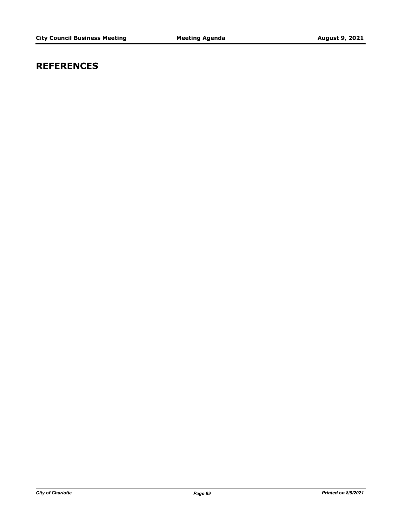## **REFERENCES**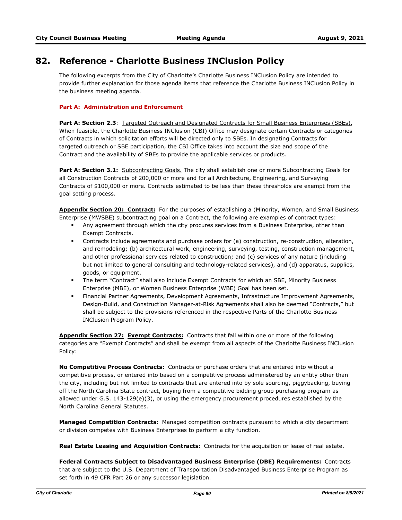### **82. Reference - Charlotte Business INClusion Policy**

The following excerpts from the City of Charlotte's Charlotte Business INClusion Policy are intended to provide further explanation for those agenda items that reference the Charlotte Business INClusion Policy in the business meeting agenda.

### **Part A: Administration and Enforcement**

Part A: Section 2.3: Targeted Outreach and Designated Contracts for Small Business Enterprises (SBEs). When feasible, the Charlotte Business INClusion (CBI) Office may designate certain Contracts or categories of Contracts in which solicitation efforts will be directed only to SBEs. In designating Contracts for targeted outreach or SBE participation, the CBI Office takes into account the size and scope of the Contract and the availability of SBEs to provide the applicable services or products.

Part A: Section 3.1: Subcontracting Goals. The city shall establish one or more Subcontracting Goals for all Construction Contracts of 200,000 or more and for all Architecture, Engineering, and Surveying Contracts of \$100,000 or more. Contracts estimated to be less than these thresholds are exempt from the goal setting process.

**Appendix Section 20: Contract:** For the purposes of establishing a (Minority, Women, and Small Business Enterprise (MWSBE) subcontracting goal on a Contract, the following are examples of contract types:

- **•** Any agreement through which the city procures services from a Business Enterprise, other than Exempt Contracts.
- § Contracts include agreements and purchase orders for (a) construction, re-construction, alteration, and remodeling; (b) architectural work, engineering, surveying, testing, construction management, and other professional services related to construction; and (c) services of any nature (including but not limited to general consulting and technology-related services), and (d) apparatus, supplies, goods, or equipment.
- § The term "Contract" shall also include Exempt Contracts for which an SBE, Minority Business Enterprise (MBE), or Women Business Enterprise (WBE) Goal has been set.
- § Financial Partner Agreements, Development Agreements, Infrastructure Improvement Agreements, Design-Build, and Construction Manager-at-Risk Agreements shall also be deemed "Contracts," but shall be subject to the provisions referenced in the respective Parts of the Charlotte Business INClusion Program Policy.

**Appendix Section 27: Exempt Contracts:** Contracts that fall within one or more of the following categories are "Exempt Contracts" and shall be exempt from all aspects of the Charlotte Business INClusion Policy:

**No Competitive Process Contracts:** Contracts or purchase orders that are entered into without a competitive process, or entered into based on a competitive process administered by an entity other than the city, including but not limited to contracts that are entered into by sole sourcing, piggybacking, buying off the North Carolina State contract, buying from a competitive bidding group purchasing program as allowed under G.S. 143-129(e)(3), or using the emergency procurement procedures established by the North Carolina General Statutes.

**Managed Competition Contracts:** Managed competition contracts pursuant to which a city department or division competes with Business Enterprises to perform a city function.

**Real Estate Leasing and Acquisition Contracts:** Contracts for the acquisition or lease of real estate.

**Federal Contracts Subject to Disadvantaged Business Enterprise (DBE) Requirements:** Contracts that are subject to the U.S. Department of Transportation Disadvantaged Business Enterprise Program as set forth in 49 CFR Part 26 or any successor legislation.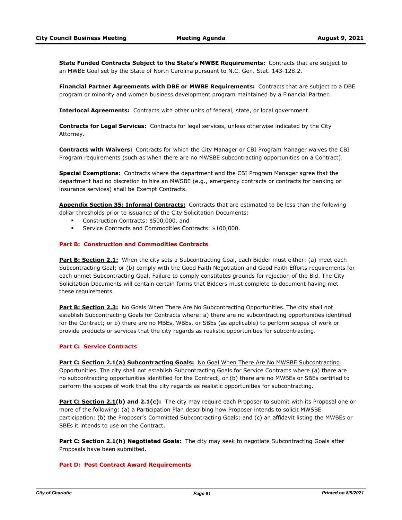**State Funded Contracts Subject to the State's MWBE Requirements:** Contracts that are subject to an MWBE Goal set by the State of North Carolina pursuant to N.C. Gen. Stat. 143-128.2.

**Financial Partner Agreements with DBE or MWBE Requirements:** Contracts that are subject to a DBE program or minority and women business development program maintained by a Financial Partner.

**Interlocal Agreements:** Contracts with other units of federal, state, or local government.

**Contracts for Legal Services:** Contracts for legal services, unless otherwise indicated by the City Attorney.

**Contracts with Waivers:** Contracts for which the City Manager or CBI Program Manager waives the CBI Program requirements (such as when there are no MWSBE subcontracting opportunities on a Contract).

**Special Exemptions:** Contracts where the department and the CBI Program Manager agree that the department had no discretion to hire an MWSBE (e.g., emergency contracts or contracts for banking or insurance services) shall be Exempt Contracts.

**Appendix Section 35: Informal Contracts:** Contracts that are estimated to be less than the following dollar thresholds prior to issuance of the City Solicitation Documents:

- § Construction Contracts: \$500,000, and
- **Service Contracts and Commodities Contracts: \$100,000.**

#### **Part B: Construction and Commodities Contracts**

**Part B: Section 2.1:** When the city sets a Subcontracting Goal, each Bidder must either: (a) meet each Subcontracting Goal; or (b) comply with the Good Faith Negotiation and Good Faith Efforts requirements for each unmet Subcontracting Goal. Failure to comply constitutes grounds for rejection of the Bid. The City Solicitation Documents will contain certain forms that Bidders must complete to document having met these requirements.

**Part B: Section 2.3:** No Goals When There Are No Subcontracting Opportunities. The city shall not establish Subcontracting Goals for Contracts where: a) there are no subcontracting opportunities identified for the Contract; or b) there are no MBEs, WBEs, or SBEs (as applicable) to perform scopes of work or provide products or services that the city regards as realistic opportunities for subcontracting.

#### **Part C: Service Contracts**

**Part C: Section 2.1(a) Subcontracting Goals:** No Goal When There Are No MWSBE Subcontracting Opportunities. The city shall not establish Subcontracting Goals for Service Contracts where (a) there are no subcontracting opportunities identified for the Contract; or (b) there are no MWBEs or SBEs certified to perform the scopes of work that the city regards as realistic opportunities for subcontracting.

**Part C: Section 2.1(b) and 2.1(c):** The city may require each Proposer to submit with its Proposal one or more of the following: (a) a Participation Plan describing how Proposer intends to solicit MWSBE participation; (b) the Proposer's Committed Subcontracting Goals; and (c) an affidavit listing the MWBEs or SBEs it intends to use on the Contract.

**Part C: Section 2.1(h) Negotiated Goals:** The city may seek to negotiate Subcontracting Goals after Proposals have been submitted.

### **Part D: Post Contract Award Requirements**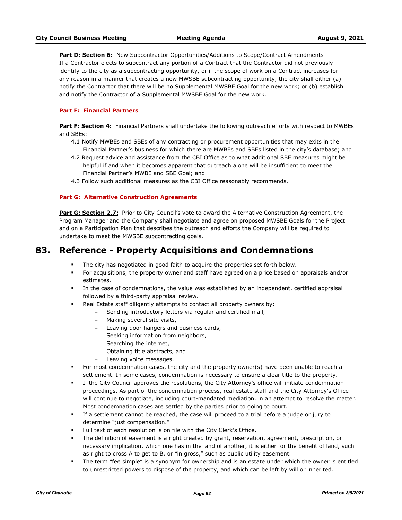#### **Part D: Section 6:** New Subcontractor Opportunities/Additions to Scope/Contract Amendments

If a Contractor elects to subcontract any portion of a Contract that the Contractor did not previously identify to the city as a subcontracting opportunity, or if the scope of work on a Contract increases for any reason in a manner that creates a new MWSBE subcontracting opportunity, the city shall either (a) notify the Contractor that there will be no Supplemental MWSBE Goal for the new work; or (b) establish and notify the Contractor of a Supplemental MWSBE Goal for the new work.

#### **Part F: Financial Partners**

**Part F: Section 4:** Financial Partners shall undertake the following outreach efforts with respect to MWBEs and SBEs:

- 4.1 Notify MWBEs and SBEs of any contracting or procurement opportunities that may exits in the Financial Partner's business for which there are MWBEs and SBEs listed in the city's database; and
- 4.2 Request advice and assistance from the CBI Office as to what additional SBE measures might be helpful if and when it becomes apparent that outreach alone will be insufficient to meet the Financial Partner's MWBE and SBE Goal; and
- 4.3 Follow such additional measures as the CBI Office reasonably recommends.

#### **Part G: Alternative Construction Agreements**

**Part G: Section 2.7:** Prior to City Council's vote to award the Alternative Construction Agreement, the Program Manager and the Company shall negotiate and agree on proposed MWSBE Goals for the Project and on a Participation Plan that describes the outreach and efforts the Company will be required to undertake to meet the MWSBE subcontracting goals.

### **83. Reference - Property Acquisitions and Condemnations**

- **•** The city has negotiated in good faith to acquire the properties set forth below.
- § For acquisitions, the property owner and staff have agreed on a price based on appraisals and/or estimates.
- **•** In the case of condemnations, the value was established by an independent, certified appraisal followed by a third-party appraisal review.
- Real Estate staff diligently attempts to contact all property owners by:
	- Sending introductory letters via regular and certified mail,
		- Making several site visits,
		- Leaving door hangers and business cards,
		- Seeking information from neighbors,
		- Searching the internet,
		- Obtaining title abstracts, and
		- Leaving voice messages.
- **•** For most condemnation cases, the city and the property owner(s) have been unable to reach a settlement. In some cases, condemnation is necessary to ensure a clear title to the property.
- If the City Council approves the resolutions, the City Attorney's office will initiate condemnation proceedings. As part of the condemnation process, real estate staff and the City Attorney's Office will continue to negotiate, including court-mandated mediation, in an attempt to resolve the matter. Most condemnation cases are settled by the parties prior to going to court.
- § If a settlement cannot be reached, the case will proceed to a trial before a judge or jury to determine "just compensation."
- § Full text of each resolution is on file with the City Clerk's Office.
- § The definition of easement is a right created by grant, reservation, agreement, prescription, or necessary implication, which one has in the land of another, it is either for the benefit of land, such as right to cross A to get to B, or "in gross," such as public utility easement.
- § The term "fee simple" is a synonym for ownership and is an estate under which the owner is entitled to unrestricted powers to dispose of the property, and which can be left by will or inherited.